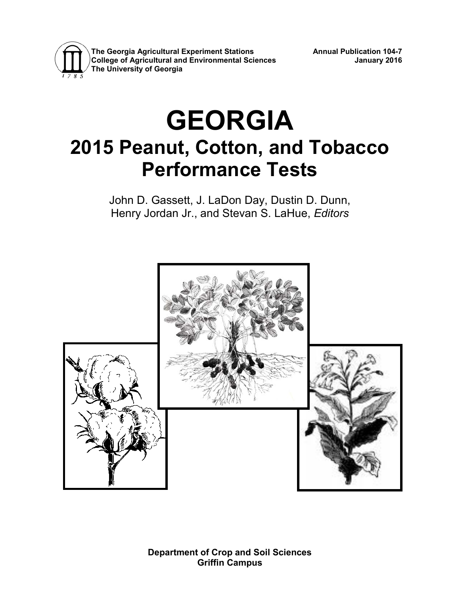

**The Georgia Agricultural Experiment Stations Annual Publication 104-7 College of Agricultural and Environmental Sciences January 2016 The University of Georgia**

# **GEORGIA 2015 Peanut, Cotton, and Tobacco Performance Tests**

John D. Gassett, J. LaDon Day, Dustin D. Dunn, Henry Jordan Jr., and Stevan S. LaHue, *Editors*



**Department of Crop and Soil Sciences Griffin Campus**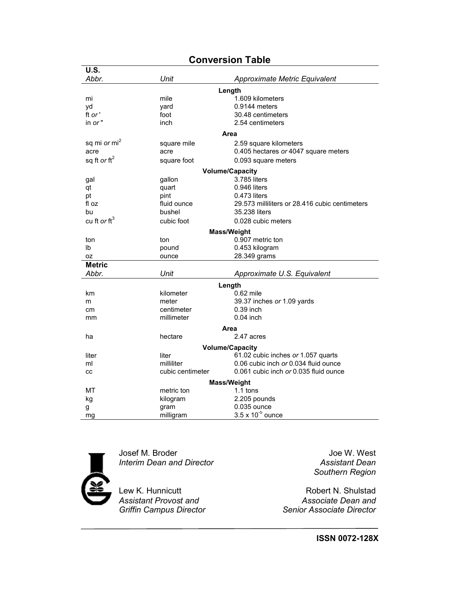| <b>U.S.</b>              |                  |                                                |
|--------------------------|------------------|------------------------------------------------|
| Abbr.                    | Unit             | Approximate Metric Equivalent                  |
|                          |                  | Length                                         |
| mi                       | mile             | 1.609 kilometers                               |
| yd                       | yard             | $0.9144$ meters                                |
| ft or '                  | foot             | 30.48 centimeters                              |
| in or"                   | inch             | 2.54 centimeters                               |
|                          |                  | Area                                           |
| sq mi or mi <sup>2</sup> | square mile      | 2.59 square kilometers                         |
| acre                     | acre             | 0.405 hectares or 4047 square meters           |
| sq ft or $\text{ft}^2$   | square foot      | 0.093 square meters                            |
|                          |                  | <b>Volume/Capacity</b>                         |
| gal                      | gallon           | 3.785 liters                                   |
| qt                       | quart            | 0.946 liters                                   |
| рt                       | pint             | 0.473 liters                                   |
| fl oz                    | fluid ounce      | 29.573 milliliters or 28.416 cubic centimeters |
| bu                       | bushel           | 35.238 liters                                  |
| cu ft or ft <sup>3</sup> | cubic foot       | 0.028 cubic meters                             |
|                          |                  | Mass/Weight                                    |
| ton                      | ton              | 0.907 metric ton                               |
| Ib                       | pound            | 0.453 kilogram                                 |
| 0Z                       | ounce            | 28.349 grams                                   |
| <b>Metric</b>            |                  |                                                |
| Abbr.                    | Unit             | Approximate U.S. Equivalent                    |
|                          |                  | Length                                         |
| km                       | kilometer        | 0.62 mile                                      |
| m                        | meter            | 39.37 inches or 1.09 yards                     |
| cm                       | centimeter       | 0.39 inch                                      |
| mm                       | millimeter       | $0.04$ inch                                    |
|                          |                  | Area                                           |
| ha                       | hectare          | 2.47 acres                                     |
|                          |                  | <b>Volume/Capacity</b>                         |
| liter                    | liter            | 61.02 cubic inches or 1.057 quarts             |
| ml                       | milliliter       | 0.06 cubic inch or 0.034 fluid ounce           |
| CC                       | cubic centimeter | 0.061 cubic inch or 0.035 fluid ounce          |
|                          |                  | <b>Mass/Weight</b>                             |
| МT                       | metric ton       | $1.1$ tons                                     |
| kg                       | kilogram         | 2.205 pounds                                   |
| g                        | gram             | 0.035 ounce                                    |
| mg                       | milligram        | $3.5 \times 10^{-5}$ ounce                     |

#### **Conversion Table**



Josef M. Broder Joe W. West *Interim Dean and Director Assistant Dean*

Lew K. Hunnicutt<br>
Assistant Provost and<br>
Associate Dean and *Assistant Provost and Associate Dean and*

*Southern Region*

*Griffin Campus Director Senior Associate Director*

**ISSN 0072-128X**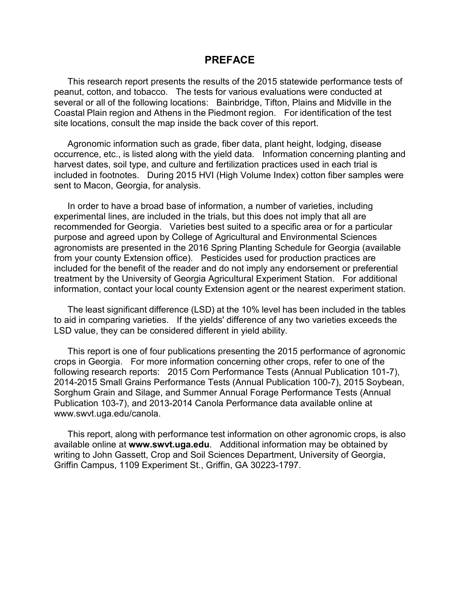#### **PREFACE**

This research report presents the results of the 2015 statewide performance tests of peanut, cotton, and tobacco. The tests for various evaluations were conducted at several or all of the following locations: Bainbridge, Tifton, Plains and Midville in the Coastal Plain region and Athens in the Piedmont region. For identification of the test site locations, consult the map inside the back cover of this report.

Agronomic information such as grade, fiber data, plant height, lodging, disease occurrence, etc., is listed along with the yield data. Information concerning planting and harvest dates, soil type, and culture and fertilization practices used in each trial is included in footnotes. During 2015 HVI (High Volume Index) cotton fiber samples were sent to Macon, Georgia, for analysis.

In order to have a broad base of information, a number of varieties, including experimental lines, are included in the trials, but this does not imply that all are recommended for Georgia. Varieties best suited to a specific area or for a particular purpose and agreed upon by College of Agricultural and Environmental Sciences agronomists are presented in the 2016 Spring Planting Schedule for Georgia (available from your county Extension office). Pesticides used for production practices are included for the benefit of the reader and do not imply any endorsement or preferential treatment by the University of Georgia Agricultural Experiment Station. For additional information, contact your local county Extension agent or the nearest experiment station.

The least significant difference (LSD) at the 10% level has been included in the tables to aid in comparing varieties. If the yields' difference of any two varieties exceeds the LSD value, they can be considered different in yield ability.

This report is one of four publications presenting the 2015 performance of agronomic crops in Georgia. For more information concerning other crops, refer to one of the following research reports: 2015 Corn Performance Tests (Annual Publication 101-7), 2014-2015 Small Grains Performance Tests (Annual Publication 100-7), 2015 Soybean, Sorghum Grain and Silage, and Summer Annual Forage Performance Tests (Annual Publication 103-7), and 2013-2014 Canola Performance data available online at www.swvt.uga.edu/canola.

This report, along with performance test information on other agronomic crops, is also available online at **www.swvt.uga.edu**. Additional information may be obtained by writing to John Gassett, Crop and Soil Sciences Department, University of Georgia, Griffin Campus, 1109 Experiment St., Griffin, GA 30223-1797.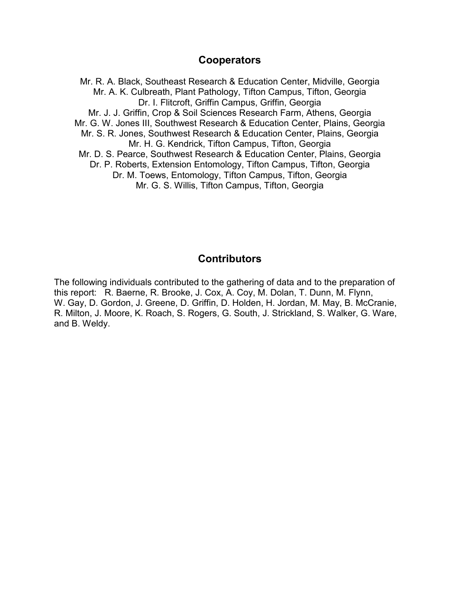#### **Cooperators**

Mr. R. A. Black, Southeast Research & Education Center, Midville, Georgia Mr. A. K. Culbreath, Plant Pathology, Tifton Campus, Tifton, Georgia Dr. I. Flitcroft, Griffin Campus, Griffin, Georgia Mr. J. J. Griffin, Crop & Soil Sciences Research Farm, Athens, Georgia Mr. G. W. Jones III, Southwest Research & Education Center, Plains, Georgia Mr. S. R. Jones, Southwest Research & Education Center, Plains, Georgia Mr. H. G. Kendrick, Tifton Campus, Tifton, Georgia Mr. D. S. Pearce, Southwest Research & Education Center, Plains, Georgia Dr. P. Roberts, Extension Entomology, Tifton Campus, Tifton, Georgia Dr. M. Toews, Entomology, Tifton Campus, Tifton, Georgia Mr. G. S. Willis, Tifton Campus, Tifton, Georgia

#### **Contributors**

The following individuals contributed to the gathering of data and to the preparation of this report: R. Baerne, R. Brooke, J. Cox, A. Coy, M. Dolan, T. Dunn, M. Flynn, W. Gay, D. Gordon, J. Greene, D. Griffin, D. Holden, H. Jordan, M. May, B. McCranie, R. Milton, J. Moore, K. Roach, S. Rogers, G. South, J. Strickland, S. Walker, G. Ware, and B. Weldy.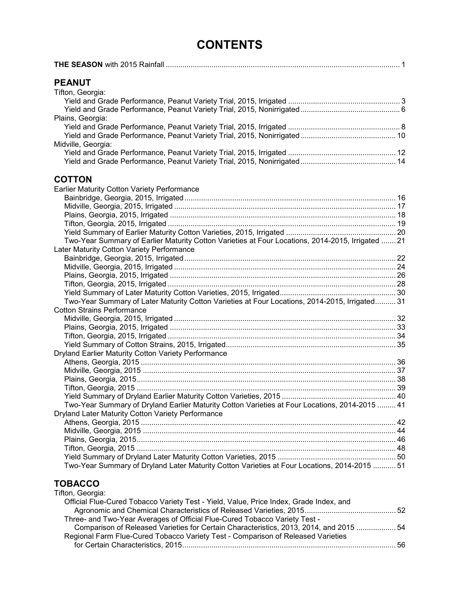# **CONTENTS**

|--|

#### **PEANUT**

#### **COTTON**

| Earlier Maturity Cotton Variety Performance                                                       |  |
|---------------------------------------------------------------------------------------------------|--|
|                                                                                                   |  |
|                                                                                                   |  |
|                                                                                                   |  |
|                                                                                                   |  |
|                                                                                                   |  |
| Two-Year Summary of Earlier Maturity Cotton Varieties at Four Locations, 2014-2015, Irrigated  21 |  |
| Later Maturity Cotton Variety Performance                                                         |  |
|                                                                                                   |  |
|                                                                                                   |  |
|                                                                                                   |  |
|                                                                                                   |  |
|                                                                                                   |  |
| Two-Year Summary of Later Maturity Cotton Varieties at Four Locations, 2014-2015, Irrigated 31    |  |
| <b>Cotton Strains Performance</b>                                                                 |  |
|                                                                                                   |  |
|                                                                                                   |  |
|                                                                                                   |  |
|                                                                                                   |  |
| Dryland Earlier Maturity Cotton Variety Performance                                               |  |
|                                                                                                   |  |
|                                                                                                   |  |
|                                                                                                   |  |
|                                                                                                   |  |
|                                                                                                   |  |
| Two-Year Summary of Dryland Earlier Maturity Cotton Varieties at Four Locations, 2014-2015  41    |  |
| Dryland Later Maturity Cotton Variety Performance                                                 |  |
|                                                                                                   |  |
|                                                                                                   |  |
|                                                                                                   |  |
|                                                                                                   |  |
|                                                                                                   |  |
| 15. Two-Year Summary of Dryland Later Maturity Cotton Varieties at Four Locations, 2014-2015 51   |  |

#### **TOBACCO** Tifton, Georgia:

| $11011, 0001$ yia.                                                                     |  |
|----------------------------------------------------------------------------------------|--|
| Official Flue-Cured Tobacco Variety Test - Yield, Value, Price Index, Grade Index, and |  |
|                                                                                        |  |
| Three- and Two-Year Averages of Official Flue-Cured Tobacco Variety Test -             |  |
| Comparison of Released Varieties for Certain Characteristics, 2013, 2014, and 2015  54 |  |
| Regional Farm Flue-Cured Tobacco Variety Test - Comparison of Released Varieties       |  |
|                                                                                        |  |
|                                                                                        |  |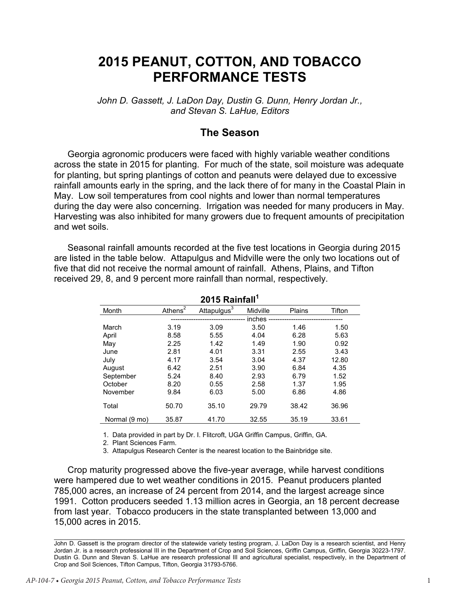# **2015 PEANUT, COTTON, AND TOBACCO PERFORMANCE TESTS**

*John D. Gassett, J. LaDon Day, Dustin G. Dunn, Henry Jordan Jr., and Stevan S. LaHue, Editors*

#### **The Season**

Georgia agronomic producers were faced with highly variable weather conditions across the state in 2015 for planting. For much of the state, soil moisture was adequate for planting, but spring plantings of cotton and peanuts were delayed due to excessive rainfall amounts early in the spring, and the lack there of for many in the Coastal Plain in May. Low soil temperatures from cool nights and lower than normal temperatures during the day were also concerning. Irrigation was needed for many producers in May. Harvesting was also inhibited for many growers due to frequent amounts of precipitation and wet soils.

Seasonal rainfall amounts recorded at the five test locations in Georgia during 2015 are listed in the table below. Attapulgus and Midville were the only two locations out of five that did not receive the normal amount of rainfall. Athens, Plains, and Tifton received 29, 8, and 9 percent more rainfall than normal, respectively.

| Month         | Athens <sup>2</sup> | Attapulgus <sup>3</sup> | Midville      | Plains | Tifton |
|---------------|---------------------|-------------------------|---------------|--------|--------|
|               |                     |                         | <i>inches</i> |        |        |
| March         | 3.19                | 3.09                    | 3.50          | 1.46   | 1.50   |
| April         | 8.58                | 5.55                    | 4.04          | 6.28   | 5.63   |
| May           | 2.25                | 1.42                    | 1.49          | 1.90   | 0.92   |
| June          | 2.81                | 4.01                    | 3.31          | 2.55   | 3.43   |
| July          | 4.17                | 3.54                    | 3.04          | 4.37   | 12.80  |
| August        | 6.42                | 2.51                    | 3.90          | 6.84   | 4.35   |
| September     | 5.24                | 8.40                    | 2.93          | 6.79   | 1.52   |
| October       | 8.20                | 0.55                    | 2.58          | 1.37   | 1.95   |
| November      | 9.84                | 6.03                    | 5.00          | 6.86   | 4.86   |
| Total         | 50.70               | 35.10                   | 29.79         | 38.42  | 36.96  |
| Normal (9 mo) | 35.87               | 41.70                   | 32.55         | 35.19  | 33.61  |
|               |                     |                         |               |        |        |

**2015 Rainfall<sup>1</sup>**

1. Data provided in part by Dr. I. Flitcroft, UGA Griffin Campus, Griffin, GA.

2. Plant Sciences Farm.

3. Attapulgus Research Center is the nearest location to the Bainbridge site.

Crop maturity progressed above the five-year average, while harvest conditions were hampered due to wet weather conditions in 2015. Peanut producers planted 785,000 acres, an increase of 24 percent from 2014, and the largest acreage since 1991. Cotton producers seeded 1.13 million acres in Georgia, an 18 percent decrease from last year. Tobacco producers in the state transplanted between 13,000 and 15,000 acres in 2015.

John D. Gassett is the program director of the statewide variety testing program, J. LaDon Day is a research scientist, and Henry Jordan Jr. is a research professional III in the Department of Crop and Soil Sciences, Griffin Campus, Griffin, Georgia 30223-1797. Dustin G. Dunn and Stevan S. LaHue are research professional III and agricultural specialist, respectively, in the Department of Crop and Soil Sciences, Tifton Campus, Tifton, Georgia 31793-5766.

\_\_\_\_\_\_\_\_\_\_\_\_\_\_\_\_\_\_\_\_\_\_\_\_\_\_\_\_\_\_\_\_\_\_\_\_\_\_\_\_\_\_\_\_\_\_\_\_\_\_\_\_\_\_\_\_\_\_\_\_\_\_\_\_\_\_\_\_\_\_\_\_\_\_\_\_\_\_\_\_\_\_\_\_\_\_\_\_\_\_\_\_\_\_\_\_\_\_\_\_\_\_\_\_\_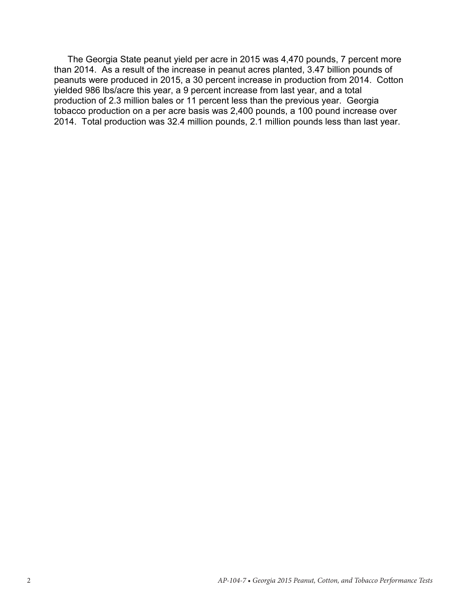The Georgia State peanut yield per acre in 2015 was 4,470 pounds, 7 percent more than 2014. As a result of the increase in peanut acres planted, 3.47 billion pounds of peanuts were produced in 2015, a 30 percent increase in production from 2014. Cotton yielded 986 lbs/acre this year, a 9 percent increase from last year, and a total production of 2.3 million bales or 11 percent less than the previous year. Georgia tobacco production on a per acre basis was 2,400 pounds, a 100 pound increase over 2014. Total production was 32.4 million pounds, 2.1 million pounds less than last year.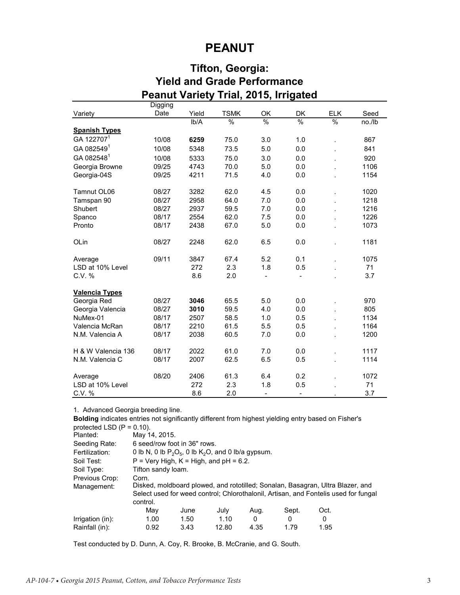## **PEANUT**

## **Tifton, Georgia: Yield and Grade Performance Peanut Variety Trial, 2015, Irrigated**

|                        | Digging |       |               |                          |                          |               |        |
|------------------------|---------|-------|---------------|--------------------------|--------------------------|---------------|--------|
| Variety                | Date    | Yield | <b>TSMK</b>   | OK                       | DK                       | <b>ELK</b>    | Seed   |
|                        |         | Ib/A  | $\frac{9}{6}$ | %                        | $\%$                     | $\frac{1}{2}$ | no./lb |
| <b>Spanish Types</b>   |         |       |               |                          |                          |               |        |
| GA 122707 <sup>1</sup> | 10/08   | 6259  | 75.0          | 3.0                      | 1.0                      |               | 867    |
| GA 0825491             | 10/08   | 5348  | 73.5          | 5.0                      | 0.0                      |               | 841    |
| GA 082548 <sup>1</sup> | 10/08   | 5333  | 75.0          | 3.0                      | 0.0                      |               | 920    |
| Georgia Browne         | 09/25   | 4743  | 70.0          | 5.0                      | 0.0                      |               | 1106   |
| Georgia-04S            | 09/25   | 4211  | 71.5          | 4.0                      | 0.0                      |               | 1154   |
| Tamnut OL06            | 08/27   | 3282  | 62.0          | 4.5                      | 0.0                      |               | 1020   |
| Tamspan 90             | 08/27   | 2958  | 64.0          | 7.0                      | 0.0                      |               | 1218   |
| Shubert                | 08/27   | 2937  | 59.5          | 7.0                      | 0.0                      |               | 1216   |
| Spanco                 | 08/17   | 2554  | 62.0          | 7.5                      | 0.0                      |               | 1226   |
| Pronto                 | 08/17   | 2438  | 67.0          | 5.0                      | 0.0                      |               | 1073   |
| OLin                   | 08/27   | 2248  | 62.0          | 6.5                      | 0.0                      |               | 1181   |
| Average                | 09/11   | 3847  | 67.4          | 5.2                      | 0.1                      |               | 1075   |
| LSD at 10% Level       |         | 272   | 2.3           | 1.8                      | 0.5                      |               | 71     |
| C.V. %                 |         | 8.6   | 2.0           | -                        | $\overline{\phantom{0}}$ |               | 3.7    |
| <b>Valencia Types</b>  |         |       |               |                          |                          |               |        |
| Georgia Red            | 08/27   | 3046  | 65.5          | 5.0                      | 0.0                      |               | 970    |
| Georgia Valencia       | 08/27   | 3010  | 59.5          | 4.0                      | 0.0                      |               | 805    |
| NuMex-01               | 08/17   | 2507  | 58.5          | 1.0                      | 0.5                      |               | 1134   |
| Valencia McRan         | 08/17   | 2210  | 61.5          | 5.5                      | 0.5                      |               | 1164   |
| N.M. Valencia A        | 08/17   | 2038  | 60.5          | 7.0                      | 0.0                      |               | 1200   |
| H & W Valencia 136     | 08/17   | 2022  | 61.0          | 7.0                      | 0.0                      |               | 1117   |
| N.M. Valencia C        | 08/17   | 2007  | 62.5          | 6.5                      | 0.5                      |               | 1114   |
| Average                | 08/20   | 2406  | 61.3          | 6.4                      | 0.2                      |               | 1072   |
| LSD at 10% Level       |         | 272   | 2.3           | 1.8                      | 0.5                      |               | 71     |
| C.V. %                 |         | 8.6   | 2.0           | $\overline{\phantom{0}}$ | $\overline{\phantom{a}}$ | $\cdot$       | 3.7    |

1. Advanced Georgia breeding line.

Planted: Seeding Rate: **Bolding** indicates entries not significantly different from highest yielding entry based on Fisher's protected LSD  $(P = 0.10)$ . May 14, 2015. 6 seed/row foot in 36" rows.

| OCCUIHY NAIC.    | 0 SEEU/IUW IUUL III JU TUWS.                                                        |                                          |       |      |       |      |  |
|------------------|-------------------------------------------------------------------------------------|------------------------------------------|-------|------|-------|------|--|
| Fertilization:   | 0 lb N, 0 lb $P_2O_5$ , 0 lb K <sub>2</sub> O, and 0 lb/a gypsum.                   |                                          |       |      |       |      |  |
| Soil Test:       |                                                                                     | $P = Very High, K = High, and pH = 6.2.$ |       |      |       |      |  |
| Soil Type:       |                                                                                     | Tifton sandy loam.                       |       |      |       |      |  |
| Previous Crop:   | Corn.                                                                               |                                          |       |      |       |      |  |
| Management:      | Disked, moldboard plowed, and rototilled; Sonalan, Basagran, Ultra Blazer, and      |                                          |       |      |       |      |  |
|                  | Select used for weed control; Chlorothalonil, Artisan, and Fontelis used for fungal |                                          |       |      |       |      |  |
|                  | control.                                                                            |                                          |       |      |       |      |  |
|                  | May                                                                                 | June                                     | July  | Aug. | Sept. | Oct. |  |
| Irrigation (in): | 1.00                                                                                | 1.50                                     | 1.10  | 0    | 0     | 0    |  |
| Rainfall (in):   | 0.92                                                                                | 3.43                                     | 12.80 | 4.35 | 1.79  | 1.95 |  |

Test conducted by D. Dunn, A. Coy, R. Brooke, B. McCranie, and G. South.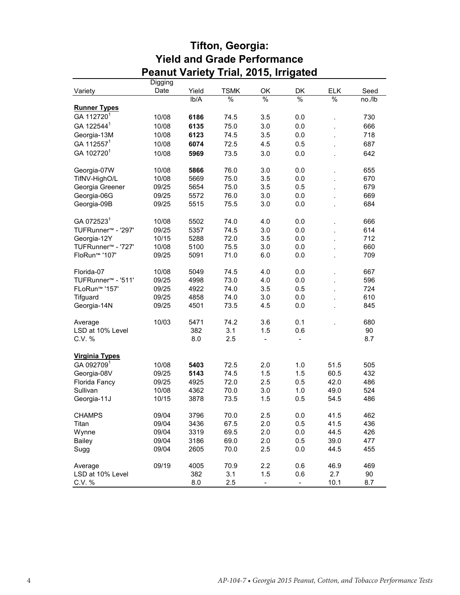|                                | Digging |       |               |                          |                          |                |        |
|--------------------------------|---------|-------|---------------|--------------------------|--------------------------|----------------|--------|
| Variety                        | Date    | Yield | <b>TSMK</b>   | OK                       | DK                       | <b>ELK</b>     | Seed   |
|                                |         | Ib/A  | $\frac{9}{6}$ | %                        | %                        | %              | no./lb |
| <b>Runner Types</b>            |         |       |               |                          |                          |                |        |
| GA 112720 <sup>1</sup>         | 10/08   | 6186  | 74.5          | 3.5                      | 0.0                      |                | 730    |
| GA 122544 <sup>1</sup>         | 10/08   | 6135  | 75.0          | 3.0                      | 0.0                      |                | 666    |
| Georgia-13M                    | 10/08   | 6123  | 74.5          | 3.5                      | 0.0                      | $\overline{a}$ | 718    |
| GA 112557 <sup>1</sup>         |         | 6074  | 72.5          |                          |                          |                | 687    |
|                                | 10/08   |       |               | 4.5                      | 0.5                      |                |        |
| GA 102720 <sup>1</sup>         | 10/08   | 5969  | 73.5          | 3.0                      | 0.0                      |                | 642    |
| Georgia-07W                    | 10/08   | 5866  | 76.0          | 3.0                      | 0.0                      |                | 655    |
| TifNV-HighO/L                  | 10/08   | 5669  | 75.0          | 3.5                      | 0.0                      |                | 670    |
| Georgia Greener                | 09/25   | 5654  | 75.0          | 3.5                      | 0.5                      | $\overline{a}$ | 679    |
| Georgia-06G                    | 09/25   | 5572  | 76.0          | 3.0                      | 0.0                      |                | 669    |
| Georgia-09B                    | 09/25   | 5515  | 75.5          | 3.0                      | 0.0                      |                | 684    |
|                                |         |       |               |                          |                          |                |        |
| GA 072523 <sup>1</sup>         | 10/08   | 5502  | 74.0          | 4.0                      | 0.0                      |                | 666    |
| TUFRunner <sup>™</sup> - '297' | 09/25   | 5357  | 74.5          | 3.0                      | 0.0                      |                | 614    |
| Georgia-12Y                    | 10/15   | 5288  | 72.0          | 3.5                      | 0.0                      | $\overline{a}$ | 712    |
| TUFRunner <sup>™</sup> - '727' | 10/08   | 5100  | 75.5          | 3.0                      | 0.0                      |                | 660    |
| FloRun <sup>™</sup> '107'      | 09/25   | 5091  | 71.0          | 6.0                      | 0.0                      |                | 709    |
| Florida-07                     | 10/08   | 5049  | 74.5          | 4.0                      | 0.0                      |                | 667    |
| TUFRunner <sup>™</sup> - '511' | 09/25   | 4998  | 73.0          | 4.0                      | 0.0                      |                | 596    |
| FLoRun <sup>™</sup> '157'      | 09/25   | 4922  | 74.0          | 3.5                      | 0.5                      |                | 724    |
| Tifguard                       | 09/25   | 4858  | 74.0          | 3.0                      | 0.0                      | $\overline{a}$ | 610    |
| Georgia-14N                    | 09/25   | 4501  | 73.5          | 4.5                      | $0.0\,$                  |                | 845    |
|                                |         |       |               |                          |                          |                |        |
| Average                        | 10/03   | 5471  | 74.2          | 3.6                      | 0.1                      |                | 680    |
| LSD at 10% Level               |         | 382   | 3.1           | 1.5                      | 0.6                      |                | 90     |
| C.V. %                         |         | 8.0   | 2.5           | $\overline{\phantom{0}}$ | $\blacksquare$           |                | 8.7    |
| <b>Virginia Types</b>          |         |       |               |                          |                          |                |        |
| GA 0927091                     | 10/08   | 5403  | 72.5          | 2.0                      | 1.0                      | 51.5           | 505    |
| Georgia-08V                    | 09/25   | 5143  | 74.5          | 1.5                      | 1.5                      | 60.5           | 432    |
| Florida Fancy                  | 09/25   | 4925  | 72.0          | 2.5                      | 0.5                      | 42.0           | 486    |
| Sullivan                       | 10/08   | 4362  | 70.0          | 3.0                      | 1.0                      | 49.0           | 524    |
| Georgia-11J                    | 10/15   | 3878  | 73.5          | 1.5                      | 0.5                      | 54.5           | 486    |
| <b>CHAMPS</b>                  | 09/04   | 3796  | 70.0          | 2.5                      | 0.0                      | 41.5           | 462    |
| Titan                          | 09/04   | 3436  | 67.5          | 2.0                      |                          | 41.5           | 436    |
|                                |         |       |               |                          | 0.5                      |                |        |
| Wynne                          | 09/04   | 3319  | 69.5          | 2.0                      | 0.0                      | 44.5           | 426    |
| <b>Bailey</b>                  | 09/04   | 3186  | 69.0          | 2.0                      | 0.5                      | 39.0           | 477    |
| Sugg                           | 09/04   | 2605  | 70.0          | 2.5                      | 0.0                      | 44.5           | 455    |
| Average                        | 09/19   | 4005  | 70.9          | 2.2                      | 0.6                      | 46.9           | 469    |
| LSD at 10% Level               |         | 382   | 3.1           | 1.5                      | 0.6                      | 2.7            | 90     |
| C.V. %                         |         | 8.0   | 2.5           | $\overline{\phantom{0}}$ | $\overline{\phantom{a}}$ | 10.1           | 8.7    |

#### **Tifton, Georgia: Yield and Grade Performance Peanut Variety Trial, 2015, Irrigated**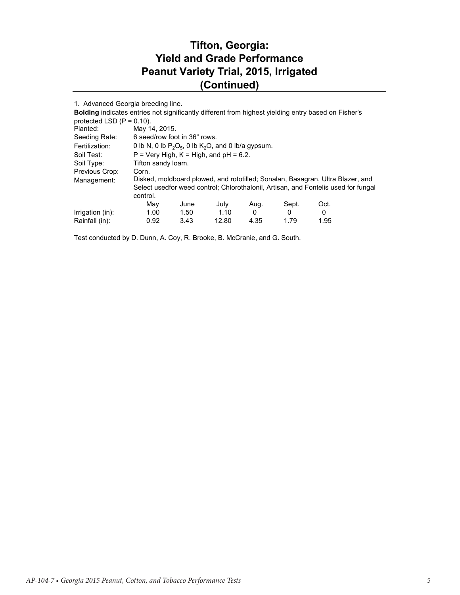## **Tifton, Georgia: Yield and Grade Performance Peanut Variety Trial, 2015, Irrigated (Continued)**

| 1. Advanced Georgia breeding line.                                                                  |                                                                                    |      |       |      |       |      |  |
|-----------------------------------------------------------------------------------------------------|------------------------------------------------------------------------------------|------|-------|------|-------|------|--|
| Bolding indicates entries not significantly different from highest yielding entry based on Fisher's |                                                                                    |      |       |      |       |      |  |
| protected LSD $(P = 0.10)$ .                                                                        |                                                                                    |      |       |      |       |      |  |
| Planted:                                                                                            | May 14, 2015.                                                                      |      |       |      |       |      |  |
| Seeding Rate:                                                                                       | 6 seed/row foot in 36" rows.                                                       |      |       |      |       |      |  |
| Fertilization:                                                                                      | 0 lb N, 0 lb $P_2O_5$ , 0 lb $K_2O$ , and 0 lb/a gypsum.                           |      |       |      |       |      |  |
| Soil Test:                                                                                          | $P = Very High, K = High, and pH = 6.2.$                                           |      |       |      |       |      |  |
| Soil Type:                                                                                          | Tifton sandy loam.                                                                 |      |       |      |       |      |  |
| Previous Crop:                                                                                      | Corn.                                                                              |      |       |      |       |      |  |
| Management:                                                                                         | Disked, moldboard plowed, and rototilled; Sonalan, Basagran, Ultra Blazer, and     |      |       |      |       |      |  |
|                                                                                                     | Select usedfor weed control; Chlorothalonil, Artisan, and Fontelis used for fungal |      |       |      |       |      |  |
|                                                                                                     | control.                                                                           |      |       |      |       |      |  |
|                                                                                                     | May                                                                                | June | July  | Aug. | Sept. | Oct. |  |
| Irrigation (in):                                                                                    | 1.00                                                                               | 1.50 | 1.10  | 0    | 0     | 0    |  |
| Rainfall (in):                                                                                      | 0.92                                                                               | 3.43 | 12.80 | 4.35 | 1.79  | 1.95 |  |

Test conducted by D. Dunn, A. Coy, R. Brooke, B. McCranie, and G. South.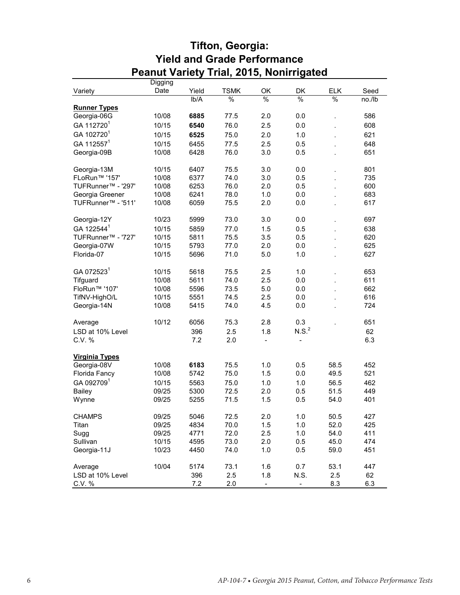|                                | <b>Digging</b> |       |               |                          |                          |               |        |  |
|--------------------------------|----------------|-------|---------------|--------------------------|--------------------------|---------------|--------|--|
| Variety                        | Date           | Yield | <b>TSMK</b>   | OK                       | DK                       | <b>ELK</b>    | Seed   |  |
|                                |                | lb/A  | $\frac{9}{6}$ | %                        | $\frac{9}{6}$            | $\frac{9}{6}$ | no./lb |  |
| <b>Runner Types</b>            |                |       |               |                          |                          |               |        |  |
| Georgia-06G                    | 10/08          | 6885  | 77.5          | 2.0                      | 0.0                      |               | 586    |  |
| GA 112720 <sup>1</sup>         | 10/15          | 6540  | 76.0          | 2.5                      | 0.0                      |               | 608    |  |
| GA 102720 <sup>1</sup>         | 10/15          | 6525  | 75.0          | 2.0                      | 1.0                      |               | 621    |  |
| GA 112557 <sup>1</sup>         | 10/15          | 6455  | 77.5          | 2.5                      | 0.5                      |               | 648    |  |
| Georgia-09B                    | 10/08          | 6428  | 76.0          | 3.0                      | 0.5                      |               | 651    |  |
|                                |                |       |               |                          |                          |               |        |  |
| Georgia-13M                    | 10/15          | 6407  | 75.5          | 3.0                      | 0.0                      |               | 801    |  |
| FLoRun <sup>™</sup> '157'      | 10/08          | 6377  | 74.0          | 3.0                      | 0.5                      |               | 735    |  |
| TUFRunner <sup>™</sup> - '297' | 10/08          | 6253  | 76.0          | 2.0                      | 0.5                      |               | 600    |  |
| Georgia Greener                | 10/08          | 6241  | 78.0          | 1.0                      | 0.0                      |               | 683    |  |
| TUFRunner <sup>™</sup> - '511' | 10/08          | 6059  | 75.5          | 2.0                      | 0.0                      |               | 617    |  |
|                                |                |       |               |                          |                          |               |        |  |
| Georgia-12Y                    | 10/23          | 5999  | 73.0          | 3.0                      | 0.0                      |               | 697    |  |
| GA 122544 <sup>1</sup>         | 10/15          | 5859  | 77.0          | 1.5                      | 0.5                      |               | 638    |  |
| TUFRunner <sup>™</sup> - '727' | 10/15          | 5811  | 75.5          | 3.5                      | 0.5                      |               | 620    |  |
| Georgia-07W                    | 10/15          | 5793  | 77.0          | 2.0                      | 0.0                      |               | 625    |  |
| Florida-07                     | 10/15          | 5696  | 71.0          | 5.0                      | 1.0                      |               | 627    |  |
|                                |                |       |               |                          |                          |               |        |  |
| GA 0725231                     | 10/15          | 5618  | 75.5          | 2.5                      | 1.0                      |               | 653    |  |
| Tifguard                       | 10/08          | 5611  | 74.0          | 2.5                      | 0.0                      |               | 611    |  |
| FloRun <sup>™</sup> '107'      | 10/08          | 5596  | 73.5          | 5.0                      | 0.0                      |               | 662    |  |
| TifNV-HighO/L                  | 10/15          | 5551  | 74.5          | 2.5                      | 0.0                      |               | 616    |  |
| Georgia-14N                    | 10/08          | 5415  | 74.0          | 4.5                      | 0.0                      |               | 724    |  |
|                                |                |       |               |                          |                          |               |        |  |
| Average                        | 10/12          | 6056  | 75.3          | 2.8                      | 0.3                      |               | 651    |  |
| LSD at 10% Level               |                | 396   | 2.5           | 1.8                      | N.S. <sup>2</sup>        |               | 62     |  |
| C.V. %                         |                | 7.2   | 2.0           | $\overline{\phantom{m}}$ | $\frac{1}{2}$            |               | 6.3    |  |
|                                |                |       |               |                          |                          |               |        |  |
| <b>Virginia Types</b>          |                |       |               |                          |                          |               |        |  |
| Georgia-08V                    | 10/08          | 6183  | 75.5          | 1.0                      | 0.5                      | 58.5          | 452    |  |
| Florida Fancy                  | 10/08          | 5742  | 75.0          | 1.5                      | 0.0                      | 49.5          | 521    |  |
| GA 0927091                     | 10/15          | 5563  | 75.0          | 1.0                      | 1.0                      | 56.5          | 462    |  |
| Bailey                         | 09/25          | 5300  | 72.5          | 2.0                      | 0.5                      | 51.5          | 449    |  |
| Wynne                          | 09/25          | 5255  | 71.5          | 1.5                      | 0.5                      | 54.0          | 401    |  |
| <b>CHAMPS</b>                  | 09/25          | 5046  | 72.5          | 2.0                      | 1.0                      | 50.5          | 427    |  |
| Titan                          | 09/25          | 4834  | 70.0          | 1.5                      | 1.0                      | 52.0          | 425    |  |
| Sugg                           | 09/25          | 4771  | 72.0          | 2.5                      | 1.0                      | 54.0          | 411    |  |
| Sullivan                       | 10/15          | 4595  | 73.0          | 2.0                      | 0.5                      | 45.0          | 474    |  |
| Georgia-11J                    | 10/23          | 4450  | 74.0          | 1.0                      | 0.5                      | 59.0          | 451    |  |
|                                |                |       |               |                          |                          |               |        |  |
| Average                        | 10/04          | 5174  | 73.1          | 1.6                      | 0.7                      | 53.1          | 447    |  |
| LSD at 10% Level               |                | 396   | 2.5           | 1.8                      | N.S.                     | 2.5           | 62     |  |
| C.V. %                         |                | 7.2   | 2.0           | $\qquad \qquad -$        | $\overline{\phantom{0}}$ | 8.3           | 6.3    |  |

#### **Tifton, Georgia: Yield and Grade Performance Peanut Variety Trial, 2015, Nonirrigated**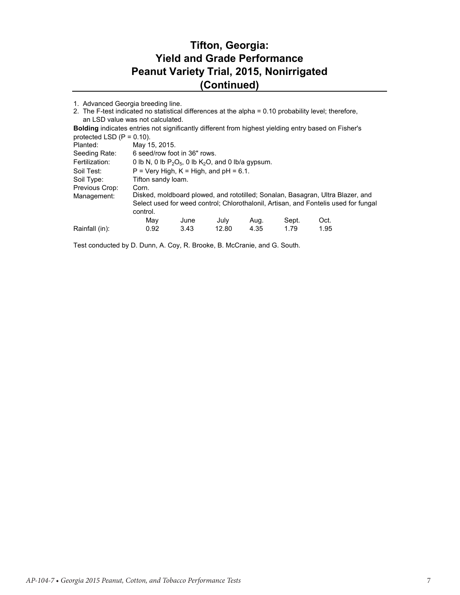## **Tifton, Georgia: Yield and Grade Performance Peanut Variety Trial, 2015, Nonirrigated (Continued)**

|  | 1. Advanced Georgia breeding line. |  |  |  |
|--|------------------------------------|--|--|--|
|--|------------------------------------|--|--|--|

| 2. The F-test indicated no statistical differences at the alpha = 0.10 probability level; therefore,       |                                                          |      |       |      |       |                                                                                     |  |  |
|------------------------------------------------------------------------------------------------------------|----------------------------------------------------------|------|-------|------|-------|-------------------------------------------------------------------------------------|--|--|
| an LSD value was not calculated.                                                                           |                                                          |      |       |      |       |                                                                                     |  |  |
| <b>Bolding</b> indicates entries not significantly different from highest yielding entry based on Fisher's |                                                          |      |       |      |       |                                                                                     |  |  |
|                                                                                                            | protected LSD $(P = 0.10)$ .                             |      |       |      |       |                                                                                     |  |  |
| Planted:                                                                                                   | May 15, 2015.                                            |      |       |      |       |                                                                                     |  |  |
| Seeding Rate:                                                                                              | 6 seed/row foot in 36" rows.                             |      |       |      |       |                                                                                     |  |  |
| Fertilization:                                                                                             | 0 lb N, 0 lb $P_2O_5$ , 0 lb $K_2O$ , and 0 lb/a gypsum. |      |       |      |       |                                                                                     |  |  |
| Soil Test:                                                                                                 | $P = Verv$ High, $K = High$ , and $pH = 6.1$ .           |      |       |      |       |                                                                                     |  |  |
| Soil Type:                                                                                                 | Tifton sandy loam.                                       |      |       |      |       |                                                                                     |  |  |
| Previous Crop:                                                                                             | Corn.                                                    |      |       |      |       |                                                                                     |  |  |
| Management:                                                                                                |                                                          |      |       |      |       | Disked, moldboard plowed, and rototilled; Sonalan, Basagran, Ultra Blazer, and      |  |  |
|                                                                                                            |                                                          |      |       |      |       | Select used for weed control; Chlorothalonil, Artisan, and Fontelis used for fungal |  |  |
|                                                                                                            | control.                                                 |      |       |      |       |                                                                                     |  |  |
|                                                                                                            | May                                                      | June | July  | Aug. | Sept. | Oct.                                                                                |  |  |
| Rainfall (in):                                                                                             | 0.92                                                     | 3.43 | 12.80 | 4.35 | 1.79  | 1.95                                                                                |  |  |

Test conducted by D. Dunn, A. Coy, R. Brooke, B. McCranie, and G. South.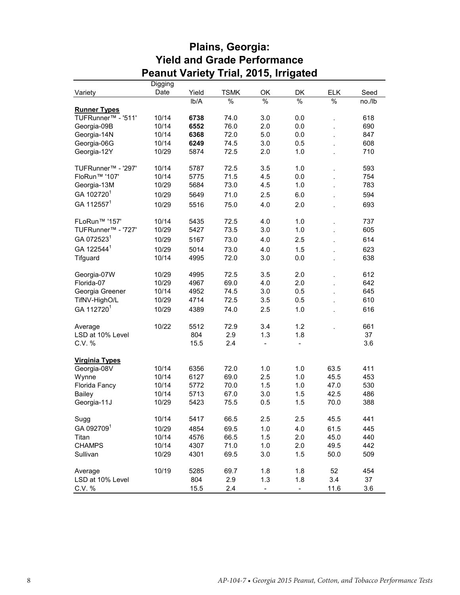|                                      |         | Feanul Vanely |               | THAI, ZUTƏ, IHIYALEU         |               |               |        |
|--------------------------------------|---------|---------------|---------------|------------------------------|---------------|---------------|--------|
|                                      | Digging |               |               |                              |               |               |        |
| Variety                              | Date    | Yield         | <b>TSMK</b>   | OK                           | DK            | <b>ELK</b>    | Seed   |
|                                      |         | lb/A          | $\frac{1}{2}$ | $\frac{9}{6}$                | $\frac{1}{2}$ | $\frac{1}{6}$ | no./lb |
| <b>Runner Types</b>                  |         |               |               |                              |               |               |        |
| TUFRunner <sup>™</sup> - '511'       | 10/14   | 6738          | 74.0          | 3.0                          | 0.0           | l,            | 618    |
| Georgia-09B                          | 10/14   | 6552          | 76.0          | 2.0                          | $0.0\,$       |               | 690    |
| Georgia-14N                          | 10/14   | 6368          | 72.0          | 5.0                          | 0.0           |               | 847    |
| Georgia-06G                          | 10/14   | 6249          | 74.5          | 3.0                          | 0.5           |               | 608    |
| Georgia-12Y                          | 10/29   | 5874          | 72.5          | 2.0                          | 1.0           |               | 710    |
| TUFRunner <sup>™</sup> - '297'       | 10/14   | 5787          | 72.5          | 3.5                          | 1.0           |               | 593    |
| FloRun <sup>™</sup> '107'            | 10/14   | 5775          | 71.5          | 4.5                          | 0.0           |               | 754    |
| Georgia-13M                          | 10/29   | 5684          | 73.0          | 4.5                          | 1.0           | l.            | 783    |
| GA 102720 <sup>1</sup>               | 10/29   | 5649          | 71.0          | 2.5                          | 6.0           |               | 594    |
| GA 112557 <sup>1</sup>               | 10/29   | 5516          | 75.0          | 4.0                          | 2.0           |               | 693    |
| FLoRun <sup>™</sup> '157'            | 10/14   | 5435          | 72.5          | 4.0                          | 1.0           |               | 737    |
| TUFRunner <sup>™</sup> - '727'       | 10/29   | 5427          | 73.5          | 3.0                          | 1.0           | l,            | 605    |
| GA 072523 <sup>1</sup>               |         |               |               |                              |               |               |        |
|                                      | 10/29   | 5167          | 73.0          | 4.0                          | 2.5           | l.            | 614    |
| GA 122544 <sup>1</sup>               | 10/29   | 5014          | 73.0          | 4.0                          | 1.5           |               | 623    |
| Tifguard                             | 10/14   | 4995          | 72.0          | 3.0                          | 0.0           |               | 638    |
| Georgia-07W                          | 10/29   | 4995          | 72.5          | 3.5                          | 2.0           |               | 612    |
| Florida-07                           | 10/29   | 4967          | 69.0          | 4.0                          | 2.0           |               | 642    |
| Georgia Greener                      | 10/14   | 4952          | 74.5          | 3.0                          | 0.5           | l,            | 645    |
| TifNV-HighO/L                        | 10/29   | 4714          | 72.5          | 3.5                          | 0.5           |               | 610    |
| GA 112720 <sup>1</sup>               | 10/29   | 4389          | 74.0          | 2.5                          | 1.0           |               | 616    |
| Average                              | 10/22   | 5512          | 72.9          | 3.4                          | 1.2           |               | 661    |
| LSD at 10% Level                     |         | 804           | 2.9           | 1.3                          | 1.8           |               | 37     |
| C.V. %                               |         | 15.5          | 2.4           | $\qquad \qquad \blacksquare$ | $\frac{1}{2}$ |               | 3.6    |
|                                      |         |               |               |                              |               |               |        |
| <b>Virginia Types</b><br>Georgia-08V | 10/14   | 6356          | 72.0          | 1.0                          | 1.0           | 63.5          | 411    |
| Wynne                                | 10/14   | 6127          | 69.0          | 2.5                          | 1.0           | 45.5          | 453    |
| Florida Fancy                        | 10/14   | 5772          | 70.0          | 1.5                          | 1.0           | 47.0          | 530    |
| <b>Bailey</b>                        | 10/14   | 5713          | 67.0          | 3.0                          | 1.5           | 42.5          | 486    |
| Georgia-11J                          | 10/29   | 5423          | 75.5          | 0.5                          | 1.5           | 70.0          | 388    |
|                                      |         |               |               |                              |               |               |        |
| Sugg                                 | 10/14   | 5417          | 66.5          | 2.5                          | 2.5           | 45.5          | 441    |
| GA 0927091                           | 10/29   | 4854          | 69.5          | 1.0                          | 4.0           | 61.5          | 445    |
| Titan                                | 10/14   | 4576          | 66.5          | 1.5                          | 2.0           | 45.0          | 440    |
| <b>CHAMPS</b>                        | 10/14   | 4307          | 71.0          | 1.0                          | 2.0           | 49.5          | 442    |
| Sullivan                             | 10/29   | 4301          | 69.5          | 3.0                          | 1.5           | 50.0          | 509    |
| Average                              | 10/19   | 5285          | 69.7          | 1.8                          | 1.8           | 52            | 454    |
| LSD at 10% Level                     |         | 804           | 2.9           | 1.3                          | 1.8           | 3.4           | 37     |
| C.V. %                               |         | 15.5          | 2.4           |                              |               | 11.6          | 3.6    |

#### **Plains, Georgia: Yield and Grade Performance Peanut Variety Trial, 2015, Irrigated**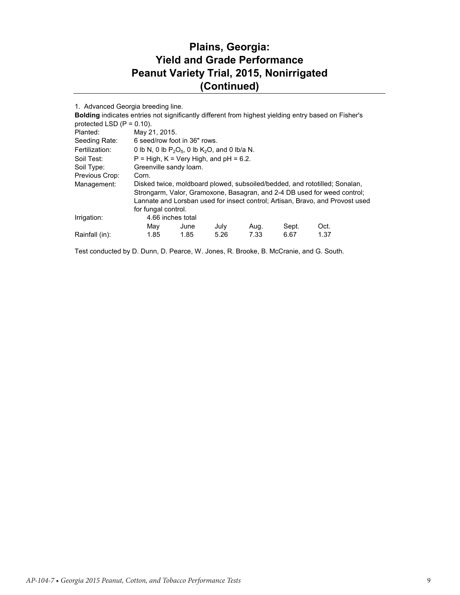#### **Plains, Georgia: Yield and Grade Performance Peanut Variety Trial, 2015, Nonirrigated (Continued)**

1. Advanced Georgia breeding line.

| protected LSD $(P = 0.10)$ . |      |                                                                                     |                              |                                                                                                          |      |                                                                                                                                                                                                                                                                                                                                                       |  |  |
|------------------------------|------|-------------------------------------------------------------------------------------|------------------------------|----------------------------------------------------------------------------------------------------------|------|-------------------------------------------------------------------------------------------------------------------------------------------------------------------------------------------------------------------------------------------------------------------------------------------------------------------------------------------------------|--|--|
|                              |      |                                                                                     |                              |                                                                                                          |      |                                                                                                                                                                                                                                                                                                                                                       |  |  |
|                              |      |                                                                                     |                              |                                                                                                          |      |                                                                                                                                                                                                                                                                                                                                                       |  |  |
|                              |      |                                                                                     |                              |                                                                                                          |      |                                                                                                                                                                                                                                                                                                                                                       |  |  |
|                              |      |                                                                                     |                              |                                                                                                          |      |                                                                                                                                                                                                                                                                                                                                                       |  |  |
|                              |      |                                                                                     |                              |                                                                                                          |      |                                                                                                                                                                                                                                                                                                                                                       |  |  |
| Corn.                        |      |                                                                                     |                              |                                                                                                          |      |                                                                                                                                                                                                                                                                                                                                                       |  |  |
|                              |      |                                                                                     |                              |                                                                                                          |      |                                                                                                                                                                                                                                                                                                                                                       |  |  |
|                              |      |                                                                                     |                              |                                                                                                          |      |                                                                                                                                                                                                                                                                                                                                                       |  |  |
|                              |      |                                                                                     |                              |                                                                                                          |      |                                                                                                                                                                                                                                                                                                                                                       |  |  |
|                              |      |                                                                                     |                              |                                                                                                          |      |                                                                                                                                                                                                                                                                                                                                                       |  |  |
|                              |      |                                                                                     |                              |                                                                                                          |      |                                                                                                                                                                                                                                                                                                                                                       |  |  |
| Mav                          | June | July                                                                                | Aug.                         | Sept.                                                                                                    | Oct. |                                                                                                                                                                                                                                                                                                                                                       |  |  |
| 1.85                         | 1.85 | 5.26                                                                                | 7.33                         | 6.67                                                                                                     | 1.37 |                                                                                                                                                                                                                                                                                                                                                       |  |  |
|                              |      | May 21, 2015.<br>Greenville sandy loam.<br>for fungal control.<br>4.66 inches total | 6 seed/row foot in 36" rows. | 0 lb N, 0 lb $P_2O_5$ , 0 lb K <sub>2</sub> O, and 0 lb/a N.<br>$P = High, K = Very High, and pH = 6.2.$ |      | <b>Bolding indicates entries not significantly different from highest yielding entry based on Fisher's</b><br>Disked twice, moldboard plowed, subsoiled/bedded, and rototilled; Sonalan,<br>Strongarm, Valor, Gramoxone, Basagran, and 2-4 DB used for weed control;<br>Lannate and Lorsban used for insect control; Artisan, Bravo, and Provost used |  |  |

Test conducted by D. Dunn, D. Pearce, W. Jones, R. Brooke, B. McCranie, and G. South.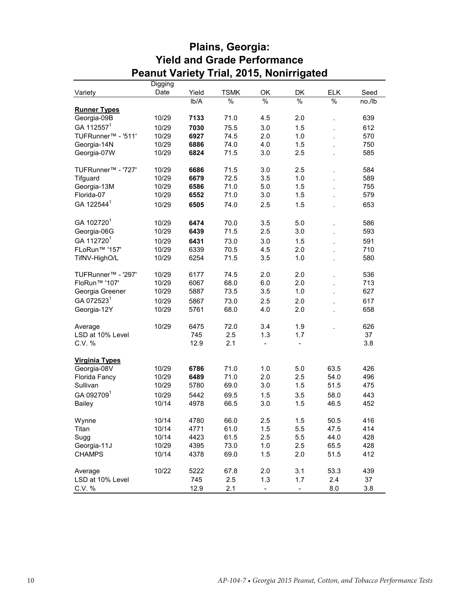|                                |         |       | r canut vancty mai, zu io, ivonimgateu |                          |                          |               |        |  |
|--------------------------------|---------|-------|----------------------------------------|--------------------------|--------------------------|---------------|--------|--|
|                                | Digging |       |                                        |                          |                          |               |        |  |
| Variety                        | Date    | Yield | <b>TSMK</b>                            | OK                       | DK                       | <b>ELK</b>    | Seed   |  |
|                                |         | lb/A  | $\frac{0}{0}$                          | $\frac{0}{6}$            | $\frac{1}{2}$            | $\frac{1}{2}$ | no./lb |  |
| <b>Runner Types</b>            |         |       |                                        |                          |                          |               |        |  |
| Georgia-09B                    | 10/29   | 7133  | 71.0                                   | 4.5                      | 2.0                      |               | 639    |  |
| GA 112557 <sup>1</sup>         | 10/29   | 7030  | 75.5                                   | 3.0                      | 1.5                      | l,            | 612    |  |
| TUFRunner <sup>™</sup> - '511' | 10/29   | 6927  | 74.5                                   | 2.0                      | 1.0                      | l.            | 570    |  |
| Georgia-14N                    | 10/29   | 6886  | 74.0                                   | 4.0                      | 1.5                      |               | 750    |  |
| Georgia-07W                    | 10/29   | 6824  | 71.5                                   | 3.0                      | 2.5                      |               | 585    |  |
|                                |         |       |                                        |                          |                          |               |        |  |
| TUFRunner <sup>™</sup> - '727' | 10/29   | 6686  | 71.5                                   | 3.0                      | 2.5                      |               | 584    |  |
| Tifguard                       | 10/29   | 6679  | 72.5                                   | 3.5                      | 1.0                      |               | 589    |  |
| Georgia-13M                    | 10/29   | 6586  | 71.0                                   | 5.0                      | 1.5                      |               | 755    |  |
| Florida-07                     | 10/29   | 6552  | 71.0                                   | 3.0                      | 1.5                      |               | 579    |  |
| GA 122544 <sup>1</sup>         | 10/29   | 6505  | 74.0                                   | 2.5                      | 1.5                      |               | 653    |  |
|                                |         |       |                                        |                          |                          |               |        |  |
| GA 102720 <sup>1</sup>         | 10/29   | 6474  | 70.0                                   | 3.5                      | 5.0                      |               | 586    |  |
|                                | 10/29   | 6439  | 71.5                                   | 2.5                      | 3.0                      |               | 593    |  |
| Georgia-06G                    |         |       |                                        |                          |                          |               |        |  |
| GA 112720 <sup>1</sup>         | 10/29   | 6431  | 73.0                                   | 3.0                      | 1.5                      |               | 591    |  |
| FLoRun <sup>™</sup> '157'      | 10/29   | 6339  | 70.5                                   | 4.5                      | 2.0                      |               | 710    |  |
| TifNV-HighO/L                  | 10/29   | 6254  | 71.5                                   | 3.5                      | 1.0                      |               | 580    |  |
|                                |         |       |                                        |                          |                          |               |        |  |
| TUFRunner <sup>™</sup> - '297' | 10/29   | 6177  | 74.5                                   | 2.0                      | 2.0                      |               | 536    |  |
| FloRun <sup>™</sup> '107'      | 10/29   | 6067  | 68.0                                   | 6.0                      | 2.0                      | l,            | 713    |  |
| Georgia Greener                | 10/29   | 5887  | 73.5                                   | 3.5                      | 1.0                      |               | 627    |  |
| GA 0725231                     | 10/29   | 5867  | 73.0                                   | 2.5                      | 2.0                      |               | 617    |  |
| Georgia-12Y                    | 10/29   | 5761  | 68.0                                   | 4.0                      | 2.0                      |               | 658    |  |
|                                |         |       |                                        |                          |                          |               |        |  |
| Average                        | 10/29   | 6475  | 72.0                                   | 3.4                      | 1.9                      |               | 626    |  |
| LSD at 10% Level               |         | 745   | 2.5                                    | 1.3                      | 1.7                      |               | 37     |  |
| C.V. %                         |         | 12.9  | 2.1                                    | $\overline{\phantom{0}}$ | $\frac{1}{2}$            |               | 3.8    |  |
|                                |         |       |                                        |                          |                          |               |        |  |
| <b>Virginia Types</b>          |         |       |                                        |                          |                          |               |        |  |
| Georgia-08V                    | 10/29   | 6786  | 71.0                                   | 1.0                      | 5.0                      | 63.5          | 426    |  |
| Florida Fancy                  | 10/29   | 6489  | 71.0                                   | 2.0                      | 2.5                      | 54.0          | 496    |  |
| Sullivan                       | 10/29   | 5780  | 69.0                                   | 3.0                      | 1.5                      | 51.5          | 475    |  |
| GA 0927091                     | 10/29   | 5442  | 69.5                                   | 1.5                      | 3.5                      | 58.0          | 443    |  |
| <b>Bailey</b>                  | 10/14   | 4978  | 66.5                                   | 3.0                      | 1.5                      | 46.5          | 452    |  |
|                                |         |       |                                        |                          |                          |               |        |  |
| Wynne                          | 10/14   | 4780  | 66.0                                   | 2.5                      | 1.5                      | 50.5          | 416    |  |
| Titan                          | 10/14   | 4771  | 61.0                                   | 1.5                      | 5.5                      | 47.5          | 414    |  |
| Sugg                           | 10/14   | 4423  | 61.5                                   | 2.5                      | 5.5                      | 44.0          | 428    |  |
| Georgia-11J                    | 10/29   | 4395  | 73.0                                   | 1.0                      | 2.5                      | 65.5          | 428    |  |
| <b>CHAMPS</b>                  | 10/14   | 4378  | 69.0                                   | 1.5                      | 2.0                      | 51.5          | 412    |  |
|                                |         |       |                                        |                          |                          |               |        |  |
| Average                        | 10/22   | 5222  | 67.8                                   | 2.0                      | 3.1                      | 53.3          | 439    |  |
| LSD at 10% Level               |         | 745   | 2.5                                    | 1.3                      | 1.7                      | 2.4           | 37     |  |
| C.V. %                         |         | 12.9  | 2.1                                    |                          | $\overline{\phantom{0}}$ | 8.0           | 3.8    |  |

## **Plains, Georgia: Yield and Grade Performance Peanut Variety Trial, 2015, Nonirrigated**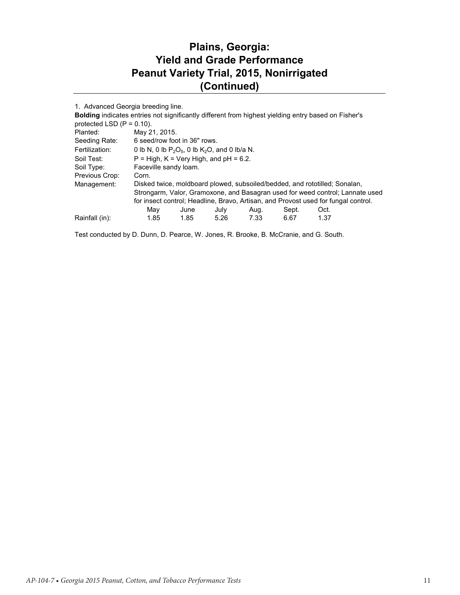#### **Plains, Georgia: Yield and Grade Performance Peanut Variety Trial, 2015, Nonirrigated (Continued)**

1. Advanced Georgia breeding line.

| <b>Bolding indicates entries not significantly different from highest yielding entry based on Fisher's</b> |                                                                                    |                                          |      |      |       |      |  |  |  |
|------------------------------------------------------------------------------------------------------------|------------------------------------------------------------------------------------|------------------------------------------|------|------|-------|------|--|--|--|
| protected LSD $(P = 0.10)$ .                                                                               |                                                                                    |                                          |      |      |       |      |  |  |  |
| Planted:                                                                                                   | May 21, 2015.                                                                      |                                          |      |      |       |      |  |  |  |
| Seeding Rate:                                                                                              |                                                                                    | 6 seed/row foot in 36" rows.             |      |      |       |      |  |  |  |
| Fertilization:                                                                                             | 0 lb N, 0 lb $P_2O_5$ , 0 lb K <sub>2</sub> O, and 0 lb/a N.                       |                                          |      |      |       |      |  |  |  |
| Soil Test:                                                                                                 |                                                                                    | $P = High, K = Very High, and pH = 6.2.$ |      |      |       |      |  |  |  |
| Soil Type:                                                                                                 | Faceville sandy loam.                                                              |                                          |      |      |       |      |  |  |  |
| Previous Crop:                                                                                             | Corn.                                                                              |                                          |      |      |       |      |  |  |  |
| Management:                                                                                                | Disked twice, moldboard plowed, subsoiled/bedded, and rototilled; Sonalan,         |                                          |      |      |       |      |  |  |  |
|                                                                                                            | Strongarm, Valor, Gramoxone, and Basagran used for weed control; Lannate used      |                                          |      |      |       |      |  |  |  |
|                                                                                                            | for insect control; Headline, Bravo, Artisan, and Provost used for fungal control. |                                          |      |      |       |      |  |  |  |
|                                                                                                            | Mav                                                                                | June                                     | July | Aug. | Sept. | Oct. |  |  |  |
| Rainfall (in):                                                                                             | 1.85                                                                               | 1.85                                     | 5.26 | 7.33 | 6.67  | 1.37 |  |  |  |

Test conducted by D. Dunn, D. Pearce, W. Jones, R. Brooke, B. McCranie, and G. South.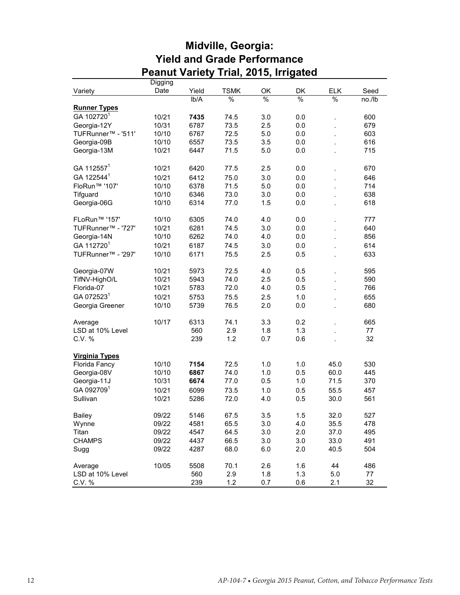|                                | Digging |       |             |     |               |                |        |
|--------------------------------|---------|-------|-------------|-----|---------------|----------------|--------|
| Variety                        | Date    | Yield | <b>TSMK</b> | OK  | <b>DK</b>     | <b>ELK</b>     | Seed   |
|                                |         | lb/A  | %           | %   | $\frac{9}{6}$ | $\frac{0}{0}$  | no./lb |
| <b>Runner Types</b>            |         |       |             |     |               |                |        |
| GA 102720 <sup>1</sup>         | 10/21   | 7435  | 74.5        | 3.0 | 0.0           |                | 600    |
| Georgia-12Y                    | 10/31   | 6787  | 73.5        | 2.5 | 0.0           |                | 679    |
| TUFRunner <sup>™</sup> - '511' | 10/10   | 6767  | 72.5        | 5.0 | 0.0           |                | 603    |
| Georgia-09B                    | 10/10   | 6557  | 73.5        | 3.5 | 0.0           | $\overline{a}$ | 616    |
| Georgia-13M                    | 10/21   | 6447  | 71.5        | 5.0 | 0.0           |                | 715    |
| GA 112557 <sup>1</sup>         | 10/21   | 6420  | 77.5        | 2.5 | 0.0           |                | 670    |
| GA 122544 <sup>1</sup>         | 10/21   | 6412  | 75.0        | 3.0 | 0.0           |                | 646    |
| FloRun <sup>™</sup> '107'      | 10/10   | 6378  | 71.5        | 5.0 | 0.0           |                | 714    |
| Tifguard                       | 10/10   | 6346  | 73.0        | 3.0 | 0.0           |                | 638    |
| Georgia-06G                    | 10/10   | 6314  | 77.0        | 1.5 | 0.0           |                | 618    |
| FLoRun <sup>™</sup> '157'      | 10/10   | 6305  | 74.0        | 4.0 | 0.0           |                | 777    |
| TUFRunner™ - '727'             | 10/21   | 6281  | 74.5        | 3.0 | 0.0           | $\overline{a}$ | 640    |
| Georgia-14N                    | 10/10   | 6262  | 74.0        | 4.0 | 0.0           | $\overline{a}$ | 856    |
| GA 112720 <sup>1</sup>         | 10/21   | 6187  | 74.5        | 3.0 | 0.0           | $\overline{a}$ | 614    |
| TUFRunner <sup>™</sup> - '297' | 10/10   | 6171  | 75.5        | 2.5 | 0.5           |                | 633    |
| Georgia-07W                    | 10/21   | 5973  | 72.5        | 4.0 | 0.5           |                | 595    |
| TifNV-HighO/L                  | 10/21   | 5943  | 74.0        | 2.5 | 0.5           |                | 590    |
| Florida-07                     | 10/21   | 5783  | 72.0        | 4.0 | 0.5           |                | 766    |
| GA 072523 <sup>1</sup>         | 10/21   | 5753  | 75.5        | 2.5 | 1.0           |                | 655    |
| Georgia Greener                | 10/10   | 5739  | 76.5        | 2.0 | 0.0           |                | 680    |
| Average                        | 10/17   | 6313  | 74.1        | 3.3 | 0.2           |                | 665    |
| LSD at 10% Level               |         | 560   | 2.9         | 1.8 | 1.3           |                | 77     |
| C.V. %                         |         | 239   | 1.2         | 0.7 | 0.6           |                | 32     |
| <b>Virginia Types</b>          |         |       |             |     |               |                |        |
| Florida Fancy                  | 10/10   | 7154  | 72.5        | 1.0 | 1.0           | 45.0           | 530    |
| Georgia-08V                    | 10/10   | 6867  | 74.0        | 1.0 | 0.5           | 60.0           | 445    |
| Georgia-11J                    | 10/31   | 6674  | 77.0        | 0.5 | 1.0           | 71.5           | 370    |
| GA 0927091                     | 10/21   | 6099  | 73.5        | 1.0 | 0.5           | 55.5           | 457    |
| Sullivan                       | 10/21   | 5286  | 72.0        | 4.0 | 0.5           | 30.0           | 561    |
| <b>Bailey</b>                  | 09/22   | 5146  | 67.5        | 3.5 | 1.5           | 32.0           | 527    |
| Wynne                          | 09/22   | 4581  | 65.5        | 3.0 | 4.0           | 35.5           | 478    |
| Titan                          | 09/22   | 4547  | 64.5        | 3.0 | 2.0           | 37.0           | 495    |
| <b>CHAMPS</b>                  | 09/22   | 4437  | 66.5        | 3.0 | 3.0           | 33.0           | 491    |
| Sugg                           | 09/22   | 4287  | 68.0        | 6.0 | 2.0           | 40.5           | 504    |
| Average                        | 10/05   | 5508  | 70.1        | 2.6 | 1.6           | 44             | 486    |
| LSD at 10% Level               |         | 560   | 2.9         | 1.8 | 1.3           | 5.0            | 77     |
| C.V. %                         |         | 239   | 1.2         | 0.7 | 0.6           | 2.1            | 32     |

#### **Midville, Georgia: Yield and Grade Performance Peanut Variety Trial, 2015, Irrigated**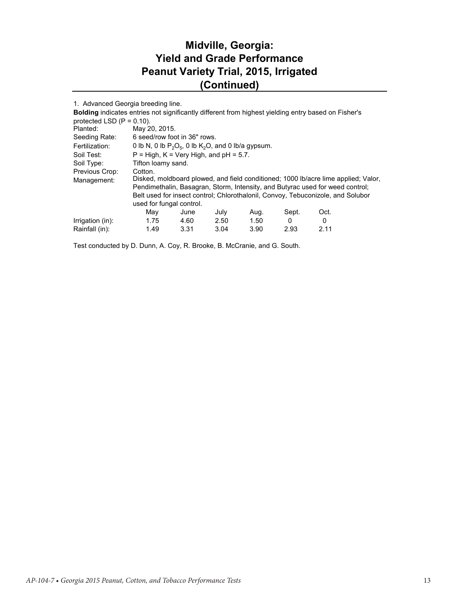## **Midville, Georgia: Yield and Grade Performance Peanut Variety Trial, 2015, Irrigated (Continued)**

| 1. Advanced Georgia breeding line.                                                                         |                                                                                    |               |      |      |       |      |  |  |  |
|------------------------------------------------------------------------------------------------------------|------------------------------------------------------------------------------------|---------------|------|------|-------|------|--|--|--|
| <b>Bolding indicates entries not significantly different from highest yielding entry based on Fisher's</b> |                                                                                    |               |      |      |       |      |  |  |  |
| protected LSD $(P = 0.10)$ .                                                                               |                                                                                    |               |      |      |       |      |  |  |  |
| Planted:                                                                                                   |                                                                                    | May 20, 2015. |      |      |       |      |  |  |  |
| Seeding Rate:                                                                                              | 6 seed/row foot in 36" rows.                                                       |               |      |      |       |      |  |  |  |
| Fertilization:                                                                                             | 0 lb N, 0 lb $P_2O_5$ , 0 lb $K_2O$ , and 0 lb/a gypsum.                           |               |      |      |       |      |  |  |  |
| Soil Test:                                                                                                 | $P = High, K = Very High, and pH = 5.7.$                                           |               |      |      |       |      |  |  |  |
| Soil Type:                                                                                                 | Tifton loamy sand.                                                                 |               |      |      |       |      |  |  |  |
| Previous Crop:                                                                                             | Cotton.                                                                            |               |      |      |       |      |  |  |  |
| Management:                                                                                                | Disked, moldboard plowed, and field conditioned; 1000 lb/acre lime applied; Valor, |               |      |      |       |      |  |  |  |
|                                                                                                            | Pendimethalin, Basagran, Storm, Intensity, and Butyrac used for weed control;      |               |      |      |       |      |  |  |  |
|                                                                                                            | Belt used for insect control; Chlorothalonil, Convoy, Tebuconizole, and Solubor    |               |      |      |       |      |  |  |  |
|                                                                                                            | used for fungal control.                                                           |               |      |      |       |      |  |  |  |
|                                                                                                            | Mav                                                                                | June          | July | Aug. | Sept. | Oct. |  |  |  |
| Irrigation (in):                                                                                           | 1.75                                                                               | 4.60          | 2.50 | 1.50 | 0     | 0    |  |  |  |
| Rainfall (in):                                                                                             | 1.49                                                                               | 3.31          | 3.04 | 3.90 | 2.93  | 2.11 |  |  |  |

Test conducted by D. Dunn, A. Coy, R. Brooke, B. McCranie, and G. South.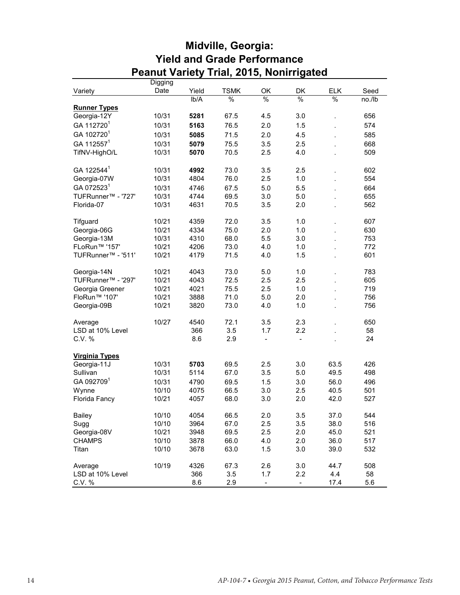|                                | Digging |       |               |                          |                          |               |        |
|--------------------------------|---------|-------|---------------|--------------------------|--------------------------|---------------|--------|
| Variety                        | Date    | Yield | <b>TSMK</b>   | OK                       | <b>DK</b>                | <b>ELK</b>    | Seed   |
|                                |         | lb/A  | $\frac{9}{6}$ | %                        | %                        | $\frac{0}{0}$ | no./lb |
| <b>Runner Types</b>            |         |       |               |                          |                          |               |        |
| Georgia-12Y                    | 10/31   | 5281  | 67.5          | 4.5                      | 3.0                      |               | 656    |
| GA 112720 <sup>1</sup>         | 10/31   | 5163  | 76.5          | 2.0                      | 1.5                      |               | 574    |
| GA 102720 <sup>1</sup>         | 10/31   | 5085  | 71.5          | 2.0                      | 4.5                      |               | 585    |
| GA 112557 <sup>1</sup>         | 10/31   | 5079  | 75.5          | 3.5                      | 2.5                      |               | 668    |
| TifNV-HighO/L                  | 10/31   | 5070  | 70.5          | 2.5                      | 4.0                      |               | 509    |
|                                |         |       |               |                          |                          |               |        |
| GA 122544 <sup>1</sup>         | 10/31   | 4992  | 73.0          | 3.5                      | 2.5                      |               | 602    |
| Georgia-07W                    | 10/31   | 4804  | 76.0          | 2.5                      | 1.0                      |               | 554    |
| GA 0725231                     | 10/31   | 4746  | 67.5          | 5.0                      | 5.5                      |               | 664    |
| TUFRunner <sup>™</sup> - '727' | 10/31   | 4744  | 69.5          | 3.0                      | 5.0                      |               | 655    |
| Florida-07                     | 10/31   | 4631  | 70.5          | 3.5                      | 2.0                      |               | 562    |
|                                |         |       |               |                          |                          |               |        |
| Tifguard                       | 10/21   | 4359  | 72.0          | 3.5                      | 1.0                      |               | 607    |
| Georgia-06G                    | 10/21   | 4334  | 75.0          | 2.0                      | 1.0                      |               | 630    |
| Georgia-13M                    | 10/31   | 4310  | 68.0          | 5.5                      | 3.0                      |               | 753    |
| FLoRun <sup>™</sup> '157'      | 10/21   | 4206  | 73.0          | 4.0                      | 1.0                      |               | 772    |
| TUFRunner <sup>™</sup> - '511' | 10/21   | 4179  | 71.5          | 4.0                      | 1.5                      |               | 601    |
|                                |         |       |               |                          |                          |               |        |
| Georgia-14N                    | 10/21   | 4043  | 73.0          | 5.0                      | 1.0                      |               | 783    |
| TUFRunner <sup>™</sup> - '297' | 10/21   | 4043  | 72.5          | 2.5                      | 2.5                      |               | 605    |
| Georgia Greener                | 10/21   | 4021  | 75.5          | 2.5                      | 1.0                      |               | 719    |
| FloRun <sup>™</sup> '107'      | 10/21   | 3888  | 71.0          | 5.0                      | 2.0                      |               | 756    |
| Georgia-09B                    | 10/21   | 3820  | 73.0          | 4.0                      | 1.0                      |               | 756    |
|                                |         |       |               |                          |                          |               |        |
| Average                        | 10/27   | 4540  | 72.1          | 3.5                      | 2.3                      |               | 650    |
| LSD at 10% Level               |         | 366   | 3.5           | 1.7                      | 2.2                      |               | 58     |
| C.V. %                         |         | 8.6   | 2.9           | $\frac{1}{2}$            | $\overline{\phantom{a}}$ |               | 24     |
| <b>Virginia Types</b>          |         |       |               |                          |                          |               |        |
| Georgia-11J                    | 10/31   | 5703  | 69.5          | 2.5                      | 3.0                      | 63.5          | 426    |
| Sullivan                       | 10/31   | 5114  | 67.0          | 3.5                      | 5.0                      | 49.5          | 498    |
| GA 0927091                     | 10/31   | 4790  | 69.5          | 1.5                      | 3.0                      | 56.0          | 496    |
| Wynne                          | 10/10   | 4075  | 66.5          | 3.0                      | 2.5                      | 40.5          | 501    |
| Florida Fancy                  | 10/21   | 4057  | 68.0          | 3.0                      | 2.0                      | 42.0          | 527    |
|                                |         |       |               |                          |                          |               |        |
| <b>Bailey</b>                  | 10/10   | 4054  | 66.5          | 2.0                      | 3.5                      | 37.0          | 544    |
| Sugg                           | 10/10   | 3964  | 67.0          | 2.5                      | 3.5                      | 38.0          | 516    |
| Georgia-08V                    | 10/21   | 3948  | 69.5          | 2.5                      | 2.0                      | 45.0          | 521    |
| <b>CHAMPS</b>                  | 10/10   | 3878  | 66.0          | 4.0                      | 2.0                      | 36.0          | 517    |
| Titan                          | 10/10   | 3678  | 63.0          | 1.5                      | 3.0                      | 39.0          | 532    |
|                                |         |       |               |                          |                          |               |        |
| Average                        | 10/19   | 4326  | 67.3          | 2.6                      | 3.0                      | 44.7          | 508    |
| LSD at 10% Level               |         | 366   | 3.5           | 1.7                      | 2.2                      | 4.4           | 58     |
| C.V. %                         |         | 8.6   | 2.9           | $\overline{\phantom{0}}$ | $\overline{\phantom{0}}$ | 17.4          | 5.6    |

#### **Midville, Georgia: Yield and Grade Performance Peanut Variety Trial, 2015, Nonirrigated**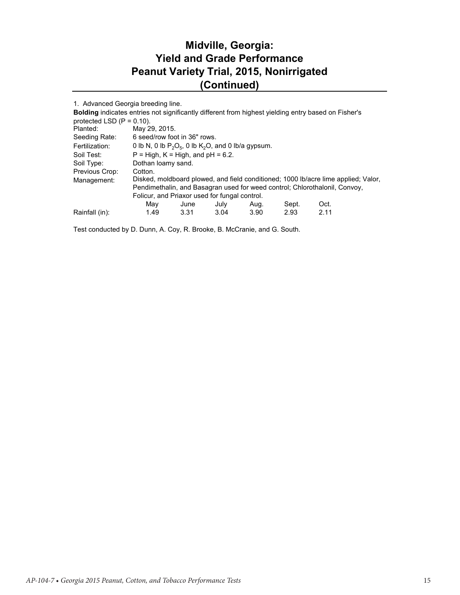## **Midville, Georgia: Yield and Grade Performance Peanut Variety Trial, 2015, Nonirrigated (Continued)**

| 1. Advanced Georgia breeding line.                                                                         |                                                          |                              |      |      |       |                                                                                    |  |  |  |
|------------------------------------------------------------------------------------------------------------|----------------------------------------------------------|------------------------------|------|------|-------|------------------------------------------------------------------------------------|--|--|--|
| <b>Bolding indicates entries not significantly different from highest yielding entry based on Fisher's</b> |                                                          |                              |      |      |       |                                                                                    |  |  |  |
| protected LSD $(P = 0.10)$ .                                                                               |                                                          |                              |      |      |       |                                                                                    |  |  |  |
| Planted:                                                                                                   | May 29, 2015.                                            |                              |      |      |       |                                                                                    |  |  |  |
| Seeding Rate:                                                                                              |                                                          | 6 seed/row foot in 36" rows. |      |      |       |                                                                                    |  |  |  |
| Fertilization:                                                                                             | 0 lb N, 0 lb $P_2O_5$ , 0 lb $K_2O$ , and 0 lb/a gypsum. |                              |      |      |       |                                                                                    |  |  |  |
| Soil Test:                                                                                                 | $P = High, K = High, and pH = 6.2.$                      |                              |      |      |       |                                                                                    |  |  |  |
| Soil Type:                                                                                                 | Dothan loamy sand.                                       |                              |      |      |       |                                                                                    |  |  |  |
| Previous Crop:                                                                                             | Cotton.                                                  |                              |      |      |       |                                                                                    |  |  |  |
| Management:                                                                                                |                                                          |                              |      |      |       | Disked, moldboard plowed, and field conditioned; 1000 lb/acre lime applied; Valor, |  |  |  |
|                                                                                                            |                                                          |                              |      |      |       | Pendimethalin, and Basagran used for weed control; Chlorothalonil, Convoy,         |  |  |  |
|                                                                                                            | Folicur, and Priaxor used for fungal control.            |                              |      |      |       |                                                                                    |  |  |  |
|                                                                                                            | May                                                      | June                         | July | Aug. | Sept. | Oct.                                                                               |  |  |  |
| Rainfall (in):                                                                                             | 1.49                                                     | 3.31                         | 3.04 | 3.90 | 2.93  | 2.11                                                                               |  |  |  |

Test conducted by D. Dunn, A. Coy, R. Brooke, B. McCranie, and G. South.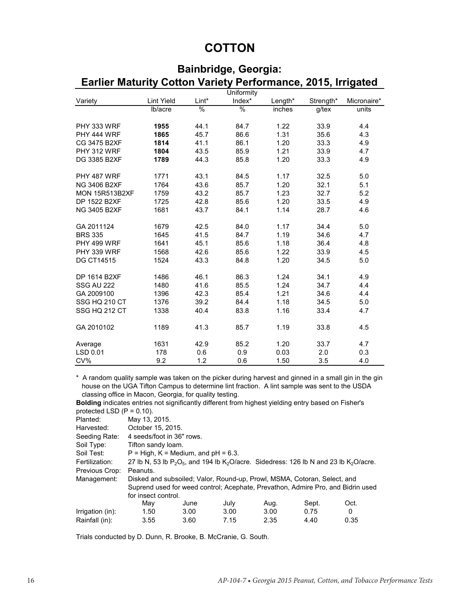## **COTTON**

| Earlier Maturity Cotton Variety Performance, 2015, Irrigated |                   |       |            |         |           |             |
|--------------------------------------------------------------|-------------------|-------|------------|---------|-----------|-------------|
|                                                              |                   |       | Uniformity |         |           |             |
| Variety                                                      | <b>Lint Yield</b> | Lint* | Index*     | Length* | Strength* | Micronaire* |
|                                                              | Ib/acre           | $\%$  | %          | inches  | g/tex     | units       |
| PHY 333 WRF                                                  | 1955              | 44.1  | 84.7       | 1.22    | 33.9      | 4.4         |
| PHY 444 WRF                                                  | 1865              | 45.7  | 86.6       | 1.31    | 35.6      | 4.3         |
| CG 3475 B2XF                                                 | 1814              | 41.1  | 86.1       | 1.20    | 33.3      | 4.9         |
| PHY 312 WRF                                                  | 1804              | 43.5  | 85.9       | 1.21    | 33.9      | 4.7         |
| DG 3385 B2XF                                                 | 1789              | 44.3  | 85.8       | 1.20    | 33.3      | 4.9         |
| PHY 487 WRF                                                  | 1771              | 43.1  | 84.5       | 1.17    | 32.5      | 5.0         |
| NG 3406 B2XF                                                 | 1764              | 43.6  | 85.7       | 1.20    | 32.1      | 5.1         |
| <b>MON 15R513B2XF</b>                                        | 1759              | 43.2  | 85.7       | 1.23    | 32.7      | 5.2         |
| DP 1522 B2XF                                                 | 1725              | 42.8  | 85.6       | 1.20    | 33.5      | 4.9         |
| NG 3405 B2XF                                                 | 1681              | 43.7  | 84.1       | 1.14    | 28.7      | 4.6         |
| GA 2011124                                                   | 1679              | 42.5  | 84.0       | 1.17    | 34.4      | 5.0         |
| <b>BRS 335</b>                                               | 1645              | 41.5  | 84.7       | 1.19    | 34.6      | 4.7         |
| PHY 499 WRF                                                  | 1641              | 45.1  | 85.6       | 1.18    | 36.4      | 4.8         |
| PHY 339 WRF                                                  | 1568              | 42.6  | 85.6       | 1.22    | 33.9      | 4.5         |
| <b>DG CT14515</b>                                            | 1524              | 43.3  | 84.8       | 1.20    | 34.5      | 5.0         |
| DP 1614 B2XF                                                 | 1486              | 46.1  | 86.3       | 1.24    | 34.1      | 4.9         |
| <b>SSG AU 222</b>                                            | 1480              | 41.6  | 85.5       | 1.24    | 34.7      | 4.4         |
| GA 2009100                                                   | 1396              | 42.3  | 85.4       | 1.21    | 34.6      | 4.4         |
| SSG HQ 210 CT                                                | 1376              | 39.2  | 84.4       | 1.18    | 34.5      | 5.0         |
| SSG HQ 212 CT                                                | 1338              | 40.4  | 83.8       | 1.16    | 33.4      | 4.7         |
| GA 2010102                                                   | 1189              | 41.3  | 85.7       | 1.19    | 33.8      | 4.5         |
| Average                                                      | 1631              | 42.9  | 85.2       | 1.20    | 33.7      | 4.7         |
| LSD 0.01                                                     | 178               | 0.6   | 0.9        | 0.03    | 2.0       | 0.3         |
| CV%                                                          | 9.2               | 1.2   | 0.6        | 1.50    | 3.5       | 4.0         |

# **Bainbridge, Georgia:**

\* A random quality sample was taken on the picker during harvest and ginned in a small gin in the gin house on the UGA Tifton Campus to determine lint fraction. A lint sample was sent to the USDA classing office in Macon, Georgia, for quality testing.

**Bolding** indicates entries not significantly different from highest yielding entry based on Fisher's protected LSD  $(P = 0.10)$ .

| p: otooto = = o = 1: | .                                                                        |                                                                                                |      |      |       |                                                                                 |  |  |  |  |  |
|----------------------|--------------------------------------------------------------------------|------------------------------------------------------------------------------------------------|------|------|-------|---------------------------------------------------------------------------------|--|--|--|--|--|
| Planted:             | May 13, 2015.                                                            |                                                                                                |      |      |       |                                                                                 |  |  |  |  |  |
| Harvested:           | October 15, 2015.                                                        |                                                                                                |      |      |       |                                                                                 |  |  |  |  |  |
| Seeding Rate:        | 4 seeds/foot in 36" rows.                                                |                                                                                                |      |      |       |                                                                                 |  |  |  |  |  |
| Soil Type:           |                                                                          | Tifton sandy loam.                                                                             |      |      |       |                                                                                 |  |  |  |  |  |
| Soil Test:           | $P = High, K = Medium, and pH = 6.3.$                                    |                                                                                                |      |      |       |                                                                                 |  |  |  |  |  |
| Fertilization:       |                                                                          | 27 lb N, 53 lb $P_2O_5$ , and 194 lb $K_2O$ /acre. Sidedress: 126 lb N and 23 lb $K_2O$ /acre. |      |      |       |                                                                                 |  |  |  |  |  |
| Previous Crop:       | Peanuts.                                                                 |                                                                                                |      |      |       |                                                                                 |  |  |  |  |  |
| Management:          | Disked and subsoiled; Valor, Round-up, Prowl, MSMA, Cotoran, Select, and |                                                                                                |      |      |       |                                                                                 |  |  |  |  |  |
|                      |                                                                          |                                                                                                |      |      |       | Suprend used for weed control; Acephate, Prevathon, Admire Pro, and Bidrin used |  |  |  |  |  |
|                      | for insect control.                                                      |                                                                                                |      |      |       |                                                                                 |  |  |  |  |  |
|                      | May                                                                      | June                                                                                           | July | Aug. | Sept. | Oct.                                                                            |  |  |  |  |  |
| Irrigation (in):     | 1.50                                                                     | 3.00                                                                                           | 3.00 | 3.00 | 0.75  | 0                                                                               |  |  |  |  |  |
| Rainfall (in):       | 3.55                                                                     | 3.60                                                                                           | 7.15 | 2.35 | 4.40  | 0.35                                                                            |  |  |  |  |  |
|                      |                                                                          |                                                                                                |      |      |       |                                                                                 |  |  |  |  |  |

Trials conducted by D. Dunn, R. Brooke, B. McCranie, G. South.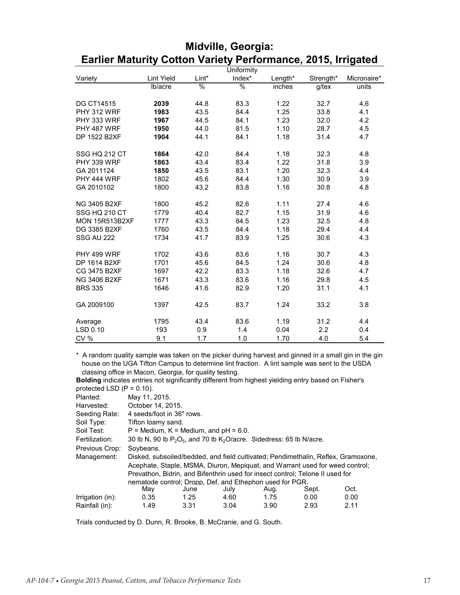|                       |                   |       | Uniformity    |         |           |             |
|-----------------------|-------------------|-------|---------------|---------|-----------|-------------|
| Variety               | <b>Lint Yield</b> | Lint* | Index*        | Length* | Strength* | Micronaire* |
|                       | Ib/acre           | %     | $\frac{0}{6}$ | inches  | $g$ /tex  | units       |
|                       |                   |       |               |         |           |             |
| <b>DG CT14515</b>     | 2039              | 44.8  | 83.3          | 1.22    | 32.7      | 4.6         |
| PHY 312 WRF           | 1983              | 43.5  | 84.4          | 1.25    | 33.8      | 4.1         |
| PHY 333 WRF           | 1967              | 44.5  | 84.1          | 1.23    | 32.0      | 4.2         |
| PHY 487 WRF           | 1950              | 44.0  | 81.5          | 1.10    | 28.7      | 4.5         |
| DP 1522 B2XF          | 1904              | 44.1  | 84.1          | 1.18    | 31.4      | 4.7         |
|                       |                   |       |               |         |           |             |
| SSG HQ 212 CT         | 1864              | 42.0  | 84.4          | 1.18    | 32.3      | 4.8         |
| <b>PHY 339 WRF</b>    | 1863              | 43.4  | 83.4          | 1.22    | 31.8      | 3.9         |
| GA 2011124            | 1850              | 43.5  | 83.1          | 1.20    | 32.3      | 4.4         |
| PHY 444 WRF           | 1802              | 45.6  | 84.4          | 1.30    | 30.9      | 3.9         |
| GA 2010102            | 1800              | 43.2  | 83.8          | 1.16    | 30.8      | 4.8         |
|                       |                   |       |               |         |           |             |
| <b>NG 3405 B2XF</b>   | 1800              | 45.2  | 82.6          | 1.11    | 27.4      | 4.6         |
| SSG HQ 210 CT         | 1779              | 40.4  | 82.7          | 1.15    | 31.9      | 4.6         |
| <b>MON 15R513B2XF</b> | 1777              | 43.3  | 84.5          | 1.23    | 32.5      | 4.8         |
| DG 3385 B2XF          | 1760              | 43.5  | 84.4          | 1.18    | 29.4      | 4.4         |
| <b>SSG AU 222</b>     | 1734              | 41.7  | 83.9          | 1.25    | 30.6      | 4.3         |
|                       |                   |       |               |         |           |             |
| PHY 499 WRF           | 1702              | 43.6  | 83.6          | 1.16    | 30.7      | 4.3         |
| DP 1614 B2XF          | 1701              | 45.6  | 84.5          | 1.24    | 30.6      | 4.8         |
| CG 3475 B2XF          | 1697              | 42.2  | 83.3          | 1.18    | 32.6      | 4.7         |
| NG 3406 B2XF          | 1671              | 43.3  | 83.6          | 1.16    | 29.8      | 4.5         |
| <b>BRS 335</b>        | 1646              | 41.6  | 82.9          | 1.20    | 31.1      | 4.1         |
|                       |                   |       |               |         |           |             |
| GA 2009100            | 1397              | 42.5  | 83.7          | 1.24    | 33.2      | 3.8         |
|                       |                   |       |               |         |           |             |
| Average               | 1795              | 43.4  | 83.6          | 1.19    | 31.2      | 4.4         |
| LSD 0.10              | 193               | 0.9   | 1.4           | 0.04    | 2.2       | 0.4         |
| <b>CV %</b>           | 9.1               | 1.7   | 1.0           | 1.70    | 4.0       | 5.4         |

#### **Midville, Georgia: Earlier Maturity Cotton Variety Performance, 2015, Irrigated**

\* A random quality sample was taken on the picker during harvest and ginned in a small gin in the gin house on the UGA Tifton Campus to determine lint fraction. A lint sample was sent to the USDA classing office in Macon, Georgia, for quality testing.

**Bolding** indicates entries not significantly different from highest yielding entry based on Fisher's protected LSD  $(P = 0.10)$ .

| piv.vv.vv LVD (1 |                           |                                                                            |      |      |                                                                               |                                                                                   |  |  |  |  |
|------------------|---------------------------|----------------------------------------------------------------------------|------|------|-------------------------------------------------------------------------------|-----------------------------------------------------------------------------------|--|--|--|--|
| Planted:         | May 11, 2015.             |                                                                            |      |      |                                                                               |                                                                                   |  |  |  |  |
| Harvested:       | October 14, 2015.         |                                                                            |      |      |                                                                               |                                                                                   |  |  |  |  |
| Seeding Rate:    | 4 seeds/foot in 36" rows. |                                                                            |      |      |                                                                               |                                                                                   |  |  |  |  |
| Soil Type:       | Tifton loamy sand.        |                                                                            |      |      |                                                                               |                                                                                   |  |  |  |  |
| Soil Test:       |                           | $P =$ Medium, $K =$ Medium, and $pH = 6.0$ .                               |      |      |                                                                               |                                                                                   |  |  |  |  |
| Fertilization:   |                           | 30 lb N, 90 lb $P_2O_5$ , and 70 lb $K_2O$ /acre. Sidedress: 65 lb N/acre. |      |      |                                                                               |                                                                                   |  |  |  |  |
| Previous Crop:   | Soybeans.                 |                                                                            |      |      |                                                                               |                                                                                   |  |  |  |  |
| Management:      |                           |                                                                            |      |      |                                                                               | Disked, subsoiled/bedded, and field cultivated; Pendimethalin, Reflex, Gramoxone, |  |  |  |  |
|                  |                           |                                                                            |      |      | Acephate, Staple, MSMA, Diuron, Mepiquat, and Warrant used for weed control;  |                                                                                   |  |  |  |  |
|                  |                           |                                                                            |      |      | Prevathon, Bidrin, and Bifenthrin used for insect control; Telone II used for |                                                                                   |  |  |  |  |
|                  |                           | nematode control: Dropp. Def. and Ethephon used for PGR.                   |      |      |                                                                               |                                                                                   |  |  |  |  |
|                  | May                       | June                                                                       | July | Aug. | Sept.                                                                         | Oct.                                                                              |  |  |  |  |
| Irrigation (in): | 0.35                      | 1.25                                                                       | 4.60 | 1.75 | 0.00                                                                          | 0.00                                                                              |  |  |  |  |
| Rainfall (in):   | 1.49                      | 3.31                                                                       | 3.04 | 3.90 | 2.93                                                                          | 2.11                                                                              |  |  |  |  |
|                  |                           |                                                                            |      |      |                                                                               |                                                                                   |  |  |  |  |

Trials conducted by D. Dunn, R. Brooke, B. McCranie, and G. South.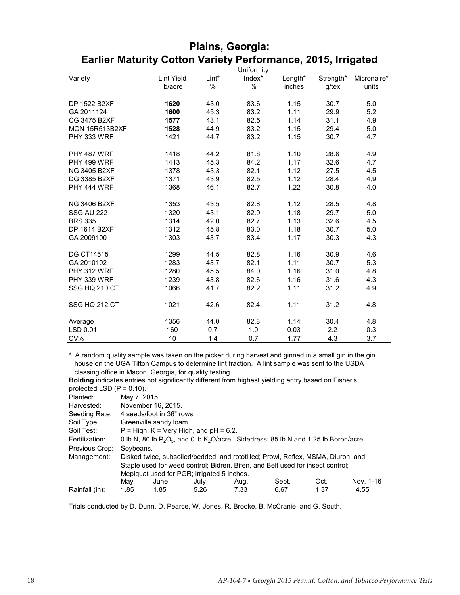|                       |                   |               | Uniformity    |         |           |             |
|-----------------------|-------------------|---------------|---------------|---------|-----------|-------------|
| Variety               | <b>Lint Yield</b> | Lint*         | Index*        | Length* | Strength* | Micronaire* |
|                       | lb/acre           | $\frac{9}{6}$ | $\frac{1}{2}$ | inches  | $g$ /tex  | units       |
|                       |                   |               |               |         |           |             |
| DP 1522 B2XF          | 1620              | 43.0          | 83.6          | 1.15    | 30.7      | 5.0         |
| GA 2011124            | 1600              | 45.3          | 83.2          | 1.11    | 29.9      | 5.2         |
| CG 3475 B2XF          | 1577              | 43.1          | 82.5          | 1.14    | 31.1      | 4.9         |
| <b>MON 15R513B2XF</b> | 1528              | 44.9          | 83.2          | 1.15    | 29.4      | 5.0         |
| PHY 333 WRF           | 1421              | 44.7          | 83.2          | 1.15    | 30.7      | 4.7         |
| PHY 487 WRF           | 1418              | 44.2          | 81.8          | 1.10    | 28.6      | 4.9         |
| PHY 499 WRF           | 1413              | 45.3          | 84.2          | 1.17    | 32.6      | 4.7         |
| <b>NG 3405 B2XF</b>   | 1378              | 43.3          | 82.1          | 1.12    | 27.5      | 4.5         |
| DG 3385 B2XF          | 1371              | 43.9          | 82.5          | 1.12    | 28.4      | 4.9         |
| PHY 444 WRF           | 1368              | 46.1          | 82.7          | 1.22    | 30.8      | 4.0         |
| <b>NG 3406 B2XF</b>   | 1353              | 43.5          | 82.8          | 1.12    | 28.5      | 4.8         |
| <b>SSG AU 222</b>     | 1320              | 43.1          | 82.9          | 1.18    | 29.7      | 5.0         |
| <b>BRS 335</b>        | 1314              | 42.0          | 82.7          | 1.13    | 32.6      | 4.5         |
| DP 1614 B2XF          | 1312              | 45.8          | 83.0          | 1.18    | 30.7      | 5.0         |
| GA 2009100            | 1303              | 43.7          | 83.4          | 1.17    | 30.3      | 4.3         |
| <b>DG CT14515</b>     | 1299              | 44.5          | 82.8          | 1.16    | 30.9      | 4.6         |
| GA 2010102            | 1283              | 43.7          | 82.1          | 1.11    | 30.7      | 5.3         |
| PHY 312 WRF           | 1280              | 45.5          | 84.0          | 1.16    | 31.0      | 4.8         |
| PHY 339 WRF           | 1239              | 43.8          | 82.6          | 1.16    | 31.6      | 4.3         |
| SSG HQ 210 CT         | 1066              | 41.7          | 82.2          | 1.11    | 31.2      | 4.9         |
| SSG HQ 212 CT         | 1021              | 42.6          | 82.4          | 1.11    | 31.2      | 4.8         |
| Average               | 1356              | 44.0          | 82.8          | 1.14    | 30.4      | 4.8         |
| LSD 0.01              | 160               | 0.7           | 1.0           | 0.03    | 2.2       | 0.3         |
| CV%                   | 10                | 1.4           | 0.7           | 1.77    | 4.3       | 3.7         |

#### **Plains, Georgia: Earlier Maturity Cotton Variety Performance, 2015, Irrigated**

\* A random quality sample was taken on the picker during harvest and ginned in a small gin in the gin house on the UGA Tifton Campus to determine lint fraction. A lint sample was sent to the USDA classing office in Macon, Georgia, for quality testing.

**Bolding** indicates entries not significantly different from highest yielding entry based on Fisher's protected LSD (P = 0.10).

Planted: May 7, 2015.

| Planted:       | May 7, 2015. |                           |                                            |      |                                                                                            |      |           |  |  |  |
|----------------|--------------|---------------------------|--------------------------------------------|------|--------------------------------------------------------------------------------------------|------|-----------|--|--|--|
| Harvested:     |              | November 16, 2015.        |                                            |      |                                                                                            |      |           |  |  |  |
| Seeding Rate:  |              | 4 seeds/foot in 36" rows. |                                            |      |                                                                                            |      |           |  |  |  |
| Soil Type:     |              | Greenville sandy loam.    |                                            |      |                                                                                            |      |           |  |  |  |
| Soil Test:     |              |                           | $P = High, K = Very High, and pH = 6.2.$   |      |                                                                                            |      |           |  |  |  |
| Fertilization: |              |                           |                                            |      | 0 lb N, 80 lb $P_2O_5$ , and 0 lb $K_2O/acre$ . Sidedress: 85 lb N and 1.25 lb Boron/acre. |      |           |  |  |  |
| Previous Crop: | Soybeans.    |                           |                                            |      |                                                                                            |      |           |  |  |  |
| Management:    |              |                           |                                            |      | Disked twice, subsoiled/bedded, and rototilled; Prowl, Reflex, MSMA, Diuron, and           |      |           |  |  |  |
|                |              |                           |                                            |      | Staple used for weed control; Bidren, Bifen, and Belt used for insect control;             |      |           |  |  |  |
|                |              |                           | Mepiquat used for PGR; irrigated 5 inches. |      |                                                                                            |      |           |  |  |  |
|                | May          | June                      | July                                       | Aug. | Sept.                                                                                      | Oct. | Nov. 1-16 |  |  |  |
| Rainfall (in): | 1.85         | 1.85                      | 5.26                                       | 7.33 | 6.67                                                                                       | 1.37 | 4.55      |  |  |  |
|                |              |                           |                                            |      |                                                                                            |      |           |  |  |  |

Trials conducted by D. Dunn, D. Pearce, W. Jones, R. Brooke, B. McCranie, and G. South.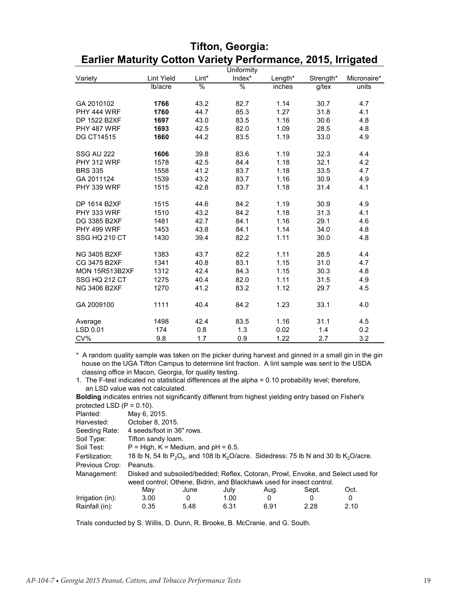|                     |                   |       | Uniformity |         |           |             |
|---------------------|-------------------|-------|------------|---------|-----------|-------------|
| Variety             | <b>Lint Yield</b> | Lint* | Index*     | Length* | Strength* | Micronaire* |
|                     | lb/acre           | %     | %          | inches  | $g$ /tex  | units       |
|                     |                   |       |            |         |           |             |
| GA 2010102          | 1766              | 43.2  | 82.7       | 1.14    | 30.7      | 4.7         |
| PHY 444 WRF         | 1760              | 44.7  | 85.3       | 1.27    | 31.8      | 4.1         |
| DP 1522 B2XF        | 1697              | 43.0  | 83.5       | 1.16    | 30.6      | 4.8         |
| PHY 487 WRF         | 1693              | 42.5  | 82.0       | 1.09    | 28.5      | 4.8         |
| <b>DG CT14515</b>   | 1660              | 44.2  | 83.5       | 1.19    | 33.0      | 4.9         |
|                     |                   |       |            |         |           |             |
| <b>SSG AU 222</b>   | 1606              | 39.8  | 83.6       | 1.19    | 32.3      | 4.4         |
| PHY 312 WRF         | 1578              | 42.5  | 84.4       | 1.18    | 32.1      | 4.2         |
| <b>BRS 335</b>      | 1558              | 41.2  | 83.7       | 1.18    | 33.5      | 4.7         |
| GA 2011124          | 1539              | 43.2  | 83.7       | 1.16    | 30.9      | 4.9         |
| PHY 339 WRF         | 1515              | 42.8  | 83.7       | 1.18    | 31.4      | 4.1         |
|                     |                   |       |            |         |           |             |
| DP 1614 B2XF        | 1515              | 44.6  | 84.2       | 1.19    | 30.9      | 4.9         |
| PHY 333 WRF         | 1510              | 43.2  | 84.2       | 1.18    | 31.3      | 4.1         |
| DG 3385 B2XF        | 1481              | 42.7  | 84.1       | 1.16    | 29.1      | 4.6         |
| PHY 499 WRF         | 1453              | 43.8  | 84.1       | 1.14    | 34.0      | 4.8         |
| SSG HQ 210 CT       | 1430              | 39.4  | 82.2       | 1.11    | 30.0      | 4.8         |
|                     |                   |       |            |         |           |             |
| <b>NG 3405 B2XF</b> | 1383              | 43.7  | 82.2       | 1.11    | 28.5      | 4.4         |
| CG 3475 B2XF        | 1341              | 40.8  | 83.1       | 1.15    | 31.0      | 4.7         |
| MON 15R513B2XF      | 1312              | 42.4  | 84.3       | 1.15    | 30.3      | 4.8         |
| SSG HQ 212 CT       | 1275              | 40.4  | 82.0       | 1.11    | 31.5      | 4.9         |
| <b>NG 3406 B2XF</b> | 1270              | 41.2  | 83.2       | 1.12    | 29.7      | 4.5         |
|                     |                   |       |            |         |           |             |
| GA 2009100          | 1111              | 40.4  | 84.2       | 1.23    | 33.1      | 4.0         |
|                     |                   |       |            |         |           |             |
| Average             | 1498              | 42.4  | 83.5       | 1.16    | 31.1      | 4.5         |
| LSD 0.01            | 174               | 0.8   | 1.3        | 0.02    | 1.4       | 0.2         |
| CV%                 | 9.8               | 1.7   | 0.9        | 1.22    | 2.7       | 3.2         |

#### **Tifton, Georgia: Earlier Maturity Cotton Variety Performance, 2015, Irrigated**

\* A random quality sample was taken on the picker during harvest and ginned in a small gin in the gin house on the UGA Tifton Campus to determine lint fraction. A lint sample was sent to the USDA classing office in Macon, Georgia, for quality testing.

1. The F-test indicated no statistical differences at the alpha = 0.10 probability level; therefore, an LSD value was not calculated.

**Bolding** indicates entries not significantly different from highest yielding entry based on Fisher's protected LSD  $(D - 0.10)$ 

| $M = 0.101$      |                                       |      |      |      |                                                                                                                 |      |  |
|------------------|---------------------------------------|------|------|------|-----------------------------------------------------------------------------------------------------------------|------|--|
| Planted:         | May 6, 2015.                          |      |      |      |                                                                                                                 |      |  |
| Harvested:       | October 8, 2015.                      |      |      |      |                                                                                                                 |      |  |
| Seeding Rate:    | 4 seeds/foot in 36" rows.             |      |      |      |                                                                                                                 |      |  |
| Soil Type:       | Tifton sandy loam.                    |      |      |      |                                                                                                                 |      |  |
| Soil Test:       | $P = High, K = Medium, and pH = 6.5.$ |      |      |      |                                                                                                                 |      |  |
| Fertilization:   |                                       |      |      |      | 18 lb N, 54 lb $P_2O_5$ , and 108 lb K <sub>2</sub> O/acre. Sidedress: 75 lb N and 30 lb K <sub>2</sub> O/acre. |      |  |
| Previous Crop:   | Peanuts.                              |      |      |      |                                                                                                                 |      |  |
| Management:      |                                       |      |      |      | Disked and subsoiled/bedded; Reflex, Cotoran, Prowl, Envoke, and Select used for                                |      |  |
|                  |                                       |      |      |      | weed control; Othene, Bidrin, and Blackhawk used for insect control.                                            |      |  |
|                  | Mav                                   | June | July | Aug. | Sept.                                                                                                           | Oct. |  |
| Irrigation (in): | 3.00                                  | 0    | 1.00 | 0    | 0                                                                                                               | 0    |  |
| Rainfall (in):   | 0.35                                  | 5.48 | 6.31 | 6.91 | 2.28                                                                                                            | 2.10 |  |
|                  |                                       |      |      |      |                                                                                                                 |      |  |

Trials conducted by S. Willis, D. Dunn, R. Brooke, B. McCranie, and G. South.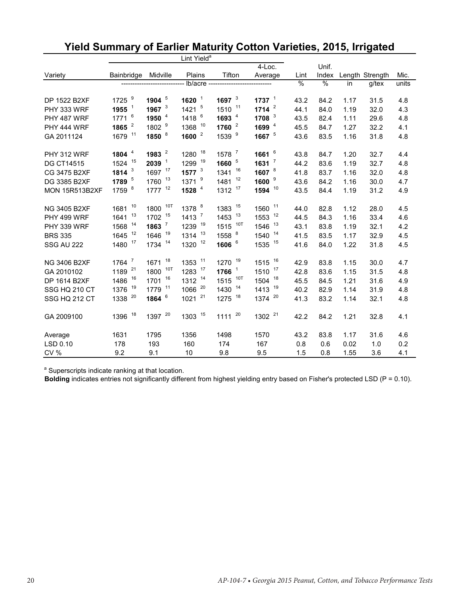|                       |                     |                    | Lint Yield <sup>a</sup> |                     |                      |      |               |      |                 |       |
|-----------------------|---------------------|--------------------|-------------------------|---------------------|----------------------|------|---------------|------|-----------------|-------|
|                       |                     |                    |                         |                     | $4$ -Loc.            |      | Unif.         |      |                 |       |
| Variety               | Bainbridge          | Midville           | Plains                  | Tifton              | Average              | Lint | Index         |      | Length Strength | Mic.  |
|                       |                     |                    | lb/acre ------          |                     |                      | %    | $\frac{0}{0}$ | in   | $g$ /tex        | units |
| DP 1522 B2XF          | 1725 9              | 1904 $5$           | $1620$ <sup>1</sup>     | 1697 $3$            | 1737 $1$             | 43.2 | 84.2          | 1.17 | 31.5            | 4.8   |
| PHY 333 WRF           | 1955 $1$            | 1967 $3$           | $1421$ <sup>5</sup>     | 1510 11             | 1714 $^2$            | 44.1 | 84.0          | 1.19 | 32.0            | 4.3   |
| PHY 487 WRF           | $1771$ <sup>6</sup> | 1950 $4$           | 1418 6                  | 1693 $4$            | 1708 $3$             | 43.5 | 82.4          | 1.11 | 29.6            | 4.8   |
| PHY 444 WRF           | 1865 $^{-2}$        | 1802 <sup>9</sup>  | 1368 10                 | 1760 $2$            | 1699 $4$             | 45.5 | 84.7          | 1.27 | 32.2            | 4.1   |
| GA 2011124            | 1679 11             | 1850 8             | 1600 $^2$               | 1539 <sup>9</sup>   | 1667 <sup>5</sup>    | 43.6 | 83.5          | 1.16 | 31.8            | 4.8   |
| PHY 312 WRF           | 1804 $4$            | 1983 $^2$          | 1280 18                 | 1578 7              | 1661 $^6$            | 43.8 | 84.7          | 1.20 | 32.7            | 4.4   |
| <b>DG CT14515</b>     | 1524 15             | $2039-1$           | 1299 19                 | 1660 <sup>5</sup>   | $1631$ $^7$          | 44.2 | 83.6          | 1.19 | 32.7            | 4.8   |
| CG 3475 B2XF          | 1814 $3$            | 1697 17            | 1577 $3$                | 1341 16             | 1607 <sup>8</sup>    | 41.8 | 83.7          | 1.16 | 32.0            | 4.8   |
| DG 3385 B2XF          | 1789 5              | 1760 13            | $1371$ <sup>9</sup>     | 1481 12             | 1600 $9$             | 43.6 | 84.2          | 1.16 | 30.0            | 4.7   |
| <b>MON 15R513B2XF</b> | 1759 8              | 1777 <sup>12</sup> | 1528 4                  | 1312 17             | $1594$ <sup>10</sup> | 43.5 | 84.4          | 1.19 | 31.2            | 4.9   |
| <b>NG 3405 B2XF</b>   | 1681 10             | 10T<br>1800        | 1378 8                  | 1383 15             | 1560 11              | 44.0 | 82.8          | 1.12 | 28.0            | 4.5   |
| PHY 499 WRF           | 1641 13             | 1702 15            | $1413$ <sup>7</sup>     | 1453 13             | 1553 12              | 44.5 | 84.3          | 1.16 | 33.4            | 4.6   |
| PHY 339 WRF           | 14<br>1568          | $1863$ $^7$        | 1239 19                 | 10T<br>1515         | 1546 13              | 43.1 | 83.8          | 1.19 | 32.1            | 4.2   |
| <b>BRS 335</b>        | 1645 12             | 1646 19            | $1314$ <sup>13</sup>    | 1558 8              | 1540 14              | 41.5 | 83.5          | 1.17 | 32.9            | 4.5   |
| <b>SSG AU 222</b>     | 1480 17             | 1734 14            | 1320 12                 | 1606 6              | 1535 15              | 41.6 | 84.0          | 1.22 | 31.8            | 4.5   |
| <b>NG 3406 B2XF</b>   | $1764$ $^7$         | 1671 18            | 1353 11                 | 1270 19             | 1515 16              | 42.9 | 83.8          | 1.15 | 30.0            | 4.7   |
| GA 2010102            | 1189 21             | 10T<br>1800        | 1283 17                 | $1766$ <sup>1</sup> | 1510 17              | 42.8 | 83.6          | 1.15 | 31.5            | 4.8   |
| DP 1614 B2XF          | 1486 16             | 1701 16            | 1312 14                 | 1515 10T            | 1504 18              | 45.5 | 84.5          | 1.21 | 31.6            | 4.9   |
| SSG HQ 210 CT         | 19<br>1376          | 1779 11            | 1066 20                 | 1430 14             | 1413 19              | 40.2 | 82.9          | 1.14 | 31.9            | 4.8   |
| SSG HQ 212 CT         | 1338 20             | 1864 6             | $1021^{21}$             | 1275 18             | 1374 20              | 41.3 | 83.2          | 1.14 | 32.1            | 4.8   |
| GA 2009100            | 1396 18             | 1397 20            | 1303 15                 | $1111^{20}$         | 1302 <sup>21</sup>   | 42.2 | 84.2          | 1.21 | 32.8            | 4.1   |
| Average               | 1631                | 1795               | 1356                    | 1498                | 1570                 | 43.2 | 83.8          | 1.17 | 31.6            | 4.6   |
| LSD 0.10              | 178                 | 193                | 160                     | 174                 | 167                  | 0.8  | 0.6           | 0.02 | 1.0             | 0.2   |
| <b>CV %</b>           | 9.2                 | 9.1                | 10                      | 9.8                 | 9.5                  | 1.5  | 0.8           | 1.55 | 3.6             | 4.1   |

# **Yield Summary of Earlier Maturity Cotton Varieties, 2015, Irrigated**

<sup>a</sup> Superscripts indicate ranking at that location.

**Bolding** indicates entries not significantly different from highest yielding entry based on Fisher's protected LSD (P = 0.10).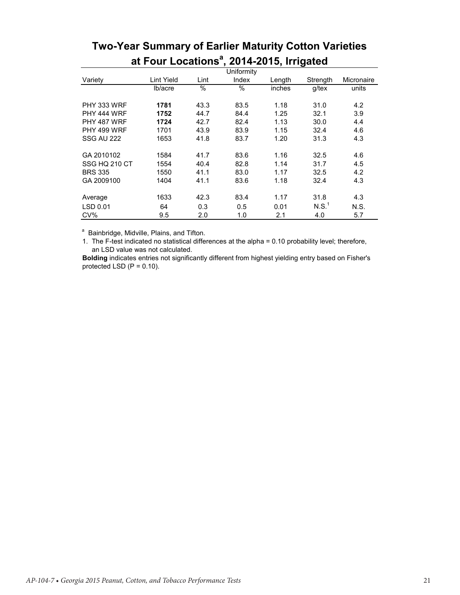|                |                   |      | Uniformity |        |          |            |
|----------------|-------------------|------|------------|--------|----------|------------|
| Variety        | <b>Lint Yield</b> | Lint | Index      | Length | Strength | Micronaire |
|                | lb/acre           | %    | %          | inches | g/tex    | units      |
| PHY 333 WRF    | 1781              | 43.3 | 83.5       | 1.18   | 31.0     | 4.2        |
| PHY 444 WRF    | 1752              | 44.7 | 84.4       | 1.25   | 32.1     | 3.9        |
| PHY 487 WRF    | 1724              | 42.7 | 82.4       | 1.13   | 30.0     | 4.4        |
| PHY 499 WRF    | 1701              | 43.9 | 83.9       | 1.15   | 32.4     | 4.6        |
| SSG AU 222     | 1653              | 41.8 | 83.7       | 1.20   | 31.3     | 4.3        |
| GA 2010102     | 1584              | 41.7 | 83.6       | 1.16   | 32.5     | 4.6        |
| SSG HQ 210 CT  | 1554              | 40.4 | 82.8       | 1.14   | 31.7     | 4.5        |
| <b>BRS 335</b> | 1550              | 41.1 | 83.0       | 1.17   | 32.5     | 4.2        |
| GA 2009100     | 1404              | 41.1 | 83.6       | 1.18   | 32.4     | 4.3        |
| Average        | 1633              | 42.3 | 83.4       | 1.17   | 31.8     | 4.3        |
| LSD 0.01       | 64                | 0.3  | 0.5        | 0.01   | N.S.     | N.S.       |
| CV%            | 9.5               | 2.0  | 1.0        | 2.1    | 4.0      | 5.7        |

# **Two-Year Summary of Earlier Maturity Cotton Varieties at Four Locationsa , 2014-2015, Irrigated**

<sup>a</sup> Bainbridge, Midville, Plains, and Tifton.

1. The F-test indicated no statistical differences at the alpha = 0.10 probability level; therefore, an LSD value was not calculated.

**Bolding** indicates entries not significantly different from highest yielding entry based on Fisher's protected LSD  $(P = 0.10)$ .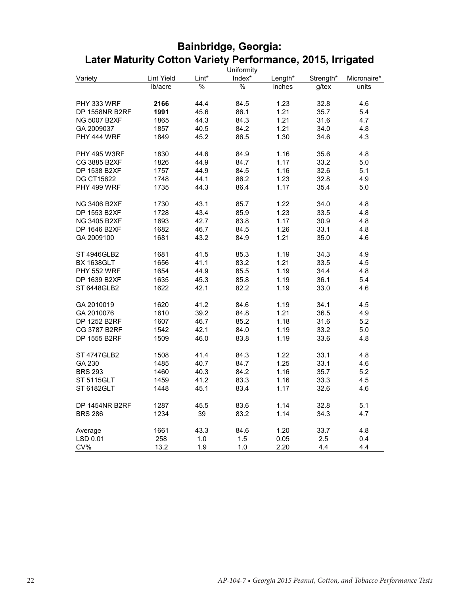|                     |            |       | Uniformity |         |           |             |
|---------------------|------------|-------|------------|---------|-----------|-------------|
| Variety             | Lint Yield | Lint* | Index*     | Length* | Strength* | Micronaire* |
|                     | lb/acre    | $\%$  | $\%$       | inches  | $g$ /tex  | units       |
|                     |            |       |            |         |           |             |
| PHY 333 WRF         | 2166       | 44.4  | 84.5       | 1.23    | 32.8      | 4.6         |
| DP 1558NR B2RF      | 1991       | 45.6  | 86.1       | 1.21    | 35.7      | 5.4         |
| <b>NG 5007 B2XF</b> | 1865       | 44.3  | 84.3       | 1.21    | 31.6      | 4.7         |
| GA 2009037          | 1857       | 40.5  | 84.2       | 1.21    | 34.0      | 4.8         |
| PHY 444 WRF         | 1849       | 45.2  | 86.5       | 1.30    | 34.6      | 4.3         |
|                     |            |       |            |         |           |             |
| <b>PHY 495 W3RF</b> | 1830       | 44.6  | 84.9       | 1.16    | 35.6      | 4.8         |
| CG 3885 B2XF        | 1826       | 44.9  | 84.7       | 1.17    | 33.2      | 5.0         |
| DP 1538 B2XF        | 1757       | 44.9  | 84.5       | 1.16    | 32.6      | 5.1         |
| <b>DG CT15622</b>   | 1748       | 44.1  | 86.2       | 1.23    | 32.8      | 4.9         |
| PHY 499 WRF         | 1735       | 44.3  | 86.4       | 1.17    | 35.4      | 5.0         |
|                     |            |       |            |         |           |             |
| <b>NG 3406 B2XF</b> | 1730       | 43.1  | 85.7       | 1.22    | 34.0      | 4.8         |
| DP 1553 B2XF        | 1728       | 43.4  | 85.9       | 1.23    | 33.5      | 4.8         |
| <b>NG 3405 B2XF</b> | 1693       | 42.7  | 83.8       | 1.17    | 30.9      | 4.8         |
| DP 1646 B2XF        | 1682       | 46.7  | 84.5       | 1.26    | 33.1      | 4.8         |
| GA 2009100          | 1681       | 43.2  | 84.9       | 1.21    | 35.0      | 4.6         |
|                     |            |       |            |         |           |             |
| ST 4946GLB2         | 1681       | 41.5  | 85.3       | 1.19    | 34.3      | 4.9         |
| <b>BX 1638GLT</b>   | 1656       | 41.1  | 83.2       | 1.21    | 33.5      | 4.5         |
| PHY 552 WRF         | 1654       | 44.9  | 85.5       | 1.19    | 34.4      | 4.8         |
| DP 1639 B2XF        | 1635       | 45.3  | 85.8       | 1.19    | 36.1      | 5.4         |
| ST 6448GLB2         | 1622       | 42.1  | 82.2       | 1.19    | 33.0      | 4.6         |
|                     |            |       |            |         |           |             |
| GA 2010019          | 1620       | 41.2  | 84.6       | 1.19    | 34.1      | 4.5         |
| GA 2010076          | 1610       | 39.2  | 84.8       | 1.21    | 36.5      | 4.9         |
| DP 1252 B2RF        | 1607       | 46.7  | 85.2       | 1.18    | 31.6      | 5.2         |
| CG 3787 B2RF        | 1542       | 42.1  | 84.0       | 1.19    | 33.2      | 5.0         |
| DP 1555 B2RF        | 1509       | 46.0  | 83.8       | 1.19    | 33.6      | 4.8         |
|                     |            |       |            |         |           |             |
| <b>ST 4747GLB2</b>  | 1508       | 41.4  | 84.3       | 1.22    | 33.1      | 4.8         |
| GA 230              | 1485       | 40.7  | 84.7       | 1.25    | 33.1      | 4.6         |
| <b>BRS 293</b>      | 1460       | 40.3  | 84.2       | 1.16    | 35.7      | 5.2         |
| <b>ST 5115GLT</b>   | 1459       | 41.2  | 83.3       | 1.16    | 33.3      | 4.5         |
| ST 6182GLT          | 1448       | 45.1  | 83.4       | 1.17    | 32.6      | 4.6         |
|                     |            |       |            |         |           |             |
| DP 1454NR B2RF      | 1287       | 45.5  | 83.6       | 1.14    | 32.8      | 5.1         |
| <b>BRS 286</b>      | 1234       | 39    | 83.2       | 1.14    | 34.3      | 4.7         |
|                     |            |       |            |         |           |             |
| Average             | 1661       | 43.3  | 84.6       | 1.20    | 33.7      | 4.8         |
| LSD 0.01            | 258        | 1.0   | 1.5        | 0.05    | 2.5       | 0.4         |
| CV%                 | 13.2       | 1.9   | 1.0        | 2.20    | 4.4       | 4.4         |

## **Bainbridge, Georgia: Later Maturity Cotton Variety Performance, 2015, Irrigated**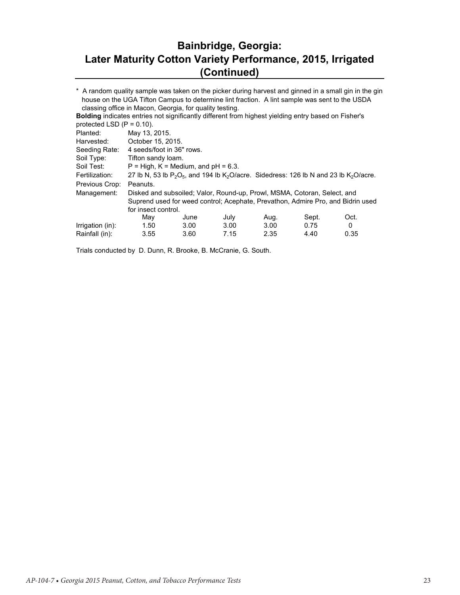## **Bainbridge, Georgia: Later Maturity Cotton Variety Performance, 2015, Irrigated (Continued)**

| <b>Bolding indicates entries not significantly different from highest yielding entry based on Fisher's</b> |      |                                                                           |                                                                                                  |       |      |                                                                                                                                                                                                                                                                                                                                                                                                                                                                                           |  |  |
|------------------------------------------------------------------------------------------------------------|------|---------------------------------------------------------------------------|--------------------------------------------------------------------------------------------------|-------|------|-------------------------------------------------------------------------------------------------------------------------------------------------------------------------------------------------------------------------------------------------------------------------------------------------------------------------------------------------------------------------------------------------------------------------------------------------------------------------------------------|--|--|
| protected LSD $(P = 0.10)$ .                                                                               |      |                                                                           |                                                                                                  |       |      |                                                                                                                                                                                                                                                                                                                                                                                                                                                                                           |  |  |
| May 13, 2015.                                                                                              |      |                                                                           |                                                                                                  |       |      |                                                                                                                                                                                                                                                                                                                                                                                                                                                                                           |  |  |
|                                                                                                            |      |                                                                           |                                                                                                  |       |      |                                                                                                                                                                                                                                                                                                                                                                                                                                                                                           |  |  |
| Seeding Rate: 4 seeds/foot in 36" rows.                                                                    |      |                                                                           |                                                                                                  |       |      |                                                                                                                                                                                                                                                                                                                                                                                                                                                                                           |  |  |
|                                                                                                            |      |                                                                           |                                                                                                  |       |      |                                                                                                                                                                                                                                                                                                                                                                                                                                                                                           |  |  |
|                                                                                                            |      |                                                                           |                                                                                                  |       |      |                                                                                                                                                                                                                                                                                                                                                                                                                                                                                           |  |  |
|                                                                                                            |      |                                                                           |                                                                                                  |       |      |                                                                                                                                                                                                                                                                                                                                                                                                                                                                                           |  |  |
| Peanuts.                                                                                                   |      |                                                                           |                                                                                                  |       |      |                                                                                                                                                                                                                                                                                                                                                                                                                                                                                           |  |  |
|                                                                                                            |      |                                                                           |                                                                                                  |       |      |                                                                                                                                                                                                                                                                                                                                                                                                                                                                                           |  |  |
|                                                                                                            |      |                                                                           |                                                                                                  |       |      |                                                                                                                                                                                                                                                                                                                                                                                                                                                                                           |  |  |
|                                                                                                            |      |                                                                           |                                                                                                  |       |      |                                                                                                                                                                                                                                                                                                                                                                                                                                                                                           |  |  |
| Mav                                                                                                        | June | July                                                                      | Aug.                                                                                             | Sept. | Oct. |                                                                                                                                                                                                                                                                                                                                                                                                                                                                                           |  |  |
| 1.50                                                                                                       | 3.00 | 3.00                                                                      | 3.00                                                                                             | 0.75  | 0    |                                                                                                                                                                                                                                                                                                                                                                                                                                                                                           |  |  |
| 3.55                                                                                                       | 3.60 | 7.15                                                                      | 2.35                                                                                             | 4.40  | 0.35 |                                                                                                                                                                                                                                                                                                                                                                                                                                                                                           |  |  |
|                                                                                                            |      | Harvested: October 15, 2015.<br>Tifton sandy loam.<br>for insect control. | classing office in Macon, Georgia, for quality testing.<br>$P = High, K = Medium, and pH = 6.3.$ |       |      | * A random quality sample was taken on the picker during harvest and ginned in a small gin in the gin<br>house on the UGA Tifton Campus to determine lint fraction. A lint sample was sent to the USDA<br>27 lb N, 53 lb $P_2O_5$ , and 194 lb K <sub>2</sub> O/acre. Sidedress: 126 lb N and 23 lb K <sub>2</sub> O/acre.<br>Disked and subsoiled; Valor, Round-up, Prowl, MSMA, Cotoran, Select, and<br>Suprend used for weed control; Acephate, Prevathon, Admire Pro, and Bidrin used |  |  |

Trials conducted by D. Dunn, R. Brooke, B. McCranie, G. South.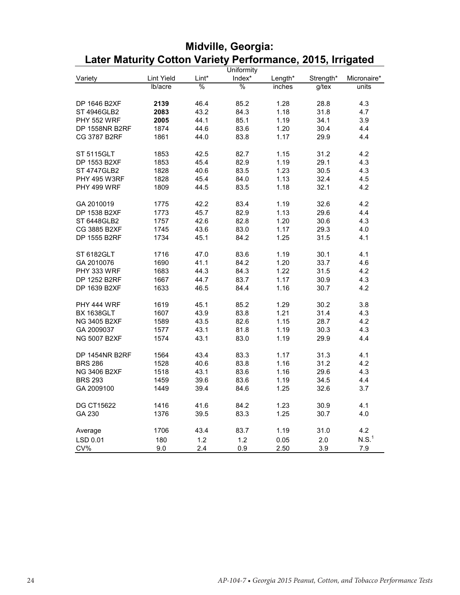|                     |            |       | Uniformity |         |           |                   |
|---------------------|------------|-------|------------|---------|-----------|-------------------|
| Variety             | Lint Yield | Lint* | Index*     | Length* | Strength* | Micronaire*       |
|                     | lb/acre    | $\%$  | $\%$       | inches  | $g$ /tex  | units             |
|                     |            |       |            |         |           |                   |
| DP 1646 B2XF        | 2139       | 46.4  | 85.2       | 1.28    | 28.8      | 4.3               |
| ST 4946GLB2         | 2083       | 43.2  | 84.3       | 1.18    | 31.8      | 4.7               |
| <b>PHY 552 WRF</b>  | 2005       | 44.1  | 85.1       | 1.19    | 34.1      | 3.9               |
| DP 1558NR B2RF      | 1874       | 44.6  | 83.6       | 1.20    | 30.4      | 4.4               |
| CG 3787 B2RF        | 1861       | 44.0  | 83.8       | 1.17    | 29.9      | 4.4               |
|                     |            |       |            |         |           |                   |
| <b>ST 5115GLT</b>   | 1853       | 42.5  | 82.7       | 1.15    | 31.2      | 4.2               |
| DP 1553 B2XF        | 1853       | 45.4  | 82.9       | 1.19    | 29.1      | 4.3               |
| <b>ST 4747GLB2</b>  | 1828       | 40.6  | 83.5       | 1.23    | 30.5      | 4.3               |
| <b>PHY 495 W3RF</b> | 1828       | 45.4  | 84.0       | 1.13    | 32.4      | 4.5               |
| PHY 499 WRF         | 1809       | 44.5  | 83.5       | 1.18    | 32.1      | 4.2               |
|                     |            |       |            |         |           |                   |
| GA 2010019          | 1775       | 42.2  | 83.4       | 1.19    | 32.6      | 4.2               |
| DP 1538 B2XF        | 1773       | 45.7  | 82.9       | 1.13    | 29.6      | 4.4               |
| ST 6448GLB2         | 1757       | 42.6  | 82.8       | 1.20    | 30.6      | 4.3               |
| CG 3885 B2XF        | 1745       | 43.6  | 83.0       | 1.17    | 29.3      | 4.0               |
| DP 1555 B2RF        | 1734       | 45.1  | 84.2       | 1.25    | 31.5      | 4.1               |
|                     |            |       |            |         |           |                   |
| ST 6182GLT          | 1716       | 47.0  | 83.6       | 1.19    | 30.1      | 4.1               |
| GA 2010076          | 1690       | 41.1  | 84.2       | 1.20    | 33.7      | 4.6               |
| PHY 333 WRF         | 1683       | 44.3  | 84.3       | 1.22    | 31.5      | 4.2               |
| DP 1252 B2RF        | 1667       | 44.7  | 83.7       | 1.17    | 30.9      | 4.3               |
| DP 1639 B2XF        | 1633       | 46.5  | 84.4       | 1.16    | 30.7      | 4.2               |
|                     |            |       |            |         |           |                   |
| PHY 444 WRF         | 1619       | 45.1  | 85.2       | 1.29    | 30.2      | 3.8               |
| <b>BX 1638GLT</b>   | 1607       | 43.9  | 83.8       | 1.21    | 31.4      | 4.3               |
| <b>NG 3405 B2XF</b> | 1589       | 43.5  | 82.6       | 1.15    | 28.7      | 4.2               |
| GA 2009037          | 1577       | 43.1  | 81.8       | 1.19    | 30.3      | 4.3               |
| <b>NG 5007 B2XF</b> | 1574       | 43.1  | 83.0       | 1.19    | 29.9      | 4.4               |
|                     |            |       |            |         |           |                   |
| DP 1454NR B2RF      | 1564       | 43.4  | 83.3       | 1.17    | 31.3      | 4.1               |
| <b>BRS 286</b>      | 1528       | 40.6  | 83.8       | 1.16    | 31.2      | 4.2               |
| NG 3406 B2XF        | 1518       | 43.1  | 83.6       | 1.16    | 29.6      | 4.3               |
| <b>BRS 293</b>      | 1459       | 39.6  | 83.6       | 1.19    | 34.5      | 4.4               |
| GA 2009100          | 1449       | 39.4  | 84.6       | 1.25    | 32.6      | 3.7               |
|                     |            |       |            |         |           |                   |
| <b>DG CT15622</b>   | 1416       | 41.6  | 84.2       | 1.23    | 30.9      | 4.1               |
| GA 230              | 1376       | 39.5  | 83.3       | 1.25    | 30.7      | 4.0               |
|                     |            |       |            |         |           |                   |
| Average             | 1706       | 43.4  | 83.7       | 1.19    | 31.0      | 4.2               |
| LSD 0.01            | 180        | 1.2   | 1.2        | 0.05    | 2.0       | N.S. <sup>1</sup> |
| CV%                 | 9.0        | 2.4   | 0.9        | 2.50    | 3.9       | 7.9               |

## **Midville, Georgia: Later Maturity Cotton Variety Performance, 2015, Irrigated**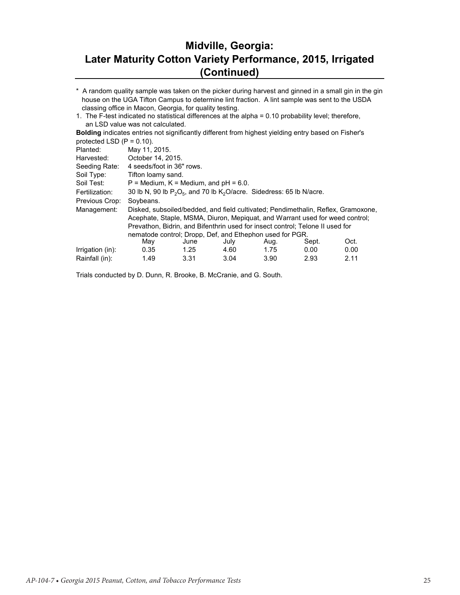## **Midville, Georgia: Later Maturity Cotton Variety Performance, 2015, Irrigated (Continued)**

\* A random quality sample was taken on the picker during harvest and ginned in a small gin in the gin house on the UGA Tifton Campus to determine lint fraction. A lint sample was sent to the USDA classing office in Macon, Georgia, for quality testing.

1. The F-test indicated no statistical differences at the alpha = 0.10 probability level; therefore, an LSD value was not calculated.

**Bolding** indicates entries not significantly different from highest yielding entry based on Fisher's protected LSD  $(P = 0.10)$ .

| Planted:         | May 11, 2015.                                                              |                                              |      |                                                                               |       |                                                                                   |  |  |  |  |
|------------------|----------------------------------------------------------------------------|----------------------------------------------|------|-------------------------------------------------------------------------------|-------|-----------------------------------------------------------------------------------|--|--|--|--|
| Harvested:       | October 14, 2015.                                                          |                                              |      |                                                                               |       |                                                                                   |  |  |  |  |
| Seeding Rate:    | 4 seeds/foot in 36" rows.                                                  |                                              |      |                                                                               |       |                                                                                   |  |  |  |  |
| Soil Type:       |                                                                            | Tifton loamy sand.                           |      |                                                                               |       |                                                                                   |  |  |  |  |
| Soil Test:       |                                                                            | $P =$ Medium, $K =$ Medium, and $pH = 6.0$ . |      |                                                                               |       |                                                                                   |  |  |  |  |
| Fertilization:   | 30 lb N, 90 lb $P_2O_5$ , and 70 lb $K_2O$ /acre. Sidedress: 65 lb N/acre. |                                              |      |                                                                               |       |                                                                                   |  |  |  |  |
| Previous Crop:   | Soybeans.                                                                  |                                              |      |                                                                               |       |                                                                                   |  |  |  |  |
| Management:      |                                                                            |                                              |      |                                                                               |       | Disked, subsoiled/bedded, and field cultivated; Pendimethalin, Reflex, Gramoxone, |  |  |  |  |
|                  |                                                                            |                                              |      | Acephate, Staple, MSMA, Diuron, Mepiquat, and Warrant used for weed control;  |       |                                                                                   |  |  |  |  |
|                  |                                                                            |                                              |      | Prevathon, Bidrin, and Bifenthrin used for insect control; Telone II used for |       |                                                                                   |  |  |  |  |
|                  |                                                                            |                                              |      | nematode control: Dropp. Def. and Ethephon used for PGR.                      |       |                                                                                   |  |  |  |  |
|                  | May                                                                        | June                                         | July | Aug.                                                                          | Sept. | Oct.                                                                              |  |  |  |  |
| Irrigation (in): | 0.35                                                                       | 1.25                                         | 4.60 | 1.75                                                                          | 0.00  | 0.00                                                                              |  |  |  |  |
| Rainfall (in):   | 1.49                                                                       | 3.31                                         | 3.04 | 3.90                                                                          | 2.93  | 2.11                                                                              |  |  |  |  |

Trials conducted by D. Dunn, R. Brooke, B. McCranie, and G. South.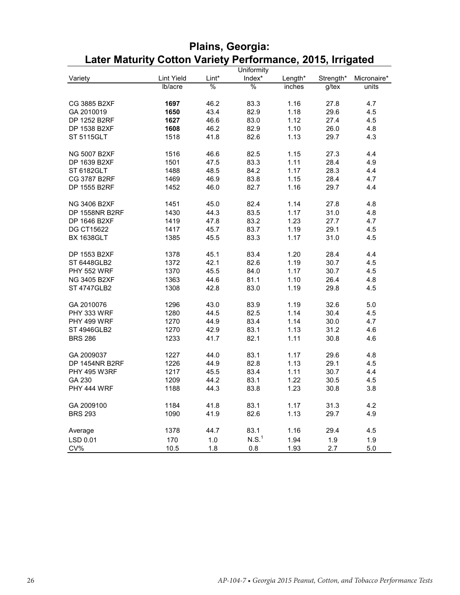|                       |            |               | Uniformity        |         |           |             |
|-----------------------|------------|---------------|-------------------|---------|-----------|-------------|
| Variety               | Lint Yield | Lint*         | Index*            | Length* | Strength* | Micronaire* |
|                       | lb/acre    | $\frac{0}{0}$ | $\frac{0}{0}$     | inches  | g/tex     | units       |
|                       |            |               |                   |         |           |             |
| CG 3885 B2XF          | 1697       | 46.2          | 83.3              | 1.16    | 27.8      | 4.7         |
| GA 2010019            | 1650       | 43.4          | 82.9              | 1.18    | 29.6      | 4.5         |
| DP 1252 B2RF          | 1627       | 46.6          | 83.0              | 1.12    | 27.4      | 4.5         |
| DP 1538 B2XF          | 1608       | 46.2          | 82.9              | 1.10    | 26.0      | 4.8         |
| <b>ST 5115GLT</b>     | 1518       | 41.8          | 82.6              | 1.13    | 29.7      | 4.3         |
|                       |            |               |                   |         |           |             |
| <b>NG 5007 B2XF</b>   | 1516       | 46.6          | 82.5              | 1.15    | 27.3      | 4.4         |
| DP 1639 B2XF          | 1501       | 47.5          | 83.3              | 1.11    | 28.4      | 4.9         |
| ST 6182GLT            | 1488       | 48.5          | 84.2              | 1.17    | 28.3      | 4.4         |
| CG 3787 B2RF          | 1469       | 46.9          | 83.8              | 1.15    | 28.4      | 4.7         |
| DP 1555 B2RF          | 1452       | 46.0          | 82.7              | 1.16    | 29.7      | 4.4         |
|                       |            |               |                   |         |           |             |
| <b>NG 3406 B2XF</b>   | 1451       | 45.0          | 82.4              | 1.14    | 27.8      | 4.8         |
| <b>DP 1558NR B2RF</b> | 1430       | 44.3          | 83.5              | 1.17    | 31.0      | 4.8         |
| DP 1646 B2XF          | 1419       | 47.8          | 83.2              | 1.23    | 27.7      | 4.7         |
| <b>DG CT15622</b>     | 1417       | 45.7          | 83.7              | 1.19    | 29.1      | 4.5         |
| <b>BX 1638GLT</b>     | 1385       | 45.5          | 83.3              | 1.17    | 31.0      | 4.5         |
|                       |            |               |                   |         |           |             |
| DP 1553 B2XF          | 1378       | 45.1          | 83.4              | 1.20    | 28.4      | 4.4         |
| ST 6448GLB2           | 1372       | 42.1          | 82.6              | 1.19    | 30.7      | 4.5         |
| <b>PHY 552 WRF</b>    | 1370       | 45.5          | 84.0              | 1.17    | 30.7      | 4.5         |
| NG 3405 B2XF          | 1363       | 44.6          | 81.1              | 1.10    | 26.4      | 4.8         |
| <b>ST 4747GLB2</b>    | 1308       | 42.8          | 83.0              | 1.19    | 29.8      | 4.5         |
|                       |            |               |                   |         |           |             |
| GA 2010076            | 1296       | 43.0          | 83.9              | 1.19    | 32.6      | 5.0         |
| PHY 333 WRF           | 1280       | 44.5          | 82.5              | 1.14    | 30.4      | 4.5         |
| PHY 499 WRF           | 1270       | 44.9          | 83.4              | 1.14    | 30.0      | 4.7         |
| ST 4946GLB2           | 1270       | 42.9          | 83.1              | 1.13    | 31.2      | 4.6         |
| <b>BRS 286</b>        | 1233       | 41.7          | 82.1              | 1.11    | 30.8      | 4.6         |
|                       |            |               |                   |         |           |             |
| GA 2009037            | 1227       | 44.0          | 83.1              | 1.17    | 29.6      | 4.8         |
| DP 1454NR B2RF        | 1226       | 44.9          | 82.8              | 1.13    | 29.1      | 4.5         |
| <b>PHY 495 W3RF</b>   | 1217       | 45.5          | 83.4              | 1.11    | 30.7      | 4.4         |
| GA 230                | 1209       | 44.2          | 83.1              | 1.22    | 30.5      | 4.5         |
| PHY 444 WRF           | 1188       | 44.3          | 83.8              | 1.23    | 30.8      |             |
|                       |            |               |                   |         |           | 3.8         |
| GA 2009100            | 1184       | 41.8          | 83.1              | 1.17    | 31.3      | 4.2         |
| <b>BRS 293</b>        | 1090       | 41.9          | 82.6              | 1.13    | 29.7      | 4.9         |
|                       |            |               |                   |         |           |             |
| Average               | 1378       | 44.7          | 83.1              | 1.16    | 29.4      | 4.5         |
|                       |            |               | N.S. <sup>1</sup> |         |           |             |
| LSD 0.01              | 170        | 1.0           |                   | 1.94    | 1.9       | 1.9         |
| CV%                   | 10.5       | 1.8           | 0.8               | 1.93    | 2.7       | 5.0         |

## **Plains, Georgia: Later Maturity Cotton Variety Performance, 2015, Irrigated**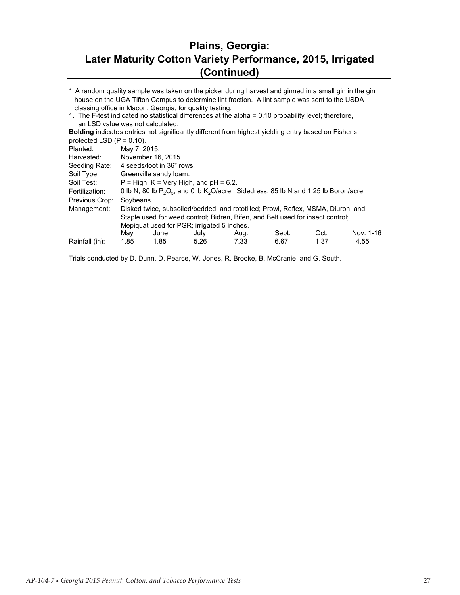#### **Plains, Georgia: Later Maturity Cotton Variety Performance, 2015, Irrigated (Continued)**

\* A random quality sample was taken on the picker during harvest and ginned in a small gin in the gin house on the UGA Tifton Campus to determine lint fraction. A lint sample was sent to the USDA classing office in Macon, Georgia, for quality testing.

1. The F-test indicated no statistical differences at the alpha = 0.10 probability level; therefore, an LSD value was not calculated.

**Bolding** indicates entries not significantly different from highest yielding entry based on Fisher's protected LSD  $(P = 0.10)$ .

| May  | June | July                      | Aug.                                                                      | Sept.                                                                                  | Oct. | Nov. 1-16                                                                                                                                                                                                                                                        |
|------|------|---------------------------|---------------------------------------------------------------------------|----------------------------------------------------------------------------------------|------|------------------------------------------------------------------------------------------------------------------------------------------------------------------------------------------------------------------------------------------------------------------|
| 1.85 | 1.85 | 5.26                      | 7.33                                                                      | 6.67                                                                                   | 1.37 | 4.55                                                                                                                                                                                                                                                             |
|      |      | May 7, 2015.<br>Soybeans. | November 16, 2015.<br>4 seeds/foot in 36" rows.<br>Greenville sandy loam. | $P = High, K = Very High, and pH = 6.2.$<br>Mepiquat used for PGR; irrigated 5 inches. |      | 0 lb N, 80 lb $P_2O_5$ , and 0 lb $K_2O$ /acre. Sidedress: 85 lb N and 1.25 lb Boron/acre.<br>Disked twice, subsoiled/bedded, and rototilled; Prowl, Reflex, MSMA, Diuron, and<br>Staple used for weed control; Bidren, Bifen, and Belt used for insect control; |

Trials conducted by D. Dunn, D. Pearce, W. Jones, R. Brooke, B. McCranie, and G. South.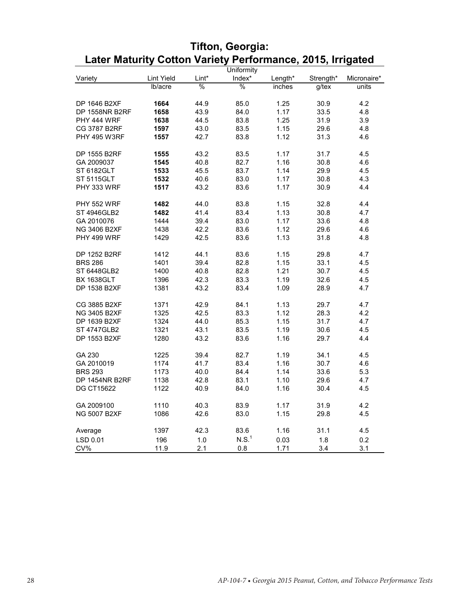|                     |            |       | Uniformity        |         |           |             |
|---------------------|------------|-------|-------------------|---------|-----------|-------------|
| Variety             | Lint Yield | Lint* | Index*            | Length* | Strength* | Micronaire* |
|                     | lb/acre    | %     | $\frac{0}{6}$     | inches  | g/tex     | units       |
|                     |            |       |                   |         |           |             |
| DP 1646 B2XF        | 1664       | 44.9  | 85.0              | 1.25    | 30.9      | 4.2         |
| DP 1558NR B2RF      | 1658       | 43.9  | 84.0              | 1.17    | 33.5      | 4.8         |
| PHY 444 WRF         | 1638       | 44.5  | 83.8              | 1.25    | 31.9      | 3.9         |
| <b>CG 3787 B2RF</b> | 1597       | 43.0  | 83.5              | 1.15    | 29.6      | 4.8         |
| <b>PHY 495 W3RF</b> | 1557       | 42.7  | 83.8              | 1.12    | 31.3      | 4.6         |
|                     |            |       |                   |         |           |             |
| DP 1555 B2RF        | 1555       | 43.2  | 83.5              | 1.17    | 31.7      | 4.5         |
| GA 2009037          | 1545       | 40.8  | 82.7              | 1.16    | 30.8      | 4.6         |
| ST 6182GLT          | 1533       | 45.5  | 83.7              | 1.14    | 29.9      | 4.5         |
| ST 5115GLT          | 1532       | 40.6  | 83.0              | 1.17    | 30.8      | 4.3         |
| PHY 333 WRF         | 1517       | 43.2  | 83.6              | 1.17    | 30.9      | 4.4         |
|                     |            |       |                   |         |           |             |
| <b>PHY 552 WRF</b>  | 1482       | 44.0  | 83.8              | 1.15    | 32.8      | 4.4         |
| <b>ST 4946GLB2</b>  | 1482       | 41.4  | 83.4              | 1.13    | 30.8      | 4.7         |
| GA 2010076          | 1444       | 39.4  | 83.0              | 1.17    | 33.6      | 4.8         |
| <b>NG 3406 B2XF</b> | 1438       | 42.2  | 83.6              | 1.12    | 29.6      | 4.6         |
| PHY 499 WRF         | 1429       | 42.5  | 83.6              | 1.13    | 31.8      | 4.8         |
|                     |            |       |                   |         |           |             |
| DP 1252 B2RF        | 1412       | 44.1  | 83.6              | 1.15    | 29.8      | 4.7         |
| <b>BRS 286</b>      | 1401       | 39.4  | 82.8              | 1.15    | 33.1      | 4.5         |
| ST 6448GLB2         | 1400       | 40.8  | 82.8              | 1.21    | 30.7      | 4.5         |
| <b>BX 1638GLT</b>   | 1396       | 42.3  | 83.3              | 1.19    | 32.6      | 4.5         |
| DP 1538 B2XF        | 1381       | 43.2  | 83.4              | 1.09    | 28.9      | 4.7         |
|                     |            |       |                   |         |           |             |
| CG 3885 B2XF        | 1371       | 42.9  | 84.1              | 1.13    | 29.7      | 4.7         |
| <b>NG 3405 B2XF</b> | 1325       | 42.5  | 83.3              | 1.12    | 28.3      | 4.2         |
| DP 1639 B2XF        | 1324       | 44.0  | 85.3              | 1.15    | 31.7      | 4.7         |
| <b>ST 4747GLB2</b>  | 1321       | 43.1  | 83.5              | 1.19    | 30.6      | 4.5         |
| DP 1553 B2XF        | 1280       | 43.2  | 83.6              | 1.16    | 29.7      | 4.4         |
|                     |            |       |                   |         |           |             |
| GA 230              | 1225       | 39.4  | 82.7              | 1.19    | 34.1      | 4.5         |
| GA 2010019          | 1174       | 41.7  | 83.4              | 1.16    | 30.7      | 4.6         |
| <b>BRS 293</b>      | 1173       | 40.0  | 84.4              | 1.14    | 33.6      | 5.3         |
| DP 1454NR B2RF      | 1138       | 42.8  | 83.1              | 1.10    | 29.6      | 4.7         |
| <b>DG CT15622</b>   | 1122       | 40.9  | 84.0              | 1.16    | 30.4      | 4.5         |
|                     |            |       |                   |         |           |             |
| GA 2009100          | 1110       | 40.3  | 83.9              | 1.17    | 31.9      | 4.2         |
| <b>NG 5007 B2XF</b> | 1086       | 42.6  | 83.0              | 1.15    | 29.8      | 4.5         |
|                     |            |       |                   |         |           |             |
| Average             | 1397       | 42.3  | 83.6              | 1.16    | 31.1      | 4.5         |
| LSD 0.01            | 196        | 1.0   | N.S. <sup>1</sup> | 0.03    | 1.8       | 0.2         |
| CV%                 | 11.9       | 2.1   | 0.8               | 1.71    | 3.4       | 3.1         |

# **Tifton, Georgia: Later Maturity Cotton Variety Performance, 2015, Irrigated**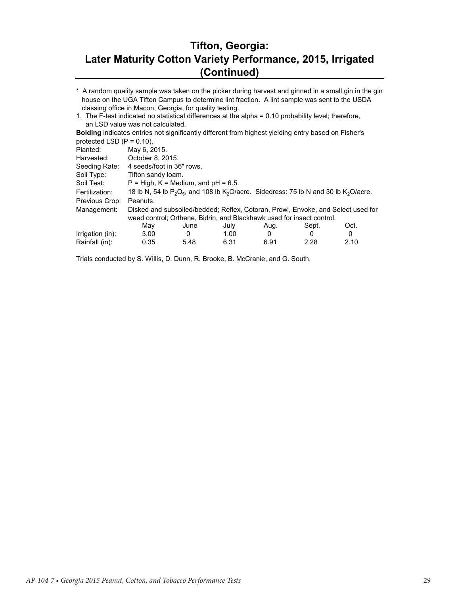#### **Tifton, Georgia: Later Maturity Cotton Variety Performance, 2015, Irrigated (Continued)**

\* A random quality sample was taken on the picker during harvest and ginned in a small gin in the gin house on the UGA Tifton Campus to determine lint fraction. A lint sample was sent to the USDA classing office in Macon, Georgia, for quality testing.

1. The F-test indicated no statistical differences at the alpha = 0.10 probability level; therefore, an LSD value was not calculated.

**Bolding** indicates entries not significantly different from highest yielding entry based on Fisher's protected LSD  $(P = 0.10)$ .

| Planted:         | May 6, 2015.                                                                     |      |                   |      |                                                                                               |      |  |
|------------------|----------------------------------------------------------------------------------|------|-------------------|------|-----------------------------------------------------------------------------------------------|------|--|
| Harvested:       | October 8, 2015.                                                                 |      |                   |      |                                                                                               |      |  |
| Seeding Rate:    | 4 seeds/foot in 36" rows.                                                        |      |                   |      |                                                                                               |      |  |
| Soil Type:       | Tifton sandy loam.                                                               |      |                   |      |                                                                                               |      |  |
| Soil Test:       | $P = High, K = Medium, and pH = 6.5.$                                            |      |                   |      |                                                                                               |      |  |
| Fertilization:   |                                                                                  |      |                   |      | 18 lb N, 54 lb $P_2O_5$ , and 108 lb $K_2O$ /acre. Sidedress: 75 lb N and 30 lb $K_2O$ /acre. |      |  |
| Previous Crop:   | Peanuts.                                                                         |      |                   |      |                                                                                               |      |  |
| Management:      | Disked and subsoiled/bedded; Reflex, Cotoran, Prowl, Envoke, and Select used for |      |                   |      |                                                                                               |      |  |
|                  | weed control; Orthene, Bidrin, and Blackhawk used for insect control.            |      |                   |      |                                                                                               |      |  |
|                  | May                                                                              | June | July              | Aug. | Sept.                                                                                         | Oct. |  |
| Irrigation (in): | 3.00                                                                             | 0    | 1.00 <sub>1</sub> | 0    | 0                                                                                             | 0    |  |
| Rainfall (in):   | 0.35                                                                             | 5.48 | 6.31              | 6.91 | 2.28                                                                                          | 2.10 |  |
|                  |                                                                                  |      |                   |      |                                                                                               |      |  |

Trials conducted by S. Willis, D. Dunn, R. Brooke, B. McCranie, and G. South.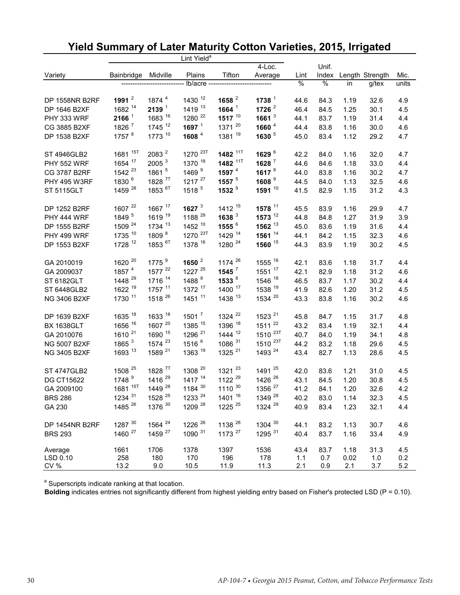|                       |                     |                    | Lint Yield <sup>a</sup> |                     |                     |      |               |      |                 |       |
|-----------------------|---------------------|--------------------|-------------------------|---------------------|---------------------|------|---------------|------|-----------------|-------|
|                       |                     |                    |                         |                     | $4$ -Loc.           |      | Unif.         |      |                 |       |
| Variety               | Bainbridge          | Midville           | Plains                  | Tifton              | Average             | Lint | Index         |      | Length Strength | Mic.  |
|                       |                     |                    | lb/acre --              |                     |                     | %    | $\frac{1}{6}$ | in   | g/tex           | units |
| <b>DP 1558NR B2RF</b> | 1991 $^2$           | 1874 4             | 1430 12                 | 1658 $^2$           | 1738 $1$            | 44.6 | 84.3          | 1.19 | 32.6            | 4.9   |
| DP 1646 B2XF          | 1682 14             | 2139 <sup>1</sup>  | 1419 13                 | 1664 $1$            | 1726 $2$            | 46.4 | 84.5          | 1.25 | 30.1            | 4.5   |
| PHY 333 WRF           | $2166^1$            | 1683 16            | 1280 22                 | 1517 $10$           | 1661 $3$            | 44.1 | 83.7          | 1.19 | 31.4            | 4.4   |
| CG 3885 B2XF          | 1826 7              | 1745 12            | 1697 $1$                | 1371 20             | 1660 <sup>4</sup>   | 44.4 | 83.8          | 1.16 | 30.0            | 4.6   |
| DP 1538 B2XF          | 1757 <sup>8</sup>   | 1773 10            | 1608 4                  | 1381 19             | 1630 <sup>5</sup>   | 45.0 | 83.4          | 1.12 | 29.2            | 4.7   |
| <b>ST 4946GLB2</b>    | 1681 <sup>15T</sup> | 2083 <sup>2</sup>  | 1270 <sup>23T</sup>     | 1482 <sup>11T</sup> | 1629 6              | 42.2 | 84.0          | 1.16 | 32.0            | 4.7   |
| <b>PHY 552 WRF</b>    | 1654 17             | 2005 <sup>3</sup>  | 1370 18                 | 1482 <sup>11T</sup> | 1628 7              | 44.6 | 84.6          | 1.18 | 33.0            | 4.4   |
| CG 3787 B2RF          | 1542 <sup>23</sup>  | 1861 5             | 1469 <sup>9</sup>       | 1597 $4$            | 1617 $8$            | 44.0 | 83.8          | 1.16 | 30.2            | 4.7   |
| <b>PHY 495 W3RF</b>   | 1830 <sup>6</sup>   | 1828 <sup>7T</sup> | $1217^{27}$             | 1557 $5$            | 1608 <sup>9</sup>   | 44.5 | 84.0          | 1.13 | 32.5            | 4.6   |
| <b>ST 5115GLT</b>     | 1459 28             | 1853 <sup>6T</sup> | 1518 <sup>5</sup>       | 1532 9              | 1591 10             | 41.5 | 82.9          | 1.15 | 31.2            | 4.3   |
| DP 1252 B2RF          | 1607 22             | 1667 17            | 1627 $3$                | 1412 15             | 1578 11             | 45.5 | 83.9          | 1.16 | 29.9            | 4.7   |
| PHY 444 WRF           | 1849 <sup>5</sup>   | 1619 19            | 1188 29                 | 1638 $3$            | $1573^{12}$         | 44.8 | 84.8          | 1.27 | 31.9            | 3.9   |
| DP 1555 B2RF          | 1509 <sup>24</sup>  | 1734 13            | 1452 10                 | 1555 6              | $1562$ $^{13}$      | 45.0 | 83.6          | 1.19 | 31.6            | 4.4   |
| PHY 499 WRF           | 1735 10             | 1809 8             | 1270 <sup>23T</sup>     | 1429 14             | 1561 $14$           | 44.1 | 84.2          | 1.15 | 32.3            | 4.6   |
| DP 1553 B2XF          | 1728 12             | 1853 <sup>6T</sup> | 1378 16                 | 1280 <sup>24</sup>  | 1560 15             | 44.3 | 83.9          | 1.19 | 30.2            | 4.5   |
| GA 2010019            | 1620 20             | 1775 <sup>9</sup>  | 1650 $^2$               | 1174 <sup>26</sup>  | 1555 <sup>16</sup>  | 42.1 | 83.6          | 1.18 | 31.7            | 4.4   |
| GA 2009037            | 1857 4              | 1577 22            | 1227 25                 | $1545$ <sup>7</sup> | 1551 17             | 42.1 | 82.9          | 1.18 | 31.2            | 4.6   |
| ST 6182GLT            | 1448 <sup>29</sup>  | 1716 14            | 1488 <sup>8</sup>       | 1533 <sup>8</sup>   | 1546 <sup>18</sup>  | 46.5 | 83.7          | 1.17 | 30.2            | 4.4   |
| ST 6448GLB2           | 1622 19             | 1757 11            | 1372 17                 | 1400 17             | 1538 19             | 41.9 | 82.6          | 1.20 | 31.2            | 4.5   |
| NG 3406 B2XF          | 1730 11             | 1518 <sup>26</sup> | 1451 11                 | 1438 13             | 1534 20             | 43.3 | 83.8          | 1.16 | 30.2            | 4.6   |
| DP 1639 B2XF          | 1635 18             | 1633 18            | $1501^7$                | 1324 <sup>22</sup>  | 1523 <sup>21</sup>  | 45.8 | 84.7          | 1.15 | 31.7            | 4.8   |
| <b>BX 1638GLT</b>     | 1656 16             | 1607 20            | 1385 15                 | 1396 18             | 1511 22             | 43.2 | 83.4          | 1.19 | 32.1            | 4.4   |
| GA 2010076            | 1610 <sup>21</sup>  | 1690 15            | 1296 <sup>21</sup>      | 1444 <sup>12</sup>  | 1510 <sup>23T</sup> | 40.7 | 84.0          | 1.19 | 34.1            | 4.8   |
| <b>NG 5007 B2XF</b>   | 1865 <sup>3</sup>   | 1574 <sup>23</sup> | 1516 <sup>6</sup>       | 1086 31             | 1510 <sup>23T</sup> | 44.2 | 83.2          | 1.18 | 29.6            | 4.5   |
| NG 3405 B2XF          | 1693 13             | 1589 <sup>21</sup> | 1363 19                 | 1325 <sup>21</sup>  | 1493 24             | 43.4 | 82.7          | 1.13 | 28.6            | 4.5   |
| <b>ST 4747GLB2</b>    | 1508 <sup>25</sup>  | 1828 <sup>7T</sup> | 1308 20                 | 1321 23             | 1491 25             | 42.0 | 83.6          | 1.21 | 31.0            | 4.5   |
| <b>DG CT15622</b>     | 1748 9              | 1416 29            | 1417 14                 | 1122 29             | 1426 26             | 43.1 | 84.5          | 1.20 | 30.8            | 4.5   |
| GA 2009100            | 1681 15T            | 1449 28            | 1184 30                 | $1110^{30}$         | 1356 <sup>27</sup>  | 41.2 | 84.1          | 1.20 | 32.6            | 4.2   |
| <b>BRS 286</b>        | 1234 31             | 1528 <sup>25</sup> | 1233 24                 | 1401 16             | 1349 28             | 40.2 | 83.0          | 1.14 | 32.3            | 4.5   |
| GA 230                | 1485 <sup>26</sup>  | 1376 30            | 1209 <sup>28</sup>      | 1225 25             | 1324 29             | 40.9 | 83.4          | 1.23 | 32.1            | 4.4   |
| DP 1454NR B2RF        | 1287 30             | 1564 <sup>24</sup> | 1226 <sup>26</sup>      | 1138 28             | 1304 30             | 44.1 | 83.2          | 1.13 | 30.7            | 4.6   |
| <b>BRS 293</b>        | 1460 <sup>27</sup>  | 1459 <sup>27</sup> | 1090 31                 | 1173 <sup>27</sup>  | 1295 31             | 40.4 | 83.7          | 1.16 | 33.4            | 4.9   |
| Average               | 1661                | 1706               | 1378                    | 1397                | 1536                | 43.4 | 83.7          | 1.18 | 31.3            | 4.5   |
| LSD 0.10              | 258                 | 180                | 170                     | 196                 | 178                 | 1.1  | 0.7           | 0.02 | 1.0             | 0.2   |
| CV %                  | 13.2                | 9.0                | 10.5                    | 11.9                | 11.3                | 2.1  | 0.9           | 2.1  | 3.7             | 5.2   |

# **Yield Summary of Later Maturity Cotton Varieties, 2015, Irrigated**

<sup>a</sup> Superscripts indicate ranking at that location.

**Bolding** indicates entries not significantly different from highest yielding entry based on Fisher's protected LSD (P = 0.10).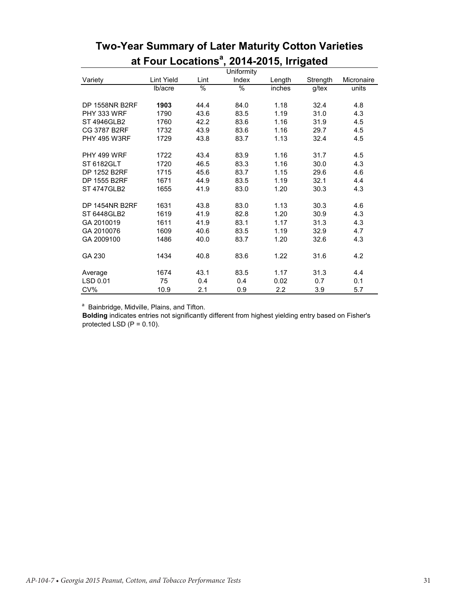|                     |            |      | Uniformity    |        |          |            |
|---------------------|------------|------|---------------|--------|----------|------------|
| Variety             | Lint Yield | Lint | Index         | Length | Strength | Micronaire |
|                     | lb/acre    | $\%$ | $\frac{0}{0}$ | inches | g/tex    | units      |
| DP 1558NR B2RF      | 1903       | 44.4 | 84.0          | 1.18   | 32.4     | 4.8        |
| PHY 333 WRF         | 1790       | 43.6 | 83.5          | 1.19   | 31.0     | 4.3        |
| ST 4946GLB2         | 1760       | 42.2 | 83.6          | 1.16   | 31.9     | 4.5        |
| CG 3787 B2RF        | 1732       | 43.9 | 83.6          | 1.16   | 29.7     | 4.5        |
| <b>PHY 495 W3RF</b> | 1729       | 43.8 | 83.7          | 1.13   | 32.4     | 4.5        |
| PHY 499 WRF         | 1722       | 43.4 | 83.9          | 1.16   | 31.7     | 4.5        |
| ST 6182GLT          | 1720       | 46.5 | 83.3          | 1.16   | 30.0     | 4.3        |
| DP 1252 B2RF        | 1715       | 45.6 | 83.7          | 1.15   | 29.6     | 4.6        |
| DP 1555 B2RF        | 1671       | 44.9 | 83.5          | 1.19   | 32.1     | 4.4        |
| <b>ST 4747GLB2</b>  | 1655       | 41.9 | 83.0          | 1.20   | 30.3     | 4.3        |
| DP 1454NR B2RF      | 1631       | 43.8 | 83.0          | 1.13   | 30.3     | 4.6        |
| ST 6448GLB2         | 1619       | 41.9 | 82.8          | 1.20   | 30.9     | 4.3        |
| GA 2010019          | 1611       | 41.9 | 83.1          | 1.17   | 31.3     | 4.3        |
| GA 2010076          | 1609       | 40.6 | 83.5          | 1.19   | 32.9     | 4.7        |
| GA 2009100          | 1486       | 40.0 | 83.7          | 1.20   | 32.6     | 4.3        |
| GA 230              | 1434       | 40.8 | 83.6          | 1.22   | 31.6     | 4.2        |
| Average             | 1674       | 43.1 | 83.5          | 1.17   | 31.3     | 4.4        |
| LSD 0.01            | 75         | 0.4  | 0.4           | 0.02   | 0.7      | 0.1        |
| CV%                 | 10.9       | 2.1  | 0.9           | 2.2    | 3.9      | 5.7        |

# **Two-Year Summary of Later Maturity Cotton Varieties at Four Locationsa , 2014-2015, Irrigated**

<sup>a</sup> Bainbridge, Midville, Plains, and Tifton.

**Bolding** indicates entries not significantly different from highest yielding entry based on Fisher's protected LSD  $(P = 0.10)$ .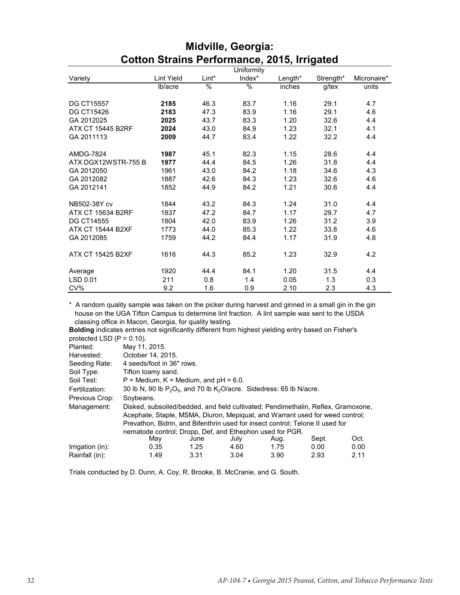|                          |                   |               | Uniformity |         |           |             |
|--------------------------|-------------------|---------------|------------|---------|-----------|-------------|
| Variety                  | <b>Lint Yield</b> | Lint*         | Index*     | Length* | Strength* | Micronaire* |
|                          | lb/acre           | $\frac{0}{0}$ | $\%$       | inches  | g/tex     | units       |
|                          |                   |               |            |         |           |             |
| <b>DG CT15557</b>        | 2185              | 46.3          | 83.7       | 1.16    | 29.1      | 4.7         |
| DG CT15426               | 2183              | 47.3          | 83.9       | 1.16    | 29.1      | 4.6         |
| GA 2012025               | 2025              | 43.7          | 83.3       | 1.20    | 32.6      | 4.4         |
| <b>ATX CT 15445 B2RF</b> | 2024              | 43.0          | 84.9       | 1.23    | 32.1      | 4.1         |
| GA 2011113               | 2009              | 44.7          | 83.4       | 1.22    | 32.2      | 4.4         |
|                          |                   |               |            |         |           |             |
| <b>AMDG-7824</b>         | 1987              | 45.1          | 82.3       | 1.15    | 28.6      | 4.4         |
| ATX DGX12WSTR-755 B      | 1977              | 44.4          | 84.5       | 1.26    | 31.8      | 4.4         |
| GA 2012050               | 1961              | 43.0          | 84.2       | 1.18    | 34.6      | 4.3         |
| GA 2012082               | 1887              | 42.6          | 84.3       | 1.23    | 32.6      | 4.6         |
| GA 2012141               | 1852              | 44.9          | 84.2       | 1.21    | 30.6      | 4.4         |
|                          |                   |               |            |         |           |             |
| NB502-38Y cv             | 1844              | 43.2          | 84.3       | 1.24    | 31.0      | 4.4         |
| ATX CT 15634 B2RF        | 1837              | 47.2          | 84.7       | 1.17    | 29.7      | 4.7         |
| <b>DG CT14555</b>        | 1804              | 42.0          | 83.9       | 1.26    | 31.2      | 3.9         |
| <b>ATX CT 15444 B2XF</b> | 1773              | 44.0          | 85.3       | 1.22    | 33.8      | 4.6         |
| GA 2012085               | 1759              | 44.2          | 84.4       | 1.17    | 31.9      | 4.8         |
|                          |                   |               |            |         |           |             |
| <b>ATX CT 15425 B2XF</b> | 1616              | 44.3          | 85.2       | 1.23    | 32.9      | 4.2         |
|                          |                   |               |            |         |           |             |
| Average                  | 1920              | 44.4          | 84.1       | 1.20    | 31.5      | 4.4         |
| LSD 0.01                 | 211               | 0.8           | 1.4        | 0.05    | 1.3       | 0.3         |
| CV%                      | 9.2               | 1.6           | 0.9        | 2.10    | 2.3       | 4.3         |

#### **Midville, Georgia: Cotton Strains Performance, 2015, Irrigated**

\* A random quality sample was taken on the picker during harvest and ginned in a small gin in the gin house on the UGA Tifton Campus to determine lint fraction. A lint sample was sent to the USDA classing office in Macon, Georgia, for quality testing.

**Bolding** indicates entries not significantly different from highest yielding entry based on Fisher's protected LSD (P = 0.10).

| Planted:         | May 11, 2015.                                                                     |                                                                                     |      |      |       |      |  |  |  |  |
|------------------|-----------------------------------------------------------------------------------|-------------------------------------------------------------------------------------|------|------|-------|------|--|--|--|--|
| Harvested:       | October 14, 2015.                                                                 |                                                                                     |      |      |       |      |  |  |  |  |
| Seeding Rate:    | 4 seeds/foot in 36" rows.                                                         |                                                                                     |      |      |       |      |  |  |  |  |
| Soil Type:       | Tifton loamy sand.                                                                |                                                                                     |      |      |       |      |  |  |  |  |
| Soil Test:       |                                                                                   | $P =$ Medium, $K =$ Medium, and $pH = 6.0$ .                                        |      |      |       |      |  |  |  |  |
| Fertilization:   |                                                                                   | 30 lb N, 90 lb $P_2O_5$ , and 70 lb K <sub>2</sub> O/acre. Sidedress: 65 lb N/acre. |      |      |       |      |  |  |  |  |
| Previous Crop:   | Soybeans.                                                                         |                                                                                     |      |      |       |      |  |  |  |  |
| Management:      | Disked, subsoiled/bedded, and field cultivated; Pendimethalin, Reflex, Gramoxone, |                                                                                     |      |      |       |      |  |  |  |  |
|                  | Acephate, Staple, MSMA, Diuron, Mepiquat, and Warrant used for weed control;      |                                                                                     |      |      |       |      |  |  |  |  |
|                  | Prevathon, Bidrin, and Bifenthrin used for insect control; Telone II used for     |                                                                                     |      |      |       |      |  |  |  |  |
|                  | nematode control; Dropp, Def, and Ethephon used for PGR.                          |                                                                                     |      |      |       |      |  |  |  |  |
|                  | May                                                                               | June                                                                                | July | Aug. | Sept. | Oct. |  |  |  |  |
| Irrigation (in): | 0.35                                                                              | 1.25                                                                                | 4.60 | 1.75 | 0.00  | 0.00 |  |  |  |  |
| Rainfall (in):   | 1.49                                                                              | 3.31                                                                                | 3.04 | 3.90 | 2.93  | 2.11 |  |  |  |  |

Trials conducted by D. Dunn, A. Coy, R. Brooke, B. McCranie, and G. South.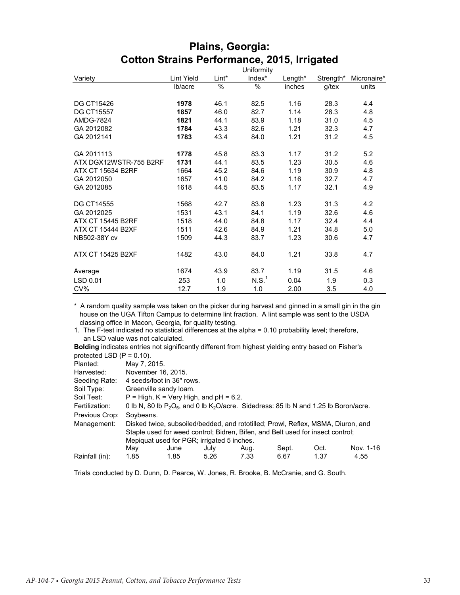|                          |            |       | Uniformity        |         |           |             |
|--------------------------|------------|-------|-------------------|---------|-----------|-------------|
| Variety                  | Lint Yield | Lint* | Index*            | Length* | Strength* | Micronaire* |
|                          | lb/acre    | %     | %                 | inches  | $g$ /tex  | units       |
|                          |            |       |                   |         |           |             |
| <b>DG CT15426</b>        | 1978       | 46.1  | 82.5              | 1.16    | 28.3      | 4.4         |
| <b>DG CT15557</b>        | 1857       | 46.0  | 82.7              | 1.14    | 28.3      | 4.8         |
| <b>AMDG-7824</b>         | 1821       | 44.1  | 83.9              | 1.18    | 31.0      | 4.5         |
| GA 2012082               | 1784       | 43.3  | 82.6              | 1.21    | 32.3      | 4.7         |
| GA 2012141               | 1783       | 43.4  | 84.0              | 1.21    | 31.2      | 4.5         |
|                          |            |       |                   |         |           |             |
| GA 2011113               | 1778       | 45.8  | 83.3              | 1.17    | 31.2      | 5.2         |
| ATX DGX12WSTR-755 B2RF   | 1731       | 44.1  | 83.5              | 1.23    | 30.5      | 4.6         |
| ATX CT 15634 B2RF        | 1664       | 45.2  | 84.6              | 1.19    | 30.9      | 4.8         |
| GA 2012050               | 1657       | 41.0  | 84.2              | 1.16    | 32.7      | 4.7         |
| GA 2012085               | 1618       | 44.5  | 83.5              | 1.17    | 32.1      | 4.9         |
|                          |            |       |                   |         |           |             |
| DG CT14555               | 1568       | 42.7  | 83.8              | 1.23    | 31.3      | 4.2         |
| GA 2012025               | 1531       | 43.1  | 84.1              | 1.19    | 32.6      | 4.6         |
| <b>ATX CT 15445 B2RF</b> | 1518       | 44.0  | 84.8              | 1.17    | 32.4      | 4.4         |
| ATX CT 15444 B2XF        | 1511       | 42.6  | 84.9              | 1.21    | 34.8      | 5.0         |
| NB502-38Y cv             | 1509       | 44.3  | 83.7              | 1.23    | 30.6      | 4.7         |
|                          |            |       |                   |         |           |             |
| ATX CT 15425 B2XF        | 1482       | 43.0  | 84.0              | 1.21    | 33.8      | 4.7         |
|                          |            |       |                   |         |           |             |
| Average                  | 1674       | 43.9  | 83.7              | 1.19    | 31.5      | 4.6         |
| LSD 0.01                 | 253        | 1.0   | N.S. <sup>1</sup> | 0.04    | 1.9       | 0.3         |
| CV%                      | 12.7       | 1.9   | 1.0               | 2.00    | 3.5       | 4.0         |

#### **Plains, Georgia: Cotton Strains Performance, 2015, Irrigated**

\* A random quality sample was taken on the picker during harvest and ginned in a small gin in the gin house on the UGA Tifton Campus to determine lint fraction. A lint sample was sent to the USDA classing office in Macon, Georgia, for quality testing.

1. The F-test indicated no statistical differences at the alpha = 0.10 probability level; therefore, an LSD value was not calculated.

**Bolding** indicates entries not significantly different from highest yielding entry based on Fisher's protected LSD  $(P = 0.10)$ .

| Planted:       | May 7, 2015. |                                                                                            |      |      |       |      |           |
|----------------|--------------|--------------------------------------------------------------------------------------------|------|------|-------|------|-----------|
| Harvested:     |              | November 16, 2015.                                                                         |      |      |       |      |           |
| Seeding Rate:  |              | 4 seeds/foot in 36" rows.                                                                  |      |      |       |      |           |
| Soil Type:     |              | Greenville sandy loam.                                                                     |      |      |       |      |           |
| Soil Test:     |              | $P = High, K = Very High, and pH = 6.2.$                                                   |      |      |       |      |           |
| Fertilization: |              | 0 lb N, 80 lb $P_2O_5$ , and 0 lb $K_2O/acre$ . Sidedress: 85 lb N and 1.25 lb Boron/acre. |      |      |       |      |           |
| Previous Crop: | Soybeans.    |                                                                                            |      |      |       |      |           |
| Management:    |              | Disked twice, subsoiled/bedded, and rototilled; Prowl, Reflex, MSMA, Diuron, and           |      |      |       |      |           |
|                |              | Staple used for weed control; Bidren, Bifen, and Belt used for insect control;             |      |      |       |      |           |
|                |              | Mepiquat used for PGR; irrigated 5 inches.                                                 |      |      |       |      |           |
|                | May          | June                                                                                       | July | Aug. | Sept. | Oct. | Nov. 1-16 |
| Rainfall (in): | 1.85         | 1.85                                                                                       | 5.26 | 7.33 | 6.67  | 1.37 | 4.55      |

Trials conducted by D. Dunn, D. Pearce, W. Jones, R. Brooke, B. McCranie, and G. South.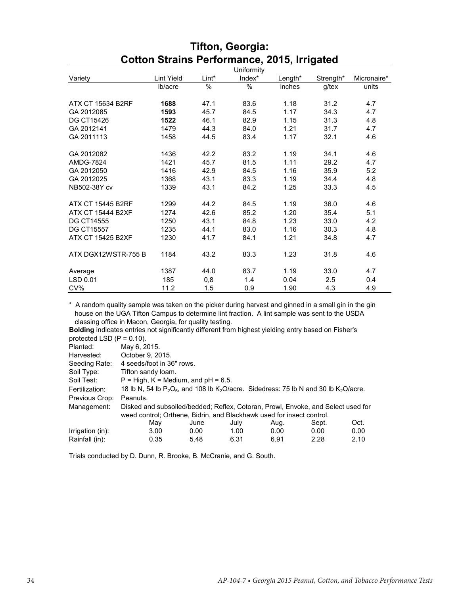|                          |                   |               | Uniformity |         |           |             |
|--------------------------|-------------------|---------------|------------|---------|-----------|-------------|
| Variety                  | <b>Lint Yield</b> | Lint*         | Index*     | Length* | Strength* | Micronaire* |
|                          | lb/acre           | $\frac{0}{0}$ | $\%$       | inches  | g/tex     | units       |
|                          |                   |               |            |         |           |             |
| <b>ATX CT 15634 B2RF</b> | 1688              | 47.1          | 83.6       | 1.18    | 31.2      | 4.7         |
| GA 2012085               | 1593              | 45.7          | 84.5       | 1.17    | 34.3      | 4.7         |
| <b>DG CT15426</b>        | 1522              | 46.1          | 82.9       | 1.15    | 31.3      | 4.8         |
| GA 2012141               | 1479              | 44.3          | 84.0       | 1.21    | 31.7      | 4.7         |
| GA 2011113               | 1458              | 44.5          | 83.4       | 1.17    | 32.1      | 4.6         |
|                          |                   |               |            |         |           |             |
| GA 2012082               | 1436              | 42.2          | 83.2       | 1.19    | 34.1      | 4.6         |
| <b>AMDG-7824</b>         | 1421              | 45.7          | 81.5       | 1.11    | 29.2      | 4.7         |
| GA 2012050               | 1416              | 42.9          | 84.5       | 1.16    | 35.9      | 5.2         |
| GA 2012025               | 1368              | 43.1          | 83.3       | 1.19    | 34.4      | 4.8         |
| NB502-38Y cv             | 1339              | 43.1          | 84.2       | 1.25    | 33.3      | 4.5         |
|                          |                   |               |            |         |           |             |
| <b>ATX CT 15445 B2RF</b> | 1299              | 44.2          | 84.5       | 1.19    | 36.0      | 4.6         |
| <b>ATX CT 15444 B2XF</b> | 1274              | 42.6          | 85.2       | 1.20    | 35.4      | 5.1         |
| <b>DG CT14555</b>        | 1250              | 43.1          | 84.8       | 1.23    | 33.0      | 4.2         |
| <b>DG CT15557</b>        | 1235              | 44.1          | 83.0       | 1.16    | 30.3      | 4.8         |
| ATX CT 15425 B2XF        | 1230              | 41.7          | 84.1       | 1.21    | 34.8      | 4.7         |
|                          |                   |               |            |         |           |             |
| ATX DGX12WSTR-755 B      | 1184              | 43.2          | 83.3       | 1.23    | 31.8      | 4.6         |
|                          |                   |               |            |         |           |             |
| Average                  | 1387              | 44.0          | 83.7       | 1.19    | 33.0      | 4.7         |
| LSD 0.01                 | 185               | 0,8           | 1.4        | 0.04    | 2.5       | 0.4         |
| CV%                      | 11.2              | 1.5           | 0.9        | 1.90    | 4.3       | 4.9         |

#### **Tifton, Georgia: Cotton Strains Performance, 2015, Irrigated**

\* A random quality sample was taken on the picker during harvest and ginned in a small gin in the gin house on the UGA Tifton Campus to determine lint fraction. A lint sample was sent to the USDA classing office in Macon, Georgia, for quality testing.

**Bolding** indicates entries not significantly different from highest yielding entry based on Fisher's protected LSD  $(P = 0.10)$ .

| Planted:         | May 6, 2015.                                                                                                    |      |      |      |       |      |  |
|------------------|-----------------------------------------------------------------------------------------------------------------|------|------|------|-------|------|--|
| Harvested:       | October 9, 2015.                                                                                                |      |      |      |       |      |  |
| Seeding Rate:    | 4 seeds/foot in 36" rows.                                                                                       |      |      |      |       |      |  |
| Soil Type:       | Tifton sandy loam.                                                                                              |      |      |      |       |      |  |
| Soil Test:       | $P = High, K = Medium, and pH = 6.5.$                                                                           |      |      |      |       |      |  |
| Fertilization:   | 18 lb N, 54 lb $P_2O_5$ , and 108 lb K <sub>2</sub> O/acre. Sidedress: 75 lb N and 30 lb K <sub>2</sub> O/acre. |      |      |      |       |      |  |
| Previous Crop:   | Peanuts.                                                                                                        |      |      |      |       |      |  |
| Management:      | Disked and subsoiled/bedded; Reflex, Cotoran, Prowl, Envoke, and Select used for                                |      |      |      |       |      |  |
|                  | weed control; Orthene, Bidrin, and Blackhawk used for insect control.                                           |      |      |      |       |      |  |
|                  | May                                                                                                             | June | July | Aug. | Sept. | Oct. |  |
| Irrigation (in): | 3.00                                                                                                            | 0.00 | 1.00 | 0.00 | 0.00  | 0.00 |  |
| Rainfall (in):   | 0.35                                                                                                            | 5.48 | 6.31 | 6.91 | 2.28  | 2.10 |  |

Trials conducted by D. Dunn, R. Brooke, B. McCranie, and G. South.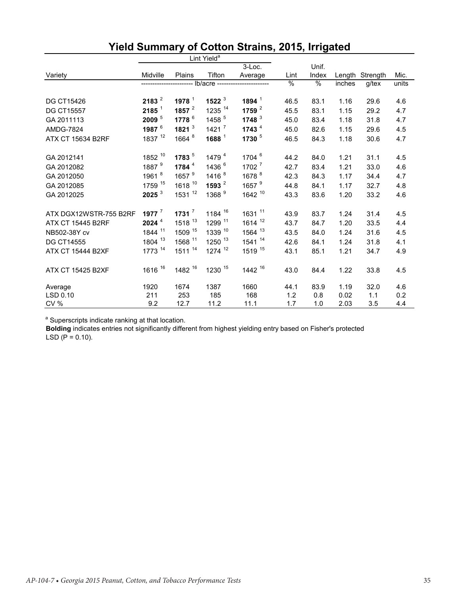|                          |                     |                    | Lint Yield <sup>a</sup> |                      |      |               |        |                 |       |
|--------------------------|---------------------|--------------------|-------------------------|----------------------|------|---------------|--------|-----------------|-------|
|                          |                     |                    |                         | $3$ -Loc.            |      | Unif.         |        |                 |       |
| Variety                  | Midville            | Plains             | Tifton                  | Average              | Lint | Index         |        | Length Strength | Mic.  |
|                          |                     |                    | -- lb/acre -------      |                      | $\%$ | $\frac{9}{6}$ | inches | $g$ /tex        | units |
|                          |                     |                    |                         |                      |      |               |        |                 |       |
| <b>DG CT15426</b>        | 2183 <sup>2</sup>   | 1978 $1$           | 1522 $3$                | 1894 $1$             | 46.5 | 83.1          | 1.16   | 29.6            | 4.6   |
| <b>DG CT15557</b>        | 2185 <sup>1</sup>   | 1857 $^2$          | 1235 14                 | 1759 $^{2}$          | 45.5 | 83.1          | 1.15   | 29.2            | 4.7   |
| GA 2011113               | $2009$ <sup>5</sup> | 1778 <sup>6</sup>  | 1458 <sup>5</sup>       | 1748 $3$             | 45.0 | 83.4          | 1.18   | 31.8            | 4.7   |
| <b>AMDG-7824</b>         | 1987 <sup>6</sup>   | 1821 $3$           | 1421 <sup>7</sup>       | 1743 $4$             | 45.0 | 82.6          | 1.15   | 29.6            | 4.5   |
| <b>ATX CT 15634 B2RF</b> | 1837 12             | 1664 <sup>8</sup>  | 1688 $1$                | 1730 $5$             | 46.5 | 84.3          | 1.18   | 30.6            | 4.7   |
| GA 2012141               | 1852 10             | 1783 <sup>5</sup>  | 1479 <sup>4</sup>       | 1704 $6$             | 44.2 | 84.0          | 1.21   | 31.1            | 4.5   |
| GA 2012082               | 1887 <sup>9</sup>   | 1784 $4$           | 1436 <sup>6</sup>       | 1702 <sup>7</sup>    | 42.7 | 83.4          | 1.21   | 33.0            | 4.6   |
| GA 2012050               | 1961 <sup>8</sup>   | 1657 <sup>9</sup>  | 1416 <sup>8</sup>       | 1678 <sup>8</sup>    | 42.3 | 84.3          | 1.17   | 34.4            | 4.7   |
| GA 2012085               | 1759 15             | 1618 10            | 1593 $^2$               | 1657 <sup>9</sup>    | 44.8 | 84.1          | 1.17   | 32.7            | 4.8   |
| GA 2012025               | $2025$ <sup>3</sup> | $1531^{12}$        | 1368 <sup>9</sup>       | 1642 10              | 43.3 | 83.6          | 1.20   | 33.2            | 4.6   |
| ATX DGX12WSTR-755 B2RF   | 1977 $^7$           | 1731 $^7$          | 1184 <sup>16</sup>      | 1631 <sup>11</sup>   | 43.9 | 83.7          | 1.24   | 31.4            | 4.5   |
| <b>ATX CT 15445 B2RF</b> | $2024$ <sup>4</sup> | 1518 13            | 1299 11                 | 1614 12              | 43.7 | 84.7          | 1.20   | 33.5            | 4.4   |
| NB502-38Y cv             | 1844 11             | 1509 <sup>15</sup> | 1339 10                 | $1564$ <sup>13</sup> | 43.5 | 84.0          | 1.24   | 31.6            | 4.5   |
| <b>DG CT14555</b>        | 1804 13             | 1568 11            | 1250 13                 | 1541 14              | 42.6 | 84.1          | 1.24   | 31.8            | 4.1   |
| <b>ATX CT 15444 B2XF</b> | 1773 14             | 1511 14            | $1274$ <sup>12</sup>    | 1519 15              | 43.1 | 85.1          | 1.21   | 34.7            | 4.9   |
| <b>ATX CT 15425 B2XF</b> | 1616 <sup>16</sup>  | 1482 16            | 1230 15                 | 1442 16              | 43.0 | 84.4          | 1.22   | 33.8            | 4.5   |
| Average                  | 1920                | 1674               | 1387                    | 1660                 | 44.1 | 83.9          | 1.19   | 32.0            | 4.6   |
| LSD 0.10                 | 211                 | 253                | 185                     | 168                  | 1.2  | 0.8           | 0.02   | 1.1             | 0.2   |
| CV %                     | 9.2                 | 12.7               | 11.2                    | 11.1                 | 1.7  | 1.0           | 2.03   | 3.5             | 4.4   |

# **Yield Summary of Cotton Strains, 2015, Irrigated**

<sup>a</sup> Superscripts indicate ranking at that location.

**Bolding** indicates entries not significantly different from highest yielding entry based on Fisher's protected  $LSD (P = 0.10)$ .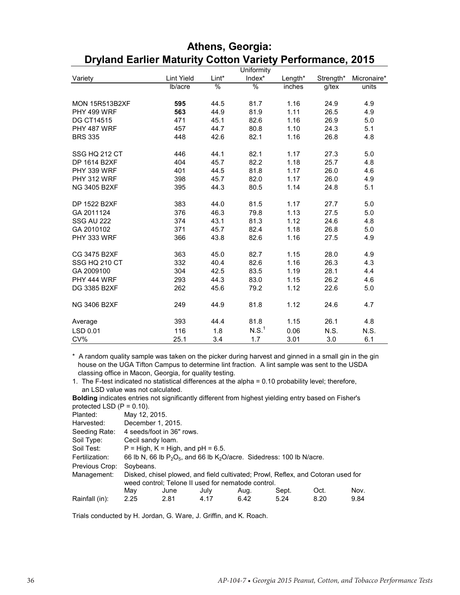|                       |                   |       | Uniformity        |         |           |             |
|-----------------------|-------------------|-------|-------------------|---------|-----------|-------------|
| Variety               | <b>Lint Yield</b> | Lint* | Index*            | Length* | Strength* | Micronaire* |
|                       | Ib/acre           | %     | %                 | inches  | $g$ /tex  | units       |
|                       |                   |       |                   |         |           |             |
| <b>MON 15R513B2XF</b> | 595               | 44.5  | 81.7              | 1.16    | 24.9      | 4.9         |
| PHY 499 WRF           | 563               | 44.9  | 81.9              | 1.11    | 26.5      | 4.9         |
| <b>DG CT14515</b>     | 471               | 45.1  | 82.6              | 1.16    | 26.9      | 5.0         |
| PHY 487 WRF           | 457               | 44.7  | 80.8              | 1.10    | 24.3      | 5.1         |
| <b>BRS 335</b>        | 448               | 42.6  | 82.1              | 1.16    | 26.8      | 4.8         |
|                       |                   |       |                   |         |           |             |
| SSG HQ 212 CT         | 446               | 44.1  | 82.1              | 1.17    | 27.3      | 5.0         |
| DP 1614 B2XF          | 404               | 45.7  | 82.2              | 1.18    | 25.7      | 4.8         |
| PHY 339 WRF           | 401               | 44.5  | 81.8              | 1.17    | 26.0      | 4.6         |
| PHY 312 WRF           | 398               | 45.7  | 82.0              | 1.17    | 26.0      | 4.9         |
| <b>NG 3405 B2XF</b>   | 395               | 44.3  | 80.5              | 1.14    | 24.8      | 5.1         |
|                       |                   |       |                   |         |           |             |
| DP 1522 B2XF          | 383               | 44.0  | 81.5              | 1.17    | 27.7      | 5.0         |
| GA 2011124            | 376               | 46.3  | 79.8              | 1.13    | 27.5      | 5.0         |
| <b>SSG AU 222</b>     | 374               | 43.1  | 81.3              | 1.12    | 24.6      | 4.8         |
| GA 2010102            | 371               | 45.7  | 82.4              | 1.18    | 26.8      | 5.0         |
| PHY 333 WRF           | 366               | 43.8  | 82.6              | 1.16    | 27.5      | 4.9         |
|                       |                   |       |                   |         |           |             |
| CG 3475 B2XF          | 363               | 45.0  | 82.7              | 1.15    | 28.0      | 4.9         |
| SSG HQ 210 CT         | 332               | 40.4  | 82.6              | 1.16    | 26.3      | 4.3         |
| GA 2009100            | 304               | 42.5  | 83.5              | 1.19    | 28.1      | 4.4         |
| PHY 444 WRF           | 293               | 44.3  | 83.0              | 1.15    | 26.2      | 4.6         |
| DG 3385 B2XF          | 262               | 45.6  | 79.2              | 1.12    | 22.6      | 5.0         |
|                       |                   |       |                   |         |           |             |
| <b>NG 3406 B2XF</b>   | 249               | 44.9  | 81.8              | 1.12    | 24.6      | 4.7         |
|                       |                   |       |                   |         |           |             |
| Average               | 393               | 44.4  | 81.8              | 1.15    | 26.1      | 4.8         |
| LSD 0.01              | 116               | 1.8   | N.S. <sup>1</sup> | 0.06    | N.S.      | N.S.        |
| CV%                   | 25.1              | 3.4   | 1.7               | 3.01    | 3.0       | 6.1         |

#### **Athens, Georgia: Dryland Earlier Maturity Cotton Variety Performance, 2015**

\* A random quality sample was taken on the picker during harvest and ginned in a small gin in the gin house on the UGA Tifton Campus to determine lint fraction. A lint sample was sent to the USDA classing office in Macon, Georgia, for quality testing.

1. The F-test indicated no statistical differences at the alpha = 0.10 probability level; therefore, an LSD value was not calculated.

**Bolding** indicates entries not significantly different from highest yielding entry based on Fisher's protected LSD  $(P = 0.10)$ .

| Planted:       | May 12, 2015. |                                                                                  |      |      |       |      |      |  |  |  |  |
|----------------|---------------|----------------------------------------------------------------------------------|------|------|-------|------|------|--|--|--|--|
| Harvested:     |               | December 1, 2015.                                                                |      |      |       |      |      |  |  |  |  |
| Seeding Rate:  |               | 4 seeds/foot in 36" rows.                                                        |      |      |       |      |      |  |  |  |  |
| Soil Type:     |               | Cecil sandy loam.                                                                |      |      |       |      |      |  |  |  |  |
| Soil Test:     |               | $P = High, K = High, and pH = 6.5.$                                              |      |      |       |      |      |  |  |  |  |
| Fertilization: |               | 66 lb N, 66 lb $P_2O_5$ , and 66 lb $K_2O/ace$ . Sidedress: 100 lb N/acre.       |      |      |       |      |      |  |  |  |  |
| Previous Crop: | Soybeans.     |                                                                                  |      |      |       |      |      |  |  |  |  |
| Management:    |               | Disked, chisel plowed, and field cultivated; Prowl, Reflex, and Cotoran used for |      |      |       |      |      |  |  |  |  |
|                |               | weed control; Telone II used for nematode control.                               |      |      |       |      |      |  |  |  |  |
|                | May           | June                                                                             | July | Aug. | Sept. | Oct. | Nov. |  |  |  |  |
| Rainfall (in): | 2.25          | 2.81                                                                             | 4.17 | 6.42 | 5.24  | 8.20 | 9.84 |  |  |  |  |

Trials conducted by H. Jordan, G. Ware, J. Griffin, and K. Roach.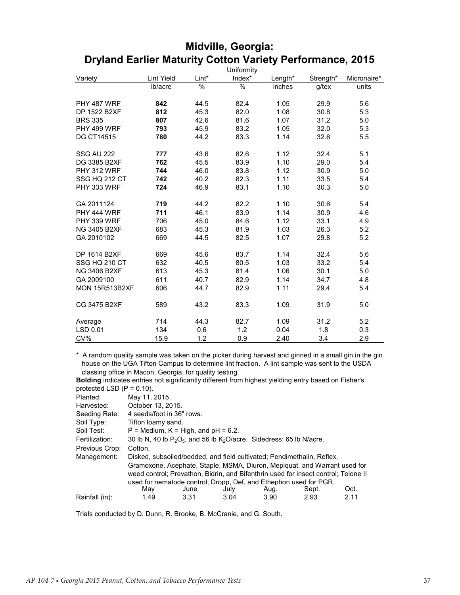|                       |                   |       | Uniformity    |         |           |             |
|-----------------------|-------------------|-------|---------------|---------|-----------|-------------|
| Variety               | <b>Lint Yield</b> | Lint* | Index*        | Length* | Strength* | Micronaire* |
|                       | lb/acre           | %     | $\frac{1}{6}$ | inches  | g/tex     | units       |
|                       |                   |       |               |         |           |             |
| PHY 487 WRF           | 842               | 44.5  | 82.4          | 1.05    | 29.9      | 5.6         |
| DP 1522 B2XF          | 812               | 45.3  | 82.0          | 1.08    | 30.8      | 5.3         |
| <b>BRS 335</b>        | 807               | 42.6  | 81.6          | 1.07    | 31.2      | 5.0         |
| PHY 499 WRF           | 793               | 45.9  | 83.2          | 1.05    | 32.0      | 5.3         |
| <b>DG CT14515</b>     | 780               | 44.2  | 83.3          | 1.14    | 32.6      | 5.5         |
|                       |                   |       |               |         |           |             |
| <b>SSG AU 222</b>     | 777               | 43.6  | 82.6          | 1.12    | 32.4      | 5.1         |
| DG 3385 B2XF          | 762               | 45.5  | 83.9          | 1.10    | 29.0      | 5.4         |
| PHY 312 WRF           | 744               | 46.0  | 83.8          | 1.12    | 30.9      | 5.0         |
| SSG HQ 212 CT         | 742               | 40.2  | 82.3          | 1.11    | 33.5      | 5.4         |
| PHY 333 WRF           | 724               | 46.9  | 83.1          | 1.10    | 30.3      | 5.0         |
|                       |                   |       |               |         |           |             |
| GA 2011124            | 719               | 44.2  | 82.2          | 1.10    | 30.6      | 5.4         |
| PHY 444 WRF           | 711               | 46.1  | 83.9          | 1.14    | 30.9      | 4.6         |
| PHY 339 WRF           | 706               | 45.0  | 84.6          | 1.12    | 33.1      | 4.9         |
| NG 3405 B2XF          | 683               | 45.3  | 81.9          | 1.03    | 26.3      | 5.2         |
| GA 2010102            | 669               | 44.5  | 82.5          | 1.07    | 29.8      | 5.2         |
|                       |                   |       |               |         |           |             |
| DP 1614 B2XF          | 669               | 45.6  | 83.7          | 1.14    | 32.4      | 5.6         |
| SSG HQ 210 CT         | 632               | 40.5  | 80.5          | 1.03    | 33.2      | 5.4         |
| NG 3406 B2XF          | 613               | 45.3  | 81.4          | 1.06    | 30.1      | 5.0         |
| GA 2009100            | 611               | 40.7  | 82.9          | 1.14    | 34.7      | 4.8         |
| <b>MON 15R513B2XF</b> | 606               | 44.7  | 82.9          | 1.11    | 29.4      | 5.4         |
|                       |                   |       |               |         |           |             |
| CG 3475 B2XF          | 589               | 43.2  | 83.3          | 1.09    | 31.9      | 5.0         |
|                       |                   |       |               |         |           |             |
| Average               | 714               | 44.3  | 82.7          | 1.09    | 31.2      | 5.2         |
| LSD 0.01              | 134               | 0.6   | 1.2           | 0.04    | 1.8       | 0.3         |
| CV%                   | 15.9              | 1.2   | 0.9           | 2.40    | 3.4       | 2.9         |

#### **Midville, Georgia: Dryland Earlier Maturity Cotton Variety Performance, 2015**

\* A random quality sample was taken on the picker during harvest and ginned in a small gin in the gin house on the UGA Tifton Campus to determine lint fraction. A lint sample was sent to the USDA classing office in Macon, Georgia, for quality testing.

**Bolding** indicates entries not significantly different from highest yielding entry based on Fisher's protected LSD  $(P = 0.10)$ .

|                | <u>.</u>                  |                                                                            |      |      |                                                                                    |      |  |  |  |  |
|----------------|---------------------------|----------------------------------------------------------------------------|------|------|------------------------------------------------------------------------------------|------|--|--|--|--|
| Planted:       | May 11, 2015.             |                                                                            |      |      |                                                                                    |      |  |  |  |  |
| Harvested:     | October 13, 2015.         |                                                                            |      |      |                                                                                    |      |  |  |  |  |
| Seeding Rate:  | 4 seeds/foot in 36" rows. |                                                                            |      |      |                                                                                    |      |  |  |  |  |
| Soil Type:     | Tifton loamy sand.        |                                                                            |      |      |                                                                                    |      |  |  |  |  |
| Soil Test:     |                           | $P =$ Medium, $K =$ High, and $pH = 6.2$ .                                 |      |      |                                                                                    |      |  |  |  |  |
| Fertilization: |                           | 30 lb N, 40 lb $P_2O_5$ , and 56 lb $K_2O$ /acre. Sidedress: 65 lb N/acre. |      |      |                                                                                    |      |  |  |  |  |
| Previous Crop: | Cotton.                   |                                                                            |      |      |                                                                                    |      |  |  |  |  |
| Management:    |                           |                                                                            |      |      | Disked, subsoiled/bedded, and field cultivated; Pendimethalin, Reflex,             |      |  |  |  |  |
|                |                           |                                                                            |      |      | Gramoxone, Acephate, Staple, MSMA, Diuron, Mepiquat, and Warrant used for          |      |  |  |  |  |
|                |                           |                                                                            |      |      | weed control; Prevathon, Bidrin, and Bifenthrin used for insect control; Telone II |      |  |  |  |  |
|                |                           |                                                                            |      |      | used for nematode control; Dropp, Def, and Ethephon used for PGR.                  |      |  |  |  |  |
|                | Mav                       | June                                                                       | July | Aug. | Sept.                                                                              | Oct. |  |  |  |  |
| Rainfall (in): | 1.49                      | 3.31                                                                       | 3.04 | 3.90 | 2.93                                                                               | 2.11 |  |  |  |  |
|                |                           |                                                                            |      |      |                                                                                    |      |  |  |  |  |

Trials conducted by D. Dunn, R. Brooke, B. McCranie, and G. South.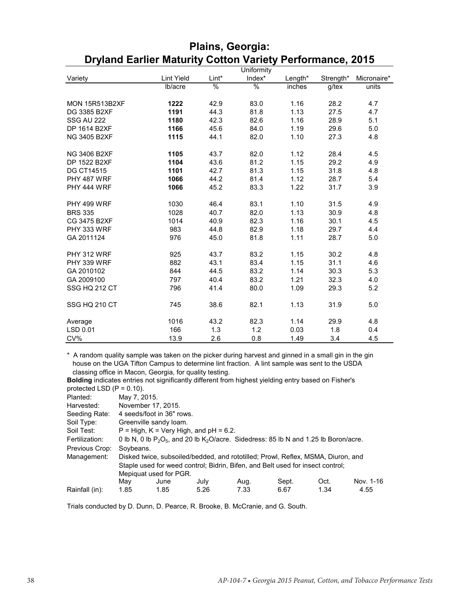|                       |                   |       | Uniformity |         |           |             |
|-----------------------|-------------------|-------|------------|---------|-----------|-------------|
| Variety               | <b>Lint Yield</b> | Lint* | Index*     | Length* | Strength* | Micronaire* |
|                       | lb/acre           | %     | %          | inches  | g/tex     | units       |
|                       |                   |       |            |         |           |             |
| <b>MON 15R513B2XF</b> | 1222              | 42.9  | 83.0       | 1.16    | 28.2      | 4.7         |
| DG 3385 B2XF          | 1191              | 44.3  | 81.8       | 1.13    | 27.5      | 4.7         |
| <b>SSG AU 222</b>     | 1180              | 42.3  | 82.6       | 1.16    | 28.9      | 5.1         |
| DP 1614 B2XF          | 1166              | 45.6  | 84.0       | 1.19    | 29.6      | 5.0         |
| <b>NG 3405 B2XF</b>   | 1115              | 44.1  | 82.0       | 1.10    | 27.3      | 4.8         |
|                       |                   |       |            |         |           |             |
| NG 3406 B2XF          | 1105              | 43.7  | 82.0       | 1.12    | 28.4      | 4.5         |
| DP 1522 B2XF          | 1104              | 43.6  | 81.2       | 1.15    | 29.2      | 4.9         |
| <b>DG CT14515</b>     | 1101              | 42.7  | 81.3       | 1.15    | 31.8      | 4.8         |
| PHY 487 WRF           | 1066              | 44.2  | 81.4       | 1.12    | 28.7      | 5.4         |
| PHY 444 WRF           | 1066              | 45.2  | 83.3       | 1.22    | 31.7      | 3.9         |
|                       |                   |       |            |         |           |             |
| PHY 499 WRF           | 1030              | 46.4  | 83.1       | 1.10    | 31.5      | 4.9         |
| <b>BRS 335</b>        | 1028              | 40.7  | 82.0       | 1.13    | 30.9      | 4.8         |
| CG 3475 B2XF          | 1014              | 40.9  | 82.3       | 1.16    | 30.1      | 4.5         |
| PHY 333 WRF           | 983               | 44.8  | 82.9       | 1.18    | 29.7      | 4.4         |
| GA 2011124            | 976               | 45.0  | 81.8       | 1.11    | 28.7      | 5.0         |
|                       |                   |       |            |         |           |             |
| PHY 312 WRF           | 925               | 43.7  | 83.2       | 1.15    | 30.2      | 4.8         |
| PHY 339 WRF           | 882               | 43.1  | 83.4       | 1.15    | 31.1      | 4.6         |
| GA 2010102            | 844               | 44.5  | 83.2       | 1.14    | 30.3      | 5.3         |
| GA 2009100            | 797               | 40.4  | 83.2       | 1.21    | 32.3      | 4.0         |
| SSG HQ 212 CT         | 796               | 41.4  | 80.0       | 1.09    | 29.3      | 5.2         |
|                       |                   |       |            |         |           |             |
| SSG HQ 210 CT         | 745               | 38.6  | 82.1       | 1.13    | 31.9      | 5.0         |
|                       |                   |       |            |         |           |             |
| Average               | 1016              | 43.2  | 82.3       | 1.14    | 29.9      | 4.8         |
| LSD 0.01              | 166               | 1.3   | 1.2        | 0.03    | 1.8       | 0.4         |
| CV%                   | 13.9              | 2.6   | 0.8        | 1.49    | 3.4       | 4.5         |

#### **Plains, Georgia: Dryland Earlier Maturity Cotton Variety Performance, 2015**

\* A random quality sample was taken on the picker during harvest and ginned in a small gin in the gin house on the UGA Tifton Campus to determine lint fraction. A lint sample was sent to the USDA classing office in Macon, Georgia, for quality testing.

**Bolding** indicates entries not significantly different from highest yielding entry based on Fisher's protected LSD  $(P = 0.10)$ .

| Jlantad: |  | $M_{211}$ 7 201 |
|----------|--|-----------------|

| Planted:       | May 7, 2015.                                                                               |                           |      |                                                                                  |       |      |           |  |  |  |
|----------------|--------------------------------------------------------------------------------------------|---------------------------|------|----------------------------------------------------------------------------------|-------|------|-----------|--|--|--|
| Harvested:     |                                                                                            | November 17, 2015.        |      |                                                                                  |       |      |           |  |  |  |
| Seeding Rate:  |                                                                                            | 4 seeds/foot in 36" rows. |      |                                                                                  |       |      |           |  |  |  |
| Soil Type:     |                                                                                            | Greenville sandy loam.    |      |                                                                                  |       |      |           |  |  |  |
| Soil Test:     | $P = High, K = Very High, and pH = 6.2.$                                                   |                           |      |                                                                                  |       |      |           |  |  |  |
| Fertilization: | 0 lb N, 0 lb $P_2O_5$ , and 20 lb $K_2O/acre$ . Sidedress: 85 lb N and 1.25 lb Boron/acre. |                           |      |                                                                                  |       |      |           |  |  |  |
| Previous Crop: | Soybeans.                                                                                  |                           |      |                                                                                  |       |      |           |  |  |  |
| Management:    |                                                                                            |                           |      | Disked twice, subsoiled/bedded, and rototilled; Prowl, Reflex, MSMA, Diuron, and |       |      |           |  |  |  |
|                | Staple used for weed control; Bidrin, Bifen, and Belt used for insect control;             |                           |      |                                                                                  |       |      |           |  |  |  |
|                |                                                                                            | Mepiquat used for PGR.    |      |                                                                                  |       |      |           |  |  |  |
|                | May                                                                                        | June                      | July | Aug.                                                                             | Sept. | Oct. | Nov. 1-16 |  |  |  |
| Rainfall (in): | 1.85                                                                                       | 1.85                      | 5.26 | 7.33                                                                             | 6.67  | 1.34 | 4.55      |  |  |  |

Trials conducted by D. Dunn, D. Pearce, R. Brooke, B. McCranie, and G. South.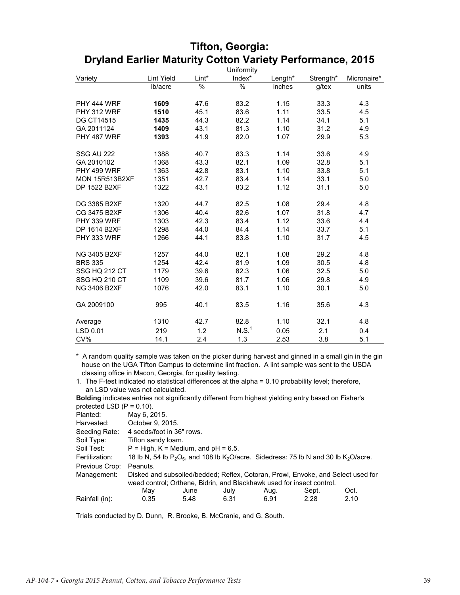|                       |                   |       | Uniformity        |         |           |             |
|-----------------------|-------------------|-------|-------------------|---------|-----------|-------------|
| Variety               | <b>Lint Yield</b> | Lint* | Index*            | Length* | Strength* | Micronaire* |
|                       | lb/acre           | $\%$  | %                 | inches  | g/tex     | units       |
|                       |                   |       |                   |         |           |             |
| PHY 444 WRF           | 1609              | 47.6  | 83.2              | 1.15    | 33.3      | 4.3         |
| PHY 312 WRF           | 1510              | 45.1  | 83.6              | 1.11    | 33.5      | 4.5         |
| <b>DG CT14515</b>     | 1435              | 44.3  | 82.2              | 1.14    | 34.1      | 5.1         |
| GA 2011124            | 1409              | 43.1  | 81.3              | 1.10    | 31.2      | 4.9         |
| PHY 487 WRF           | 1393              | 41.9  | 82.0              | 1.07    | 29.9      | 5.3         |
|                       |                   |       |                   |         |           |             |
| <b>SSG AU 222</b>     | 1388              | 40.7  | 83.3              | 1.14    | 33.6      | 4.9         |
| GA 2010102            | 1368              | 43.3  | 82.1              | 1.09    | 32.8      | 5.1         |
| PHY 499 WRF           | 1363              | 42.8  | 83.1              | 1.10    | 33.8      | 5.1         |
| <b>MON 15R513B2XF</b> | 1351              | 42.7  | 83.4              | 1.14    | 33.1      | 5.0         |
| DP 1522 B2XF          | 1322              | 43.1  | 83.2              | 1.12    | 31.1      | 5.0         |
| DG 3385 B2XF          | 1320              | 44.7  | 82.5              | 1.08    | 29.4      | 4.8         |
| CG 3475 B2XF          | 1306              | 40.4  | 82.6              | 1.07    | 31.8      | 4.7         |
| PHY 339 WRF           | 1303              | 42.3  | 83.4              | 1.12    | 33.6      | 4.4         |
| DP 1614 B2XF          | 1298              | 44.0  | 84.4              | 1.14    | 33.7      | 5.1         |
| PHY 333 WRF           | 1266              | 44.1  | 83.8              | 1.10    | 31.7      | 4.5         |
|                       |                   |       |                   |         |           |             |
| <b>NG 3405 B2XF</b>   | 1257              | 44.0  | 82.1              | 1.08    | 29.2      | 4.8         |
| <b>BRS 335</b>        | 1254              | 42.4  | 81.9              | 1.09    | 30.5      | 4.8         |
| SSG HQ 212 CT         | 1179              | 39.6  | 82.3              | 1.06    | 32.5      | 5.0         |
| SSG HQ 210 CT         | 1109              | 39.6  | 81.7              | 1.06    | 29.8      | 4.9         |
| NG 3406 B2XF          | 1076              | 42.0  | 83.1              | 1.10    | 30.1      | 5.0         |
| GA 2009100            | 995               | 40.1  | 83.5              | 1.16    | 35.6      | 4.3         |
| Average               | 1310              | 42.7  | 82.8              | 1.10    | 32.1      | 4.8         |
| LSD 0.01              | 219               | 1.2   | N.S. <sup>1</sup> | 0.05    | 2.1       | 0.4         |
| CV%                   | 14.1              | 2.4   | 1.3               | 2.53    | 3.8       | 5.1         |

#### **Tifton, Georgia: Dryland Earlier Maturity Cotton Variety Performance, 2015**

\* A random quality sample was taken on the picker during harvest and ginned in a small gin in the gin house on the UGA Tifton Campus to determine lint fraction. A lint sample was sent to the USDA classing office in Macon, Georgia, for quality testing.

1. The F-test indicated no statistical differences at the alpha = 0.10 probability level; therefore, an LSD value was not calculated.

**Bolding** indicates entries not significantly different from highest yielding entry based on Fisher's protected LSD  $(P = 0.10)$ .

| $\mu$ or $\mu$ and $\mu$ and $\mu$ and $\mu$ |                                       |                    |      |                                                                                                                 |       |      |  |  |  |  |  |
|----------------------------------------------|---------------------------------------|--------------------|------|-----------------------------------------------------------------------------------------------------------------|-------|------|--|--|--|--|--|
| Planted:                                     | May 6, 2015.                          |                    |      |                                                                                                                 |       |      |  |  |  |  |  |
| Harvested:                                   | October 9, 2015.                      |                    |      |                                                                                                                 |       |      |  |  |  |  |  |
| Seeding Rate:                                | 4 seeds/foot in 36" rows.             |                    |      |                                                                                                                 |       |      |  |  |  |  |  |
| Soil Type:                                   |                                       | Tifton sandy loam. |      |                                                                                                                 |       |      |  |  |  |  |  |
| Soil Test:                                   | $P = High, K = Medium, and pH = 6.5.$ |                    |      |                                                                                                                 |       |      |  |  |  |  |  |
| Fertilization:                               |                                       |                    |      | 18 lb N, 54 lb $P_2O_5$ , and 108 lb K <sub>2</sub> O/acre. Sidedress: 75 lb N and 30 lb K <sub>2</sub> O/acre. |       |      |  |  |  |  |  |
| Previous Crop:                               | Peanuts.                              |                    |      |                                                                                                                 |       |      |  |  |  |  |  |
| Management:                                  |                                       |                    |      | Disked and subsoiled/bedded; Reflex, Cotoran, Prowl, Envoke, and Select used for                                |       |      |  |  |  |  |  |
|                                              |                                       |                    |      | weed control; Orthene, Bidrin, and Blackhawk used for insect control.                                           |       |      |  |  |  |  |  |
|                                              | May                                   | June               | July | Aug.                                                                                                            | Sept. | Oct. |  |  |  |  |  |
| Rainfall (in):                               | 0.35                                  | 5.48               | 6.31 | 6.91                                                                                                            | 2.28  | 2.10 |  |  |  |  |  |
|                                              |                                       |                    |      |                                                                                                                 |       |      |  |  |  |  |  |

Trials conducted by D. Dunn, R. Brooke, B. McCranie, and G. South.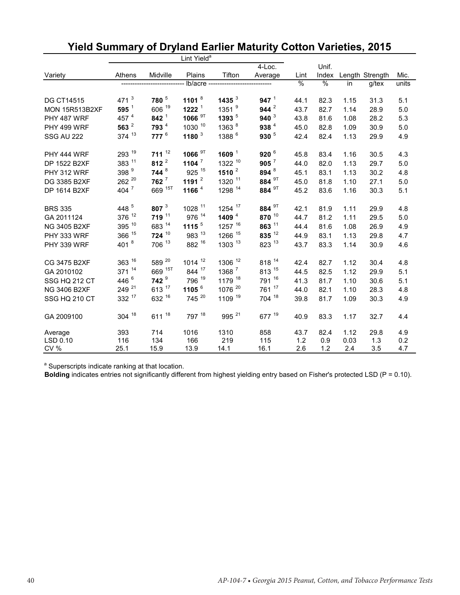| Lint Yield <sup>a</sup> |                   |                    |                    |                        |                   |               |       |      |                 |       |
|-------------------------|-------------------|--------------------|--------------------|------------------------|-------------------|---------------|-------|------|-----------------|-------|
|                         |                   |                    |                    |                        | $4$ -Loc.         |               | Unif. |      |                 |       |
| Variety                 | Athens            | Midville           | Plains             | Tifton                 | Average           | Lint          | Index |      | Length Strength | Mic.  |
|                         |                   |                    |                    | lb/acre -------------- |                   | $\frac{9}{6}$ | %     | in   | g/tex           | units |
| <b>DG CT14515</b>       | 471 $3$           | 780 <sup>5</sup>   | 1101 $8$           | 1435 $3$               | 947 <sup>1</sup>  | 44.1          | 82.3  | 1.15 | 31.3            | 5.1   |
| <b>MON 15R513B2XF</b>   | $595^1$           | 606 19             | 1222 <sup>1</sup>  | 1351 <sup>9</sup>      | 944 $^2$          | 43.7          | 82.7  | 1.14 | 28.9            | 5.0   |
| PHY 487 WRF             | 457 4             | $842^{1}$          | 1066 <sup>9T</sup> | 1393 <sup>5</sup>      | 940 $3$           | 43.8          | 81.6  | 1.08 | 28.2            | 5.3   |
| PHY 499 WRF             | 563 $^2$          | 793 <sup>4</sup>   | 1030 10            | 1363 <sup>8</sup>      | 938 <sup>4</sup>  | 45.0          | 82.8  | 1.09 | 30.9            | 5.0   |
| <b>SSG AU 222</b>       | 374 13            | $777^6$            | 1180 $3$           | 1388 <sup>6</sup>      | $930^{5}$         | 42.4          | 82.4  | 1.13 | 29.9            | 4.9   |
| PHY 444 WRF             | 293 19            | $711^{12}$         | 1066 <sup>9T</sup> | 1609 $1$               | 920 $6$           | 45.8          | 83.4  | 1.16 | 30.5            | 4.3   |
| DP 1522 B2XF            | 383 11            | 812 $^2$           | 1104 $^7$          | 1322 10                | $905^7$           | 44.0          | 82.0  | 1.13 | 29.7            | 5.0   |
| PHY 312 WRF             | 398 <sup>9</sup>  | 744 <sup>8</sup>   | 925 15             | 1510 $^2$              | 894 <sup>8</sup>  | 45.1          | 83.1  | 1.13 | 30.2            | 4.8   |
| DG 3385 B2XF            | 262 20            | $762$ <sup>7</sup> | 1191 $^2$          | 1320 11                | 884 <sup>9T</sup> | 45.0          | 81.8  | 1.10 | 27.1            | 5.0   |
| DP 1614 B2XF            | 404 $^7$          | 669 15T            | 1166 <sup>4</sup>  | 1298 14                | 884 <sup>9T</sup> | 45.2          | 83.6  | 1.16 | 30.3            | 5.1   |
| <b>BRS 335</b>          | 448 5             | 807 $3$            | 1028 11            | 1254 17                | 884 <sup>9T</sup> | 42.1          | 81.9  | 1.11 | 29.9            | 4.8   |
| GA 2011124              | 376 12            | 719 11             | 976 14             | 1409 $4$               | 870 10            | 44.7          | 81.2  | 1.11 | 29.5            | 5.0   |
| <b>NG 3405 B2XF</b>     | 395 10            | 683 14             | 1115 $5$           | 1257 16                | 863 11            | 44.4          | 81.6  | 1.08 | 26.9            | 4.9   |
| PHY 333 WRF             | 366 15            | $724^{10}$         | 983 13             | 1266 15                | 835 12            | 44.9          | 83.1  | 1.13 | 29.8            | 4.7   |
| PHY 339 WRF             | 401 $8$           | 706 13             | 882 16             | 1303 13                | 823 13            | 43.7          | 83.3  | 1.14 | 30.9            | 4.6   |
| CG 3475 B2XF            | $363^{16}$        | 589 20             | 1014 12            | 1306 12                | 818 14            | 42.4          | 82.7  | 1.12 | 30.4            | 4.8   |
| GA 2010102              | 371 14            | 669 15T            | 844 17             | 1368 7                 | 813 15            | 44.5          | 82.5  | 1.12 | 29.9            | 5.1   |
| SSG HQ 212 CT           | 446 <sup>6</sup>  | 742 <sup>9</sup>   | 796 19             | 1179 18                | 791 16            | 41.3          | 81.7  | 1.10 | 30.6            | 5.1   |
| NG 3406 B2XF            | 249 <sup>21</sup> | 613 17             | 1105 $^6$          | 1076 <sup>20</sup>     | 761 17            | 44.0          | 82.1  | 1.10 | 28.3            | 4.8   |
| SSG HQ 210 CT           | 332 17            | 632 16             | 745 20             | 1109 19                | 704 18            | 39.8          | 81.7  | 1.09 | 30.3            | 4.9   |
| GA 2009100              | 304 18            | 611 18             | 797 18             | 995 <sup>21</sup>      | 677 19            | 40.9          | 83.3  | 1.17 | 32.7            | 4.4   |
| Average                 | 393               | 714                | 1016               | 1310                   | 858               | 43.7          | 82.4  | 1.12 | 29.8            | 4.9   |
| LSD 0.10                | 116               | 134                | 166                | 219                    | 115               | 1.2           | 0.9   | 0.03 | 1.3             | 0.2   |
| CV%                     | 25.1              | 15.9               | 13.9               | 14.1                   | 16.1              | 2.6           | 1.2   | 2.4  | 3.5             | 4.7   |

# **Yield Summary of Dryland Earlier Maturity Cotton Varieties, 2015**

<sup>a</sup> Superscripts indicate ranking at that location.

**Bolding** indicates entries not significantly different from highest yielding entry based on Fisher's protected LSD (P = 0.10).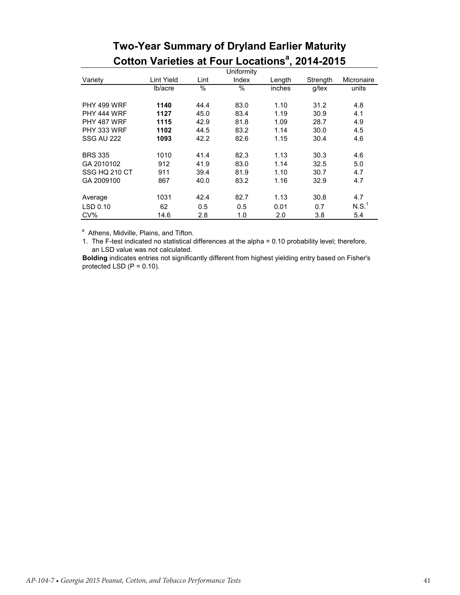|                   |                   |      | Uniformity |        |          |            |
|-------------------|-------------------|------|------------|--------|----------|------------|
| Variety           | <b>Lint Yield</b> | Lint | Index      | Length | Strength | Micronaire |
|                   | lb/acre           | %    | %          | inches | g/tex    | units      |
| PHY 499 WRF       | 1140              | 44.4 | 83.0       | 1.10   | 31.2     | 4.8        |
| PHY 444 WRF       | 1127              | 45.0 | 83.4       | 1.19   | 30.9     | 4.1        |
| PHY 487 WRF       | 1115              | 42.9 | 81.8       | 1.09   | 28.7     | 4.9        |
| PHY 333 WRF       | 1102              | 44.5 | 83.2       | 1.14   | 30.0     | 4.5        |
| <b>SSG AU 222</b> | 1093              | 42.2 | 82.6       | 1.15   | 30.4     | 4.6        |
| <b>BRS 335</b>    | 1010              | 41.4 | 82.3       | 1.13   | 30.3     | 4.6        |
| GA 2010102        | 912               | 41.9 | 83.0       | 1.14   | 32.5     | 5.0        |
| SSG HQ 210 CT     | 911               | 39.4 | 81.9       | 1.10   | 30.7     | 4.7        |
| GA 2009100        | 867               | 40.0 | 83.2       | 1.16   | 32.9     | 4.7        |
| Average           | 1031              | 42.4 | 82.7       | 1.13   | 30.8     | 4.7        |
| LSD 0.10          | 62                | 0.5  | 0.5        | 0.01   | 0.7      | N.S.       |
| CV%               | 14.6              | 2.8  | 1.0        | 2.0    | 3.8      | 5.4        |

# **Two-Year Summary of Dryland Earlier Maturity Cotton Varieties at Four Locations<sup>a</sup>, 2014-2015**

<sup>a</sup> Athens, Midville, Plains, and Tifton.

1. The F-test indicated no statistical differences at the alpha = 0.10 probability level; therefore, an LSD value was not calculated.

**Bolding** indicates entries not significantly different from highest yielding entry based on Fisher's protected LSD  $(P = 0.10)$ .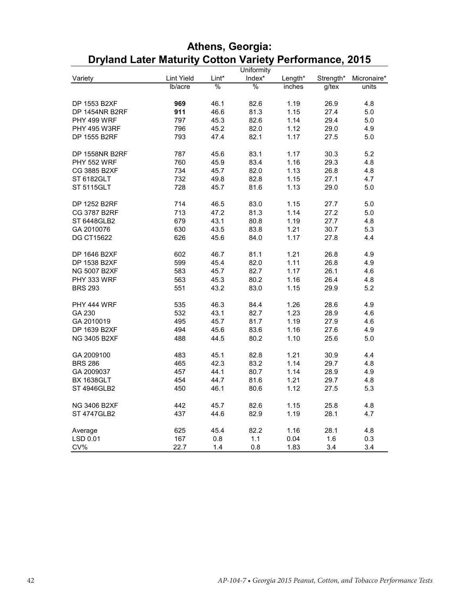|                       |            |               | Uniformity    |         |           |             |
|-----------------------|------------|---------------|---------------|---------|-----------|-------------|
| Variety               | Lint Yield | Lint*         | Index*        | Length* | Strength* | Micronaire* |
|                       | Ib/acre    | $\frac{0}{6}$ | $\frac{0}{0}$ | inches  | $g$ /tex  | units       |
|                       |            |               |               |         |           |             |
| DP 1553 B2XF          | 969        | 46.1          | 82.6          | 1.19    | 26.9      | 4.8         |
| DP 1454NR B2RF        | 911        | 46.6          | 81.3          | 1.15    | 27.4      | $5.0$       |
| PHY 499 WRF           | 797        | 45.3          | 82.6          | 1.14    | 29.4      | 5.0         |
| <b>PHY 495 W3RF</b>   | 796        | 45.2          | 82.0          | 1.12    | 29.0      | 4.9         |
| DP 1555 B2RF          | 793        | 47.4          | 82.1          | 1.17    | 27.5      | 5.0         |
|                       |            |               |               |         |           |             |
| <b>DP 1558NR B2RF</b> | 787        | 45.6          | 83.1          | 1.17    | 30.3      | 5.2         |
| PHY 552 WRF           | 760        | 45.9          | 83.4          | 1.16    | 29.3      | 4.8         |
| CG 3885 B2XF          | 734        | 45.7          | 82.0          | 1.13    | 26.8      | 4.8         |
| ST 6182GLT            | 732        | 49.8          | 82.8          | 1.15    | 27.1      | 4.7         |
| <b>ST 5115GLT</b>     | 728        | 45.7          | 81.6          | 1.13    | 29.0      | 5.0         |
|                       |            |               |               |         |           |             |
| DP 1252 B2RF          | 714        | 46.5          | 83.0          | 1.15    | 27.7      | 5.0         |
| CG 3787 B2RF          | 713        | 47.2          | 81.3          | 1.14    | 27.2      | 5.0         |
| ST 6448GLB2           | 679        | 43.1          | 80.8          | 1.19    | 27.7      | 4.8         |
| GA 2010076            | 630        | 43.5          | 83.8          | 1.21    | 30.7      | 5.3         |
| DG CT15622            | 626        | 45.6          | 84.0          | 1.17    | 27.8      | 4.4         |
|                       |            |               |               |         |           |             |
| DP 1646 B2XF          | 602        | 46.7          | 81.1          | 1.21    | 26.8      | 4.9         |
| DP 1538 B2XF          | 599        | 45.4          | 82.0          | 1.11    | 26.8      | 4.9         |
| <b>NG 5007 B2XF</b>   | 583        | 45.7          | 82.7          | 1.17    | 26.1      | 4.6         |
| PHY 333 WRF           | 563        | 45.3          | 80.2          | 1.16    | 26.4      | 4.8         |
| <b>BRS 293</b>        | 551        | 43.2          | 83.0          | 1.15    | 29.9      | 5.2         |
|                       |            |               |               |         |           |             |
| PHY 444 WRF           | 535        | 46.3          | 84.4          | 1.26    | 28.6      | 4.9         |
| GA 230                | 532        | 43.1          | 82.7          | 1.23    | 28.9      | 4.6         |
| GA 2010019            | 495        | 45.7          | 81.7          | 1.19    | 27.9      | 4.6         |
| DP 1639 B2XF          | 494        | 45.6          | 83.6          | 1.16    | 27.6      | 4.9         |
| NG 3405 B2XF          | 488        | 44.5          | 80.2          | 1.10    | 25.6      | 5.0         |
|                       |            |               |               |         |           |             |
| GA 2009100            | 483        | 45.1          | 82.8          | 1.21    | 30.9      | 4.4         |
| <b>BRS 286</b>        | 465        | 42.3          | 83.2          | 1.14    | 29.7      | 4.8         |
| GA 2009037            | 457        | 44.1          | 80.7          | 1.14    | 28.9      | 4.9         |
| <b>BX 1638GLT</b>     | 454        | 44.7          | 81.6          | 1.21    | 29.7      | 4.8         |
| <b>ST 4946GLB2</b>    | 450        | 46.1          | 80.6          | 1.12    | 27.5      | 5.3         |
|                       |            |               |               |         |           |             |
| <b>NG 3406 B2XF</b>   | 442        | 45.7          | 82.6          | 1.15    | 25.8      | 4.8         |
| ST 4747GLB2           | 437        | 44.6          | 82.9          | 1.19    | 28.1      | 4.7         |
|                       |            |               |               |         |           |             |
| Average               | 625        | 45.4          | 82.2          | 1.16    | 28.1      | 4.8         |
| LSD 0.01              | 167        | 0.8           | 1.1           | 0.04    | 1.6       | 0.3         |
| CV%                   | 22.7       | 1.4           | 0.8           | 1.83    | 3.4       | 3.4         |

## **Athens, Georgia: Dryland Later Maturity Cotton Variety Performance, 2015**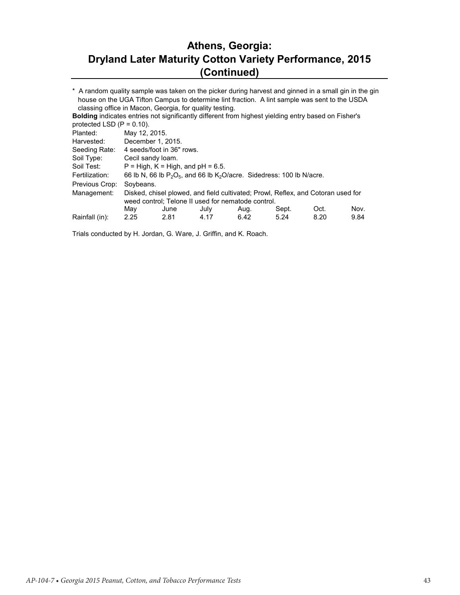## **Athens, Georgia: Dryland Later Maturity Cotton Variety Performance, 2015 (Continued)**

\* A random quality sample was taken on the picker during harvest and ginned in a small gin in the gin house on the UGA Tifton Campus to determine lint fraction. A lint sample was sent to the USDA classing office in Macon, Georgia, for quality testing.

| <b>Bolding indicates entries not significantly different from highest yielding entry based on Fisher's</b> |                   |                                     |      |                                                                             |       |                                                                                  |      |
|------------------------------------------------------------------------------------------------------------|-------------------|-------------------------------------|------|-----------------------------------------------------------------------------|-------|----------------------------------------------------------------------------------|------|
| protected LSD $(P = 0.10)$ .                                                                               |                   |                                     |      |                                                                             |       |                                                                                  |      |
| Planted:                                                                                                   | May 12, 2015.     |                                     |      |                                                                             |       |                                                                                  |      |
| Harvested:                                                                                                 | December 1, 2015. |                                     |      |                                                                             |       |                                                                                  |      |
| Seeding Rate:                                                                                              |                   | 4 seeds/foot in 36" rows.           |      |                                                                             |       |                                                                                  |      |
| Soil Type:                                                                                                 | Cecil sandy loam. |                                     |      |                                                                             |       |                                                                                  |      |
| Soil Test:                                                                                                 |                   | $P = High, K = High, and pH = 6.5.$ |      |                                                                             |       |                                                                                  |      |
| Fertilization:                                                                                             |                   |                                     |      | 66 lb N, 66 lb $P_2O_5$ , and 66 lb $K_2O$ /acre. Sidedress: 100 lb N/acre. |       |                                                                                  |      |
| Previous Crop:                                                                                             | Soybeans.         |                                     |      |                                                                             |       |                                                                                  |      |
| Management:                                                                                                |                   |                                     |      |                                                                             |       | Disked, chisel plowed, and field cultivated; Prowl, Reflex, and Cotoran used for |      |
|                                                                                                            |                   |                                     |      | weed control; Telone II used for nematode control.                          |       |                                                                                  |      |
|                                                                                                            | May               | June                                | July | Aug.                                                                        | Sept. | Oct.                                                                             | Nov. |
| Rainfall (in):                                                                                             | 2.25              | 2.81                                | 4.17 | 6.42                                                                        | 5.24  | 8.20                                                                             | 9.84 |

Trials conducted by H. Jordan, G. Ware, J. Griffin, and K. Roach.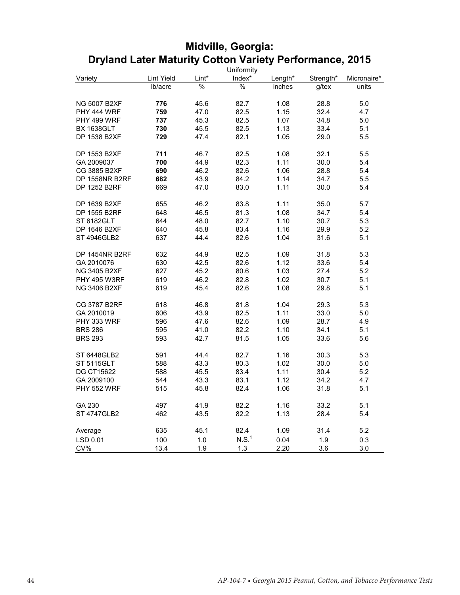| Index*<br>Lint Yield<br>Lint*<br>Variety<br>Length*<br>Strength*<br>Micronaire*<br>%<br>%<br>lb/acre<br>$g$ /tex<br>units<br>inches<br>776<br>82.7<br>1.08<br>28.8<br>5.0<br><b>NG 5007 B2XF</b><br>45.6<br>82.5<br>1.15<br>32.4<br>PHY 444 WRF<br>759<br>47.0<br>4.7<br>82.5<br>1.07<br>34.8<br>PHY 499 WRF<br>737<br>45.3<br>5.0<br><b>BX 1638GLT</b><br>730<br>45.5<br>82.5<br>1.13<br>33.4<br>5.1<br>DP 1538 B2XF<br>729<br>82.1<br>1.05<br>29.0<br>47.4<br>5.5<br>82.5<br>32.1<br>DP 1553 B2XF<br>711<br>46.7<br>1.08<br>5.5<br>82.3<br>1.11<br>30.0<br>GA 2009037<br>700<br>44.9<br>5.4<br>CG 3885 B2XF<br>690<br>82.6<br>1.06<br>28.8<br>46.2<br>5.4<br><b>DP 1558NR B2RF</b><br>682<br>43.9<br>84.2<br>1.14<br>34.7<br>5.5<br>DP 1252 B2RF<br>669<br>47.0<br>83.0<br>1.11<br>30.0<br>5.4<br>DP 1639 B2XF<br>46.2<br>83.8<br>1.11<br>35.0<br>655<br>5.7<br>DP 1555 B2RF<br>1.08<br>648<br>46.5<br>81.3<br>34.7<br>5.4<br>82.7<br>1.10<br>ST 6182GLT<br>644<br>48.0<br>30.7<br>5.3<br>83.4<br>DP 1646 B2XF<br>640<br>45.8<br>1.16<br>29.9<br>5.2<br>637<br>82.6<br>1.04<br>ST 4946GLB2<br>44.4<br>31.6<br>5.1<br>DP 1454NR B2RF<br>632<br>44.9<br>82.5<br>1.09<br>31.8<br>5.3<br>82.6<br>GA 2010076<br>630<br>42.5<br>1.12<br>33.6<br>5.4<br><b>NG 3405 B2XF</b><br>627<br>80.6<br>1.03<br>27.4<br>5.2<br>45.2<br>619<br><b>PHY 495 W3RF</b><br>46.2<br>82.8<br>1.02<br>30.7<br>5.1<br>82.6<br><b>NG 3406 B2XF</b><br>619<br>45.4<br>1.08<br>29.8<br>5.1<br><b>CG 3787 B2RF</b><br>618<br>46.8<br>81.8<br>1.04<br>29.3<br>5.3<br>GA 2010019<br>606<br>43.9<br>82.5<br>1.11<br>33.0<br>5.0<br>82.6<br>1.09<br>28.7<br>PHY 333 WRF<br>596<br>47.6<br>4.9<br>82.2<br><b>BRS 286</b><br>595<br>41.0<br>1.10<br>34.1<br>5.1<br><b>BRS 293</b><br>593<br>42.7<br>81.5<br>1.05<br>33.6<br>5.6 | Uniformity  |     |      |      |      |      |     |
|----------------------------------------------------------------------------------------------------------------------------------------------------------------------------------------------------------------------------------------------------------------------------------------------------------------------------------------------------------------------------------------------------------------------------------------------------------------------------------------------------------------------------------------------------------------------------------------------------------------------------------------------------------------------------------------------------------------------------------------------------------------------------------------------------------------------------------------------------------------------------------------------------------------------------------------------------------------------------------------------------------------------------------------------------------------------------------------------------------------------------------------------------------------------------------------------------------------------------------------------------------------------------------------------------------------------------------------------------------------------------------------------------------------------------------------------------------------------------------------------------------------------------------------------------------------------------------------------------------------------------------------------------------------------------------------------------------------------------------------------------------------------------------------------|-------------|-----|------|------|------|------|-----|
|                                                                                                                                                                                                                                                                                                                                                                                                                                                                                                                                                                                                                                                                                                                                                                                                                                                                                                                                                                                                                                                                                                                                                                                                                                                                                                                                                                                                                                                                                                                                                                                                                                                                                                                                                                                              |             |     |      |      |      |      |     |
|                                                                                                                                                                                                                                                                                                                                                                                                                                                                                                                                                                                                                                                                                                                                                                                                                                                                                                                                                                                                                                                                                                                                                                                                                                                                                                                                                                                                                                                                                                                                                                                                                                                                                                                                                                                              |             |     |      |      |      |      |     |
|                                                                                                                                                                                                                                                                                                                                                                                                                                                                                                                                                                                                                                                                                                                                                                                                                                                                                                                                                                                                                                                                                                                                                                                                                                                                                                                                                                                                                                                                                                                                                                                                                                                                                                                                                                                              |             |     |      |      |      |      |     |
|                                                                                                                                                                                                                                                                                                                                                                                                                                                                                                                                                                                                                                                                                                                                                                                                                                                                                                                                                                                                                                                                                                                                                                                                                                                                                                                                                                                                                                                                                                                                                                                                                                                                                                                                                                                              |             |     |      |      |      |      |     |
|                                                                                                                                                                                                                                                                                                                                                                                                                                                                                                                                                                                                                                                                                                                                                                                                                                                                                                                                                                                                                                                                                                                                                                                                                                                                                                                                                                                                                                                                                                                                                                                                                                                                                                                                                                                              |             |     |      |      |      |      |     |
|                                                                                                                                                                                                                                                                                                                                                                                                                                                                                                                                                                                                                                                                                                                                                                                                                                                                                                                                                                                                                                                                                                                                                                                                                                                                                                                                                                                                                                                                                                                                                                                                                                                                                                                                                                                              |             |     |      |      |      |      |     |
|                                                                                                                                                                                                                                                                                                                                                                                                                                                                                                                                                                                                                                                                                                                                                                                                                                                                                                                                                                                                                                                                                                                                                                                                                                                                                                                                                                                                                                                                                                                                                                                                                                                                                                                                                                                              |             |     |      |      |      |      |     |
|                                                                                                                                                                                                                                                                                                                                                                                                                                                                                                                                                                                                                                                                                                                                                                                                                                                                                                                                                                                                                                                                                                                                                                                                                                                                                                                                                                                                                                                                                                                                                                                                                                                                                                                                                                                              |             |     |      |      |      |      |     |
|                                                                                                                                                                                                                                                                                                                                                                                                                                                                                                                                                                                                                                                                                                                                                                                                                                                                                                                                                                                                                                                                                                                                                                                                                                                                                                                                                                                                                                                                                                                                                                                                                                                                                                                                                                                              |             |     |      |      |      |      |     |
|                                                                                                                                                                                                                                                                                                                                                                                                                                                                                                                                                                                                                                                                                                                                                                                                                                                                                                                                                                                                                                                                                                                                                                                                                                                                                                                                                                                                                                                                                                                                                                                                                                                                                                                                                                                              |             |     |      |      |      |      |     |
|                                                                                                                                                                                                                                                                                                                                                                                                                                                                                                                                                                                                                                                                                                                                                                                                                                                                                                                                                                                                                                                                                                                                                                                                                                                                                                                                                                                                                                                                                                                                                                                                                                                                                                                                                                                              |             |     |      |      |      |      |     |
|                                                                                                                                                                                                                                                                                                                                                                                                                                                                                                                                                                                                                                                                                                                                                                                                                                                                                                                                                                                                                                                                                                                                                                                                                                                                                                                                                                                                                                                                                                                                                                                                                                                                                                                                                                                              |             |     |      |      |      |      |     |
|                                                                                                                                                                                                                                                                                                                                                                                                                                                                                                                                                                                                                                                                                                                                                                                                                                                                                                                                                                                                                                                                                                                                                                                                                                                                                                                                                                                                                                                                                                                                                                                                                                                                                                                                                                                              |             |     |      |      |      |      |     |
|                                                                                                                                                                                                                                                                                                                                                                                                                                                                                                                                                                                                                                                                                                                                                                                                                                                                                                                                                                                                                                                                                                                                                                                                                                                                                                                                                                                                                                                                                                                                                                                                                                                                                                                                                                                              |             |     |      |      |      |      |     |
|                                                                                                                                                                                                                                                                                                                                                                                                                                                                                                                                                                                                                                                                                                                                                                                                                                                                                                                                                                                                                                                                                                                                                                                                                                                                                                                                                                                                                                                                                                                                                                                                                                                                                                                                                                                              |             |     |      |      |      |      |     |
|                                                                                                                                                                                                                                                                                                                                                                                                                                                                                                                                                                                                                                                                                                                                                                                                                                                                                                                                                                                                                                                                                                                                                                                                                                                                                                                                                                                                                                                                                                                                                                                                                                                                                                                                                                                              |             |     |      |      |      |      |     |
|                                                                                                                                                                                                                                                                                                                                                                                                                                                                                                                                                                                                                                                                                                                                                                                                                                                                                                                                                                                                                                                                                                                                                                                                                                                                                                                                                                                                                                                                                                                                                                                                                                                                                                                                                                                              |             |     |      |      |      |      |     |
|                                                                                                                                                                                                                                                                                                                                                                                                                                                                                                                                                                                                                                                                                                                                                                                                                                                                                                                                                                                                                                                                                                                                                                                                                                                                                                                                                                                                                                                                                                                                                                                                                                                                                                                                                                                              |             |     |      |      |      |      |     |
|                                                                                                                                                                                                                                                                                                                                                                                                                                                                                                                                                                                                                                                                                                                                                                                                                                                                                                                                                                                                                                                                                                                                                                                                                                                                                                                                                                                                                                                                                                                                                                                                                                                                                                                                                                                              |             |     |      |      |      |      |     |
|                                                                                                                                                                                                                                                                                                                                                                                                                                                                                                                                                                                                                                                                                                                                                                                                                                                                                                                                                                                                                                                                                                                                                                                                                                                                                                                                                                                                                                                                                                                                                                                                                                                                                                                                                                                              |             |     |      |      |      |      |     |
|                                                                                                                                                                                                                                                                                                                                                                                                                                                                                                                                                                                                                                                                                                                                                                                                                                                                                                                                                                                                                                                                                                                                                                                                                                                                                                                                                                                                                                                                                                                                                                                                                                                                                                                                                                                              |             |     |      |      |      |      |     |
|                                                                                                                                                                                                                                                                                                                                                                                                                                                                                                                                                                                                                                                                                                                                                                                                                                                                                                                                                                                                                                                                                                                                                                                                                                                                                                                                                                                                                                                                                                                                                                                                                                                                                                                                                                                              |             |     |      |      |      |      |     |
|                                                                                                                                                                                                                                                                                                                                                                                                                                                                                                                                                                                                                                                                                                                                                                                                                                                                                                                                                                                                                                                                                                                                                                                                                                                                                                                                                                                                                                                                                                                                                                                                                                                                                                                                                                                              |             |     |      |      |      |      |     |
|                                                                                                                                                                                                                                                                                                                                                                                                                                                                                                                                                                                                                                                                                                                                                                                                                                                                                                                                                                                                                                                                                                                                                                                                                                                                                                                                                                                                                                                                                                                                                                                                                                                                                                                                                                                              |             |     |      |      |      |      |     |
|                                                                                                                                                                                                                                                                                                                                                                                                                                                                                                                                                                                                                                                                                                                                                                                                                                                                                                                                                                                                                                                                                                                                                                                                                                                                                                                                                                                                                                                                                                                                                                                                                                                                                                                                                                                              |             |     |      |      |      |      |     |
|                                                                                                                                                                                                                                                                                                                                                                                                                                                                                                                                                                                                                                                                                                                                                                                                                                                                                                                                                                                                                                                                                                                                                                                                                                                                                                                                                                                                                                                                                                                                                                                                                                                                                                                                                                                              |             |     |      |      |      |      |     |
|                                                                                                                                                                                                                                                                                                                                                                                                                                                                                                                                                                                                                                                                                                                                                                                                                                                                                                                                                                                                                                                                                                                                                                                                                                                                                                                                                                                                                                                                                                                                                                                                                                                                                                                                                                                              |             |     |      |      |      |      |     |
|                                                                                                                                                                                                                                                                                                                                                                                                                                                                                                                                                                                                                                                                                                                                                                                                                                                                                                                                                                                                                                                                                                                                                                                                                                                                                                                                                                                                                                                                                                                                                                                                                                                                                                                                                                                              |             |     |      |      |      |      |     |
|                                                                                                                                                                                                                                                                                                                                                                                                                                                                                                                                                                                                                                                                                                                                                                                                                                                                                                                                                                                                                                                                                                                                                                                                                                                                                                                                                                                                                                                                                                                                                                                                                                                                                                                                                                                              |             |     |      |      |      |      |     |
|                                                                                                                                                                                                                                                                                                                                                                                                                                                                                                                                                                                                                                                                                                                                                                                                                                                                                                                                                                                                                                                                                                                                                                                                                                                                                                                                                                                                                                                                                                                                                                                                                                                                                                                                                                                              |             |     |      |      |      |      |     |
|                                                                                                                                                                                                                                                                                                                                                                                                                                                                                                                                                                                                                                                                                                                                                                                                                                                                                                                                                                                                                                                                                                                                                                                                                                                                                                                                                                                                                                                                                                                                                                                                                                                                                                                                                                                              |             |     |      |      |      |      |     |
|                                                                                                                                                                                                                                                                                                                                                                                                                                                                                                                                                                                                                                                                                                                                                                                                                                                                                                                                                                                                                                                                                                                                                                                                                                                                                                                                                                                                                                                                                                                                                                                                                                                                                                                                                                                              |             |     |      |      |      |      |     |
|                                                                                                                                                                                                                                                                                                                                                                                                                                                                                                                                                                                                                                                                                                                                                                                                                                                                                                                                                                                                                                                                                                                                                                                                                                                                                                                                                                                                                                                                                                                                                                                                                                                                                                                                                                                              |             |     |      |      |      |      |     |
|                                                                                                                                                                                                                                                                                                                                                                                                                                                                                                                                                                                                                                                                                                                                                                                                                                                                                                                                                                                                                                                                                                                                                                                                                                                                                                                                                                                                                                                                                                                                                                                                                                                                                                                                                                                              | ST 6448GLB2 | 591 | 44.4 | 82.7 | 1.16 | 30.3 | 5.3 |
| <b>ST 5115GLT</b><br>588<br>43.3<br>80.3<br>1.02<br>30.0<br>5.0                                                                                                                                                                                                                                                                                                                                                                                                                                                                                                                                                                                                                                                                                                                                                                                                                                                                                                                                                                                                                                                                                                                                                                                                                                                                                                                                                                                                                                                                                                                                                                                                                                                                                                                              |             |     |      |      |      |      |     |
| <b>DG CT15622</b><br>588<br>45.5<br>83.4<br>1.11<br>30.4<br>5.2                                                                                                                                                                                                                                                                                                                                                                                                                                                                                                                                                                                                                                                                                                                                                                                                                                                                                                                                                                                                                                                                                                                                                                                                                                                                                                                                                                                                                                                                                                                                                                                                                                                                                                                              |             |     |      |      |      |      |     |
| GA 2009100<br>544<br>43.3<br>83.1<br>1.12<br>34.2<br>4.7                                                                                                                                                                                                                                                                                                                                                                                                                                                                                                                                                                                                                                                                                                                                                                                                                                                                                                                                                                                                                                                                                                                                                                                                                                                                                                                                                                                                                                                                                                                                                                                                                                                                                                                                     |             |     |      |      |      |      |     |
| 1.06<br><b>PHY 552 WRF</b><br>515<br>45.8<br>82.4<br>31.8<br>5.1                                                                                                                                                                                                                                                                                                                                                                                                                                                                                                                                                                                                                                                                                                                                                                                                                                                                                                                                                                                                                                                                                                                                                                                                                                                                                                                                                                                                                                                                                                                                                                                                                                                                                                                             |             |     |      |      |      |      |     |
|                                                                                                                                                                                                                                                                                                                                                                                                                                                                                                                                                                                                                                                                                                                                                                                                                                                                                                                                                                                                                                                                                                                                                                                                                                                                                                                                                                                                                                                                                                                                                                                                                                                                                                                                                                                              |             |     |      |      |      |      |     |
| GA 230<br>497<br>41.9<br>82.2<br>1.16<br>33.2<br>5.1                                                                                                                                                                                                                                                                                                                                                                                                                                                                                                                                                                                                                                                                                                                                                                                                                                                                                                                                                                                                                                                                                                                                                                                                                                                                                                                                                                                                                                                                                                                                                                                                                                                                                                                                         |             |     |      |      |      |      |     |
| <b>ST 4747GLB2</b><br>462<br>82.2<br>1.13<br>28.4<br>5.4<br>43.5                                                                                                                                                                                                                                                                                                                                                                                                                                                                                                                                                                                                                                                                                                                                                                                                                                                                                                                                                                                                                                                                                                                                                                                                                                                                                                                                                                                                                                                                                                                                                                                                                                                                                                                             |             |     |      |      |      |      |     |
|                                                                                                                                                                                                                                                                                                                                                                                                                                                                                                                                                                                                                                                                                                                                                                                                                                                                                                                                                                                                                                                                                                                                                                                                                                                                                                                                                                                                                                                                                                                                                                                                                                                                                                                                                                                              |             |     |      |      |      |      |     |
| 82.4<br>635<br>45.1<br>1.09<br>31.4<br>5.2<br>Average                                                                                                                                                                                                                                                                                                                                                                                                                                                                                                                                                                                                                                                                                                                                                                                                                                                                                                                                                                                                                                                                                                                                                                                                                                                                                                                                                                                                                                                                                                                                                                                                                                                                                                                                        |             |     |      |      |      |      |     |
| N.S. <sup>1</sup><br>100<br>0.3<br>LSD 0.01<br>1.0<br>0.04<br>1.9                                                                                                                                                                                                                                                                                                                                                                                                                                                                                                                                                                                                                                                                                                                                                                                                                                                                                                                                                                                                                                                                                                                                                                                                                                                                                                                                                                                                                                                                                                                                                                                                                                                                                                                            |             |     |      |      |      |      |     |
| CV%<br>1.9<br>1.3<br>13.4<br>2.20<br>3.6<br>3.0                                                                                                                                                                                                                                                                                                                                                                                                                                                                                                                                                                                                                                                                                                                                                                                                                                                                                                                                                                                                                                                                                                                                                                                                                                                                                                                                                                                                                                                                                                                                                                                                                                                                                                                                              |             |     |      |      |      |      |     |

# **Midville, Georgia: Dryland Later Maturity Cotton Variety Performance, 2015**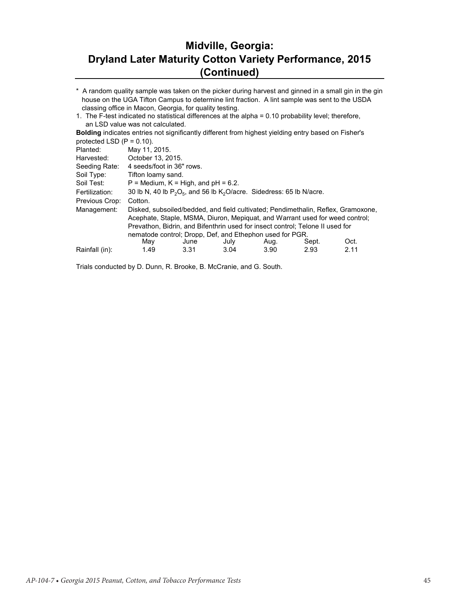## **Midville, Georgia: Dryland Later Maturity Cotton Variety Performance, 2015 (Continued)**

\* A random quality sample was taken on the picker during harvest and ginned in a small gin in the gin house on the UGA Tifton Campus to determine lint fraction. A lint sample was sent to the USDA classing office in Macon, Georgia, for quality testing.

1. The F-test indicated no statistical differences at the alpha = 0.10 probability level; therefore, an LSD value was not calculated.

**Bolding** indicates entries not significantly different from highest yielding entry based on Fisher's protected LSD  $(P = 0.10)$ .

| Planted:       | May 11, 2015.             |                                                                               |      |      |       |                                                                                   |  |  |  |  |  |
|----------------|---------------------------|-------------------------------------------------------------------------------|------|------|-------|-----------------------------------------------------------------------------------|--|--|--|--|--|
| Harvested:     | October 13, 2015.         |                                                                               |      |      |       |                                                                                   |  |  |  |  |  |
| Seeding Rate:  | 4 seeds/foot in 36" rows. |                                                                               |      |      |       |                                                                                   |  |  |  |  |  |
| Soil Type:     |                           | Tifton loamy sand.                                                            |      |      |       |                                                                                   |  |  |  |  |  |
| Soil Test:     |                           | $P =$ Medium, $K =$ High, and $pH = 6.2$ .                                    |      |      |       |                                                                                   |  |  |  |  |  |
| Fertilization: |                           | 30 lb N, 40 lb $P_2O_5$ , and 56 lb $K_2O$ /acre. Sidedress: 65 lb N/acre.    |      |      |       |                                                                                   |  |  |  |  |  |
| Previous Crop: | Cotton.                   |                                                                               |      |      |       |                                                                                   |  |  |  |  |  |
| Management:    |                           | Acephate, Staple, MSMA, Diuron, Mepiguat, and Warrant used for weed control;  |      |      |       | Disked, subsoiled/bedded, and field cultivated; Pendimethalin, Reflex, Gramoxone, |  |  |  |  |  |
|                |                           | Prevathon, Bidrin, and Bifenthrin used for insect control; Telone II used for |      |      |       |                                                                                   |  |  |  |  |  |
|                | May                       | nematode control: Dropp. Def. and Ethephon used for PGR.<br>June              | July | Aug. | Sept. | Oct.                                                                              |  |  |  |  |  |
| Rainfall (in): | 1.49                      | 3.31                                                                          | 3.04 | 3.90 | 2.93  | 2.11                                                                              |  |  |  |  |  |
|                |                           |                                                                               |      |      |       |                                                                                   |  |  |  |  |  |

Trials conducted by D. Dunn, R. Brooke, B. McCranie, and G. South.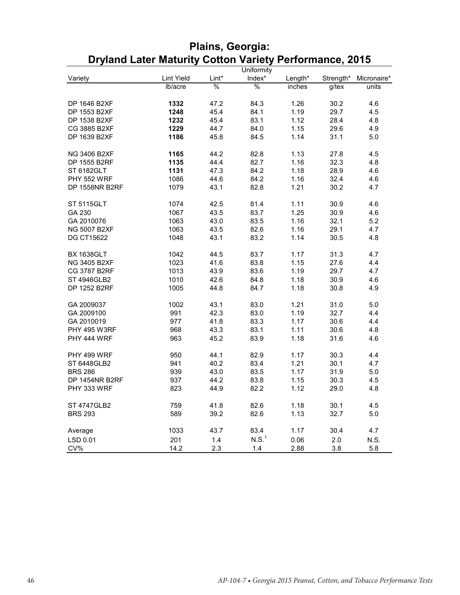|                       |                   |       | Uniformity        |         |           |             |
|-----------------------|-------------------|-------|-------------------|---------|-----------|-------------|
| Variety               | <b>Lint Yield</b> | Lint* | Index*            | Length* | Strength* | Micronaire* |
|                       | lb/acre           | %     | $\%$              | inches  | g/tex     | units       |
|                       |                   |       |                   |         |           |             |
| DP 1646 B2XF          | 1332              | 47.2  | 84.3              | 1.26    | 30.2      | 4.6         |
| DP 1553 B2XF          | 1248              | 45.4  | 84.1              | 1.19    | 29.7      | 4.5         |
| DP 1538 B2XF          | 1232              | 45.4  | 83.1              | 1.12    | 28.4      | 4.8         |
| CG 3885 B2XF          | 1229              | 44.7  | 84.0              | 1.15    | 29.6      | 4.9         |
| DP 1639 B2XF          | 1186              | 45.8  | 84.5              | 1.14    | 31.1      | 5.0         |
|                       |                   |       |                   |         |           |             |
| <b>NG 3406 B2XF</b>   | 1165              | 44.2  | 82.8              | 1.13    | 27.8      | 4.5         |
| DP 1555 B2RF          | 1135              | 44.4  | 82.7              | 1.16    | 32.3      | 4.8         |
| ST 6182GLT            | 1131              | 47.3  | 84.2              | 1.18    | 28.9      | 4.6         |
| PHY 552 WRF           | 1086              | 44.6  | 84.2              | 1.16    | 32.4      | 4.6         |
| <b>DP 1558NR B2RF</b> | 1079              | 43.1  | 82.8              | 1.21    | 30.2      | 4.7         |
|                       |                   |       |                   |         |           |             |
| <b>ST 5115GLT</b>     | 1074              | 42.5  | 81.4              | 1.11    | 30.9      | 4.6         |
| GA 230                | 1067              | 43.5  | 83.7              | 1.25    | 30.9      | 4.6         |
| GA 2010076            | 1063              | 43.0  | 83.5              | 1.16    | 32.1      | 5.2         |
| <b>NG 5007 B2XF</b>   | 1063              | 43.5  | 82.6              | 1.16    | 29.1      | 4.7         |
| <b>DG CT15622</b>     | 1048              | 43.1  | 83.2              | 1.14    | 30.5      | 4.8         |
|                       |                   |       |                   |         |           |             |
| <b>BX 1638GLT</b>     | 1042              | 44.5  | 83.7              | 1.17    | 31.3      | 4.7         |
| NG 3405 B2XF          | 1023              | 41.6  | 83.8              | 1.15    | 27.6      | 4.4         |
| CG 3787 B2RF          | 1013              | 43.9  | 83.6              | 1.19    | 29.7      | 4.7         |
| ST 4946GLB2           | 1010              | 42.6  | 84.8              | 1.18    | 30.9      | 4.6         |
| DP 1252 B2RF          | 1005              | 44.8  | 84.7              | 1.18    | 30.8      | 4.9         |
|                       |                   |       |                   |         |           |             |
| GA 2009037            | 1002              | 43.1  | 83.0              | 1.21    | 31.0      | 5.0         |
| GA 2009100            | 991               | 42.3  | 83.0              | 1.19    | 32.7      | 4.4         |
| GA 2010019            | 977               | 41.8  | 83.3              | 1.17    | 30.6      | 4.4         |
| <b>PHY 495 W3RF</b>   | 968               | 43.3  | 83.1              | 1.11    | 30.6      | 4.8         |
| PHY 444 WRF           | 963               | 45.2  | 83.9              | 1.18    | 31.6      | 4.6         |
|                       |                   |       |                   |         |           |             |
| PHY 499 WRF           | 950               | 44.1  | 82.9              | 1.17    | 30.3      | 4.4         |
| ST 6448GLB2           | 941               | 40.2  | 83.4              | 1.21    | 30.1      | 4.7         |
| <b>BRS 286</b>        | 939               | 43.0  | 83.5              | 1.17    | 31.9      | 5.0         |
| DP 1454NR B2RF        | 937               | 44.2  | 83.8              | 1.15    | 30.3      | 4.5         |
| PHY 333 WRF           | 823               | 44.9  | 82.2              | 1.12    | 29.0      | 4.8         |
|                       |                   |       |                   |         |           |             |
| <b>ST 4747GLB2</b>    | 759               | 41.8  | 82.6              | 1.18    | 30.1      | 4.5         |
| <b>BRS 293</b>        | 589               | 39.2  | 82.6              | 1.13    | 32.7      | 5.0         |
|                       |                   |       |                   |         |           |             |
| Average               | 1033              | 43.7  | 83.4              | 1.17    | 30.4      | 4.7         |
| LSD 0.01              | 201               | 1.4   | N.S. <sup>1</sup> | 0.06    | 2.0       | N.S.        |
| CV%                   | 14.2              | 2.3   | 1.4               | 2.88    | 3.8       | 5.8         |

## **Plains, Georgia: Dryland Later Maturity Cotton Variety Performance, 2015**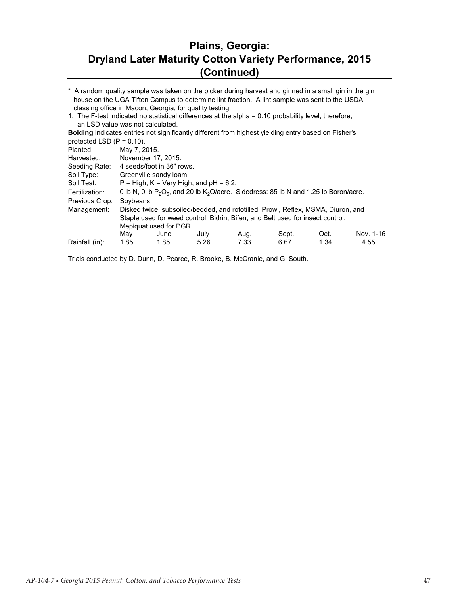#### **Plains, Georgia: Dryland Later Maturity Cotton Variety Performance, 2015 (Continued)**

\* A random quality sample was taken on the picker during harvest and ginned in a small gin in the gin house on the UGA Tifton Campus to determine lint fraction. A lint sample was sent to the USDA classing office in Macon, Georgia, for quality testing.

1. The F-test indicated no statistical differences at the alpha = 0.10 probability level; therefore, an LSD value was not calculated.

**Bolding** indicates entries not significantly different from highest yielding entry based on Fisher's protected LSD  $(P = 0.10)$ .

| p: otooto u cod (1 |              |                                          |      |                                                                                            |       |      |           |
|--------------------|--------------|------------------------------------------|------|--------------------------------------------------------------------------------------------|-------|------|-----------|
| Planted:           | May 7, 2015. |                                          |      |                                                                                            |       |      |           |
| Harvested:         |              | November 17, 2015.                       |      |                                                                                            |       |      |           |
| Seeding Rate:      |              | 4 seeds/foot in 36" rows.                |      |                                                                                            |       |      |           |
| Soil Type:         |              | Greenville sandy loam.                   |      |                                                                                            |       |      |           |
| Soil Test:         |              | $P = High, K = Very High, and pH = 6.2.$ |      |                                                                                            |       |      |           |
| Fertilization:     |              |                                          |      | 0 lb N, 0 lb $P_2O_5$ , and 20 lb $K_2O$ /acre. Sidedress: 85 lb N and 1.25 lb Boron/acre. |       |      |           |
| Previous Crop:     | Soybeans.    |                                          |      |                                                                                            |       |      |           |
| Management:        |              |                                          |      | Disked twice, subsoiled/bedded, and rototilled; Prowl, Reflex, MSMA, Diuron, and           |       |      |           |
|                    |              |                                          |      | Staple used for weed control; Bidrin, Bifen, and Belt used for insect control;             |       |      |           |
|                    |              | Mepiquat used for PGR.                   |      |                                                                                            |       |      |           |
|                    | May          | June                                     | July | Aug.                                                                                       | Sept. | Oct. | Nov. 1-16 |
| Rainfall (in):     | 1.85         | 1.85                                     | 5.26 | 7.33                                                                                       | 6.67  | 1.34 | 4.55      |
|                    |              |                                          |      |                                                                                            |       |      |           |

Trials conducted by D. Dunn, D. Pearce, R. Brooke, B. McCranie, and G. South.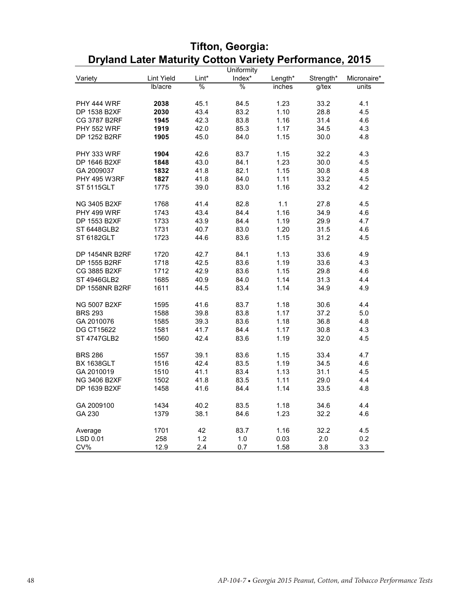| Uniformity            |            |       |               |         |           |             |  |
|-----------------------|------------|-------|---------------|---------|-----------|-------------|--|
| Variety               | Lint Yield | Lint* | Index*        | Length* | Strength* | Micronaire* |  |
|                       | lb/acre    | $\%$  | $\frac{0}{0}$ | inches  | $g$ /tex  | units       |  |
|                       |            |       |               |         |           |             |  |
| PHY 444 WRF           | 2038       | 45.1  | 84.5          | 1.23    | 33.2      | 4.1         |  |
| DP 1538 B2XF          | 2030       | 43.4  | 83.2          | 1.10    | 28.8      | 4.5         |  |
| <b>CG 3787 B2RF</b>   | 1945       | 42.3  | 83.8          | 1.16    | 31.4      | 4.6         |  |
| <b>PHY 552 WRF</b>    | 1919       | 42.0  | 85.3          | 1.17    | 34.5      | 4.3         |  |
| DP 1252 B2RF          | 1905       | 45.0  | 84.0          | 1.15    | 30.0      | 4.8         |  |
|                       |            |       |               |         |           |             |  |
| PHY 333 WRF           | 1904       | 42.6  | 83.7          | 1.15    | 32.2      | 4.3         |  |
| DP 1646 B2XF          | 1848       | 43.0  | 84.1          | 1.23    | 30.0      | 4.5         |  |
| GA 2009037            | 1832       | 41.8  | 82.1          | 1.15    | 30.8      | 4.8         |  |
| <b>PHY 495 W3RF</b>   | 1827       | 41.8  | 84.0          | 1.11    | 33.2      | 4.5         |  |
| <b>ST 5115GLT</b>     | 1775       | 39.0  | 83.0          | 1.16    | 33.2      | 4.2         |  |
|                       |            |       |               |         |           |             |  |
| NG 3405 B2XF          | 1768       | 41.4  | 82.8          | 1.1     | 27.8      | 4.5         |  |
| PHY 499 WRF           | 1743       | 43.4  | 84.4          | 1.16    | 34.9      | 4.6         |  |
| DP 1553 B2XF          | 1733       | 43.9  | 84.4          | 1.19    | 29.9      | 4.7         |  |
| ST 6448GLB2           | 1731       | 40.7  | 83.0          | 1.20    | 31.5      | 4.6         |  |
| ST 6182GLT            |            |       |               | 1.15    | 31.2      |             |  |
|                       | 1723       | 44.6  | 83.6          |         |           | 4.5         |  |
| DP 1454NR B2RF        | 1720       | 42.7  | 84.1          | 1.13    | 33.6      | 4.9         |  |
| DP 1555 B2RF          | 1718       | 42.5  | 83.6          | 1.19    | 33.6      | 4.3         |  |
| CG 3885 B2XF          | 1712       | 42.9  | 83.6          | 1.15    | 29.8      | 4.6         |  |
| ST 4946GLB2           | 1685       | 40.9  | 84.0          | 1.14    | 31.3      | 4.4         |  |
| <b>DP 1558NR B2RF</b> | 1611       | 44.5  | 83.4          | 1.14    | 34.9      | 4.9         |  |
|                       |            |       |               |         |           |             |  |
| <b>NG 5007 B2XF</b>   | 1595       | 41.6  | 83.7          | 1.18    | 30.6      | 4.4         |  |
| <b>BRS 293</b>        | 1588       | 39.8  | 83.8          | 1.17    | 37.2      | 5.0         |  |
| GA 2010076            | 1585       | 39.3  | 83.6          | 1.18    | 36.8      | 4.8         |  |
| <b>DG CT15622</b>     | 1581       | 41.7  | 84.4          | 1.17    | 30.8      | 4.3         |  |
| <b>ST 4747GLB2</b>    | 1560       | 42.4  | 83.6          | 1.19    | 32.0      | 4.5         |  |
|                       |            |       |               |         |           |             |  |
| <b>BRS 286</b>        | 1557       | 39.1  | 83.6          | 1.15    | 33.4      | 4.7         |  |
| <b>BX 1638GLT</b>     | 1516       | 42.4  | 83.5          | 1.19    | 34.5      | 4.6         |  |
| GA 2010019            | 1510       | 41.1  | 83.4          | 1.13    | 31.1      | 4.5         |  |
| <b>NG 3406 B2XF</b>   | 1502       | 41.8  | 83.5          | 1.11    | 29.0      | 4.4         |  |
| DP 1639 B2XF          | 1458       | 41.6  | 84.4          | 1.14    | 33.5      | 4.8         |  |
|                       |            |       |               |         |           |             |  |
| GA 2009100            | 1434       | 40.2  | 83.5          | 1.18    | 34.6      | 4.4         |  |
| GA 230                | 1379       | 38.1  | 84.6          | 1.23    | 32.2      | 4.6         |  |
|                       |            |       |               |         |           |             |  |
| Average               | 1701       | 42    | 83.7          | 1.16    | 32.2      | 4.5         |  |
| LSD 0.01              | 258        | 1.2   | 1.0           | 0.03    | 2.0       | 0.2         |  |
| CV%                   | 12.9       | 2.4   | 0.7           | 1.58    | 3.8       | 3.3         |  |

# **Tifton, Georgia: Dryland Later Maturity Cotton Variety Performance, 2015**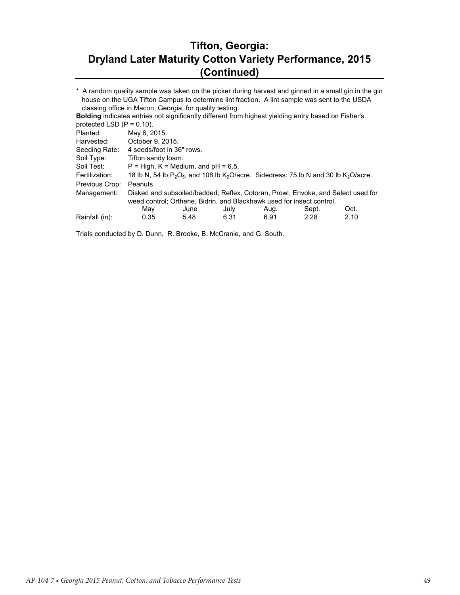### **Tifton, Georgia: Dryland Later Maturity Cotton Variety Performance, 2015 (Continued)**

Planted: Harvested: Seeding Rate: Soil Type: Soil Test: Fertilization: Previous Crop: Management: May June July Aug. Sept. Oct. Rainfall (in): 0.35 5.48 6.31 6.91 2.28 2.10 October 9, 2015. \* A random quality sample was taken on the picker during harvest and ginned in a small gin in the gin house on the UGA Tifton Campus to determine lint fraction. A lint sample was sent to the USDA classing office in Macon, Georgia, for quality testing. **Bolding** indicates entries not significantly different from highest yielding entry based on Fisher's protected LSD  $(P = 0.10)$ . May 6, 2015. 4 seeds/foot in 36" rows. Tifton sandy loam.  $P = High, K = Medium, and pH = 6.5.$ 18 lb N, 54 lb  $P_2O_5$ , and 108 lb  $K_2O$ /acre. Sidedress: 75 lb N and 30 lb  $K_2O$ /acre. Peanuts. Disked and subsoiled/bedded; Reflex, Cotoran, Prowl, Envoke, and Select used for weed control; Orthene, Bidrin, and Blackhawk used for insect control.<br>May June July Aug. Sept.

Trials conducted by D. Dunn, R. Brooke, B. McCranie, and G. South.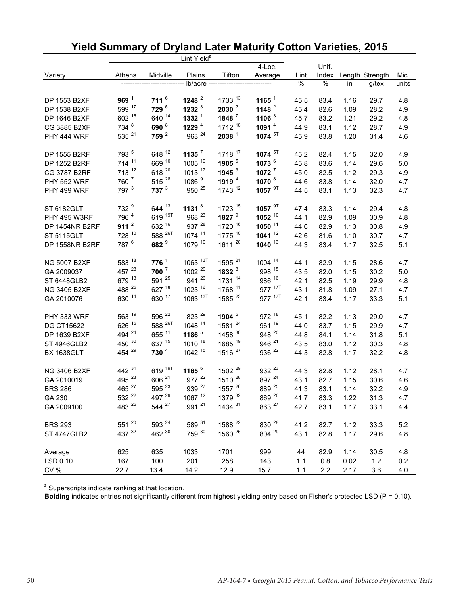|                     |                   |                    | Lint Yield <sup>a</sup> |                     |                    |      |               |      |                 |       |
|---------------------|-------------------|--------------------|-------------------------|---------------------|--------------------|------|---------------|------|-----------------|-------|
|                     |                   |                    |                         |                     | $4$ -Loc.          |      | Unif.         |      |                 |       |
| Variety             | Athens            | Midville           | Plains                  | Tifton              | Average            | Lint | Index         |      | Length Strength | Mic.  |
|                     |                   |                    | lb/acre -------         |                     |                    | %    | $\frac{1}{6}$ | in   | g/tex           | units |
| DP 1553 B2XF        | 969 <sup>1</sup>  | $711^{6}$          | 1248 $^2$               | 1733 13             | 1165 $1$           | 45.5 | 83.4          | 1.16 | 29.7            | 4.8   |
| DP 1538 B2XF        | 599 17            | 729 <sup>5</sup>   | 1232 $3$                | 2030 <sup>2</sup>   | 1148 $2$           | 45.4 | 82.6          | 1.09 | 28.2            | 4.9   |
| DP 1646 B2XF        | 602 16            | 640 14             | 1332 <sup>1</sup>       | $1848$ <sup>7</sup> | 1106 $3$           | 45.7 | 83.2          | 1.21 | 29.2            | 4.8   |
| CG 3885 B2XF        | 734 <sup>8</sup>  | 690 <sup>8</sup>   | 1229 $4$                | 1712 18             | 1091 $4$           | 44.9 | 83.1          | 1.12 | 28.7            | 4.9   |
| PHY 444 WRF         | 535 21            | 759 <sup>2</sup>   | 963 24                  | $2038$ $^1$         | 1074 <sup>5T</sup> | 45.9 | 83.8          | 1.20 | 31.4            | 4.6   |
| DP 1555 B2RF        | 793 5             | 648 12             | 1135 $^7$               | 1718 17             | 1074 <sup>5T</sup> | 45.2 | 82.4          | 1.15 | 32.0            | 4.9   |
| DP 1252 B2RF        | 714 11            | 669 10             | 1005 19                 | 1905 5              | 1073 6             | 45.8 | 83.6          | 1.14 | 29.6            | 5.0   |
| <b>CG 3787 B2RF</b> | 713 12            | 618 20             | 1013 17                 | 1945 $3$            | $1072$ $^7$        | 45.0 | 82.5          | 1.12 | 29.3            | 4.9   |
| <b>PHY 552 WRF</b>  | 760 <sup>7</sup>  | 515 28             | 1086 <sup>9</sup>       | 1919 <sup>4</sup>   | 1070 8             | 44.6 | 83.8          | 1.14 | 32.0            | 4.7   |
| PHY 499 WRF         | 797 <sup>3</sup>  | $737^3$            | 950 25                  | 1743 12             | 1057 <sup>9T</sup> | 44.5 | 83.1          | 1.13 | 32.3            | 4.7   |
| <b>ST 6182GLT</b>   | 732 <sup>9</sup>  | 644 13             | 1131 $8$                | 1723 15             | 1057 <sup>9T</sup> | 47.4 | 83.3          | 1.14 | 29.4            | 4.8   |
| <b>PHY 495 W3RF</b> | 796 4             | 619 19T            | 968 <sup>23</sup>       | 1827 $9$            | $1052^{10}$        | 44.1 | 82.9          | 1.09 | 30.9            | 4.8   |
| DP 1454NR B2RF      | 911 $^2$          | 632 16             | 937 28                  | 1720 16             | 1050 11            | 44.6 | 82.9          | 1.13 | 30.8            | 4.9   |
| <b>ST 5115GLT</b>   | 728 10            | 588 <sup>26T</sup> | 1074 11                 | 1775 10             | 1041 $12$          | 42.6 | 81.6          | 1.10 | 30.7            | 4.7   |
| DP 1558NR B2RF      | 787 <sup>6</sup>  | 682 <sup>9</sup>   | 1079 10                 | 1611 20             | $1040$ $^{13}$     | 44.3 | 83.4          | 1.17 | 32.5            | 5.1   |
| <b>NG 5007 B2XF</b> | 583 18            | 776 <sup>1</sup>   | 1063 13T                | 1595 <sup>21</sup>  | 1004 14            | 44.1 | 82.9          | 1.15 | 28.6            | 4.7   |
| GA 2009037          | 457 28            | $700^7$            | 1002 20                 | 1832 <sup>8</sup>   | 998 15             | 43.5 | 82.0          | 1.15 | 30.2            | 5.0   |
| ST 6448GLB2         | 679 13            | 591 25             | 941 26                  | 1731 14             | 986 16             | 42.1 | 82.5          | 1.19 | 29.9            | 4.8   |
| NG 3405 B2XF        | 488 25            | 627 18             | 1023 16                 | 1768 11             | 977 17T            | 43.1 | 81.8          | 1.09 | 27.1            | 4.7   |
| GA 2010076          | 630 14            | 630 17             | 1063 13T                | 1585 <sup>23</sup>  | 977 17T            | 42.1 | 83.4          | 1.17 | 33.3            | 5.1   |
| PHY 333 WRF         | 563 19            | 596 <sup>22</sup>  | 823 29                  | 1904 6              | 972 18             | 45.1 | 82.2          | 1.13 | 29.0            | 4.7   |
| <b>DG CT15622</b>   | 626 15            | 588 <sup>26T</sup> | 1048 14                 | 1581 24             | 961 19             | 44.0 | 83.7          | 1.15 | 29.9            | 4.7   |
| DP 1639 B2XF        | 494 <sup>24</sup> | 655 11             | 1186 $5$                | 1458 30             | 948 20             | 44.8 | 84.1          | 1.14 | 31.8            | 5.1   |
| <b>ST 4946GLB2</b>  | 450 30            | 637 15             | 1010 18                 | 1685 19             | 946 <sup>21</sup>  | 43.5 | 83.0          | 1.12 | 30.3            | 4.8   |
| <b>BX 1638GLT</b>   | 454 29            | 730 <sup>4</sup>   | 1042 15                 | 1516 <sup>27</sup>  | 936 <sup>22</sup>  | 44.3 | 82.8          | 1.17 | 32.2            | 4.8   |
| <b>NG 3406 B2XF</b> | 442 31            | 619 19T            | 1165 $^6$               | 1502 <sup>29</sup>  | 932 <sup>23</sup>  | 44.3 | 82.8          | 1.12 | 28.1            | 4.7   |
| GA 2010019          | 495 23            | 606 <sup>21</sup>  | 977 22                  | 1510 28             | 897 24             | 43.1 | 82.7          | 1.15 | 30.6            | 4.6   |
| <b>BRS 286</b>      | 465 <sup>27</sup> | 595 23             | 939 <sup>27</sup>       | 1557 26             | 889 25             | 41.3 | 83.1          | 1.14 | 32.2            | 4.9   |
| GA 230              | 532 <sup>22</sup> | 497 29             | 1067 12                 | 1379 32             | 869 26             | 41.7 | 83.3          | 1.22 | 31.3            | 4.7   |
| GA 2009100          | 483 26            | 544 <sup>27</sup>  | 991 21                  | 1434 31             | 863 <sup>27</sup>  | 42.7 | 83.1          | 1.17 | 33.1            | 4.4   |
| <b>BRS 293</b>      | 551 20            | 593 <sup>24</sup>  | 589 31                  | 1588 22             | 830 28             | 41.2 | 82.7          | 1.12 | 33.3            | 5.2   |
| <b>ST 4747GLB2</b>  | 437 32            | 462 30             | 759 <sup>30</sup>       | 1560 25             | 804 29             | 43.1 | 82.8          | 1.17 | 29.6            | 4.8   |
| Average             | 625               | 635                | 1033                    | 1701                | 999                | 44   | 82.9          | 1.14 | 30.5            | 4.8   |
| LSD 0.10            | 167               | 100                | 201                     | 258                 | 143                | 1.1  | 0.8           | 0.02 | $1.2$           | 0.2   |
| CV %                | 22.7              | 13.4               | 14.2                    | 12.9                | 15.7               | 1.1  | 2.2           | 2.17 | 3.6             | 4.0   |

# **Yield Summary of Dryland Later Maturity Cotton Varieties, 2015**

<sup>a</sup> Superscripts indicate ranking at that location.

**Bolding** indicates entries not significantly different from highest yielding entry based on Fisher's protected LSD (P = 0.10).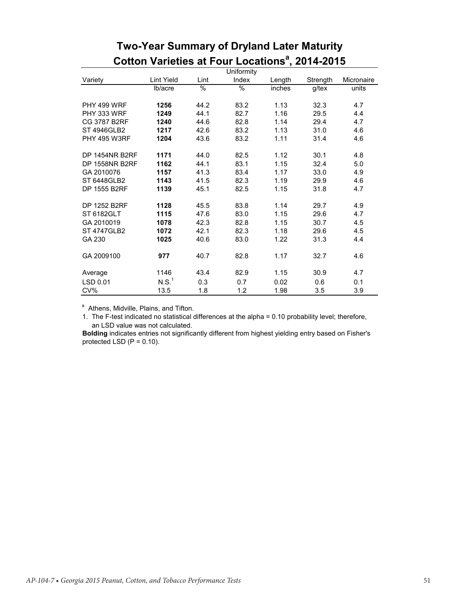|                     |                   |               | Uniformity |        |          |            |
|---------------------|-------------------|---------------|------------|--------|----------|------------|
| Variety             | Lint Yield        | Lint          | Index      | Length | Strength | Micronaire |
|                     | lb/acre           | $\frac{9}{6}$ | $\%$       | inches | g/tex    | units      |
| PHY 499 WRF         | 1256              | 44.2          | 83.2       | 1.13   | 32.3     | 4.7        |
| PHY 333 WRF         | 1249              | 44.1          | 82.7       | 1.16   | 29.5     | 4.4        |
| CG 3787 B2RF        | 1240              | 44.6          | 82.8       | 1.14   | 29.4     | 4.7        |
| ST 4946GLB2         | 1217              | 42.6          | 83.2       | 1.13   | 31.0     | 4.6        |
| <b>PHY 495 W3RF</b> | 1204              | 43.6          | 83.2       | 1.11   | 31.4     | 4.6        |
| DP 1454NR B2RF      | 1171              | 44.0          | 82.5       | 1.12   | 30.1     | 4.8        |
| DP 1558NR B2RF      | 1162              | 44.1          | 83.1       | 1.15   | 32.4     | 5.0        |
| GA 2010076          | 1157              | 41.3          | 83.4       | 1.17   | 33.0     | 4.9        |
| ST 6448GLB2         | 1143              | 41.5          | 82.3       | 1.19   | 29.9     | 4.6        |
| DP 1555 B2RF        | 1139              | 45.1          | 82.5       | 1.15   | 31.8     | 4.7        |
| DP 1252 B2RF        | 1128              | 45.5          | 83.8       | 1.14   | 29.7     | 4.9        |
| ST 6182GLT          | 1115              | 47.6          | 83.0       | 1.15   | 29.6     | 4.7        |
| GA 2010019          | 1078              | 42.3          | 82.8       | 1.15   | 30.7     | 4.5        |
| ST 4747GLB2         | 1072              | 42.1          | 82.3       | 1.18   | 29.6     | 4.5        |
| GA 230              | 1025              | 40.6          | 83.0       | 1.22   | 31.3     | 4.4        |
| GA 2009100          | 977               | 40.7          | 82.8       | 1.17   | 32.7     | 4.6        |
| Average             | 1146              | 43.4          | 82.9       | 1.15   | 30.9     | 4.7        |
| LSD 0.01            | N.S. <sup>1</sup> | 0.3           | 0.7        | 0.02   | 0.6      | 0.1        |
| CV%                 | 13.5              | 1.8           | 1.2        | 1.98   | 3.5      | 3.9        |

# **Two-Year Summary of Dryland Later Maturity Cotton Varieties at Four Locations<sup>a</sup>, 2014-2015**

<sup>a</sup> Athens, Midville, Plains, and Tifton.

1. The F-test indicated no statistical differences at the alpha = 0.10 probability level; therefore, an LSD value was not calculated.

**Bolding** indicates entries not significantly different from highest yielding entry based on Fisher's protected LSD  $(P = 0.10)$ .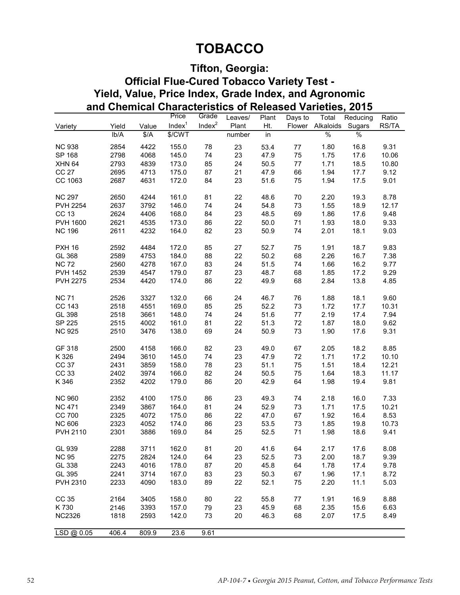# **TOBACCO**

## **Tifton, Georgia:**

## **Yield, Value, Price Index, Grade Index, and Agronomic and Chemical Characteristics of Released Varieties, 2015 Official Flue-Cured Tobacco Variety Test -**

|                 |       |               | Price              | Grade     | Leaves/ | Plant | Days to | Total         | Reducing      | Ratio |
|-----------------|-------|---------------|--------------------|-----------|---------|-------|---------|---------------|---------------|-------|
| Variety         | Yield | Value         | Index <sup>1</sup> | Index $2$ | Plant   | Ht.   | Flower  | Alkaloids     | Sugars        | RS/TA |
|                 | lb/A  | $\frac{4}{3}$ | \$/CWT             |           | number  | in    |         | $\frac{9}{6}$ | $\frac{1}{6}$ |       |
| <b>NC 938</b>   | 2854  | 4422          | 155.0              | 78        | 23      | 53.4  | 77      | 1.80          | 16.8          | 9.31  |
| SP 168          | 2798  | 4068          | 145.0              | 74        | 23      | 47.9  | 75      | 1.75          | 17.6          | 10.06 |
| <b>XHN 64</b>   | 2793  | 4839          | 173.0              | 85        | 24      | 50.5  | $77 \,$ | 1.71          | 18.5          | 10.80 |
| <b>CC 27</b>    | 2695  | 4713          | 175.0              | 87        | 21      | 47.9  | 66      | 1.94          | 17.7          | 9.12  |
| CC 1063         | 2687  | 4631          | 172.0              | 84        | 23      | 51.6  | 75      | 1.94          | 17.5          | 9.01  |
|                 |       |               |                    |           |         |       |         |               |               |       |
| <b>NC 297</b>   | 2650  | 4244          | 161.0              | 81        | 22      | 48.6  | 70      | 2.20          | 19.3          | 8.78  |
| <b>PVH 2254</b> | 2637  | 3792          | 146.0              | 74        | 24      | 54.8  | 73      | 1.55          | 18.9          | 12.17 |
| <b>CC 13</b>    | 2624  | 4406          | 168.0              | 84        | 23      | 48.5  | 69      | 1.86          | 17.6          | 9.48  |
| <b>PVH 1600</b> | 2621  | 4535          | 173.0              | 86        | 22      | 50.0  | 71      | 1.93          | 18.0          | 9.33  |
| <b>NC 196</b>   | 2611  | 4232          | 164.0              | 82        | 23      | 50.9  | 74      | 2.01          | 18.1          | 9.03  |
|                 |       |               |                    |           |         |       |         |               |               |       |
| <b>PXH 16</b>   | 2592  | 4484          | 172.0              | 85        | 27      | 52.7  | 75      | 1.91          | 18.7          | 9.83  |
| GL 368          | 2589  | 4753          | 184.0              | 88        | 22      | 50.2  | 68      | 2.26          | 16.7          | 7.38  |
| <b>NC 72</b>    | 2560  | 4278          | 167.0              | 83        | 24      | 51.5  | 74      | 1.66          | 16.2          | 9.77  |
| <b>PVH 1452</b> | 2539  | 4547          | 179.0              | 87        | 23      | 48.7  | 68      | 1.85          | 17.2          | 9.29  |
| <b>PVH 2275</b> | 2534  | 4420          | 174.0              | 86        | 22      | 49.9  | 68      | 2.84          | 13.8          | 4.85  |
|                 |       |               |                    |           |         |       |         |               |               |       |
| <b>NC 71</b>    | 2526  | 3327          | 132.0              | 66        | 24      | 46.7  | 76      | 1.88          | 18.1          | 9.60  |
| CC 143          | 2518  | 4551          | 169.0              | 85        | 25      | 52.2  | 73      | 1.72          | 17.7          | 10.31 |
| GL 398          | 2518  | 3661          | 148.0              | 74        | 24      | 51.6  | 77      | 2.19          | 17.4          | 7.94  |
| SP 225          | 2515  | 4002          | 161.0              | 81        | 22      | 51.3  | 72      | 1.87          | 18.0          | 9.62  |
| <b>NC 925</b>   | 2510  | 3476          | 138.0              | 69        | 24      | 50.9  | 73      | 1.90          | 17.6          | 9.31  |
| GF 318          | 2500  | 4158          | 166.0              | 82        | 23      | 49.0  | 67      | 2.05          | 18.2          | 8.85  |
| K 326           | 2494  | 3610          | 145.0              | 74        | 23      | 47.9  | 72      | 1.71          | 17.2          | 10.10 |
| CC 37           | 2431  | 3859          | 158.0              | 78        | 23      | 51.1  | 75      | 1.51          | 18.4          | 12.21 |
| CC 33           | 2402  | 3974          | 166.0              | 82        | 24      | 50.5  | 75      | 1.64          | 18.3          | 11.17 |
| K 346           | 2352  | 4202          | 179.0              | 86        | 20      | 42.9  | 64      | 1.98          | 19.4          | 9.81  |
|                 |       |               |                    |           |         |       |         |               |               |       |
| <b>NC 960</b>   | 2352  | 4100          | 175.0              | 86        | 23      | 49.3  | 74      | 2.18          | 16.0          | 7.33  |
| <b>NC 471</b>   | 2349  | 3867          | 164.0              | 81        | 24      | 52.9  | 73      | 1.71          | 17.5          | 10.21 |
| CC 700          | 2325  | 4072          | 175.0              | 86        | 22      | 47.0  | 67      | 1.92          | 16.4          | 8.53  |
| <b>NC 606</b>   | 2323  | 4052          | 174.0              | 86        | 23      | 53.5  | 73      | 1.85          | 19.8          | 10.73 |
| <b>PVH 2110</b> | 2301  | 3886          | 169.0              | 84        | 25      | 52.5  | 71      | 1.98          | 18.6          | 9.41  |
|                 |       |               |                    |           |         |       |         |               |               |       |
| GL 939          | 2288  | 3711          | 162.0              | 81        | 20      | 41.6  | 64      | 2.17          | 17.6          | 8.08  |
| <b>NC 95</b>    | 2275  | 2824          | 124.0              | 64        | 23      | 52.5  | 73      | 2.00          | 18.7          | 9.39  |
| GL 338          | 2243  | 4016          | 178.0              | 87        | 20      | 45.8  | 64      | 1.78          | 17.4          | 9.78  |
| GL 395          | 2241  | 3714          | 167.0              | 83        | 23      | 50.3  | 67      | 1.96          | 17.1          | 8.72  |
| <b>PVH 2310</b> | 2233  | 4090          | 183.0              | 89        | 22      | 52.1  | 75      | 2.20          | 11.1          | 5.03  |
|                 |       |               |                    |           |         |       |         |               |               |       |
| CC 35           | 2164  | 3405          | 158.0              | 80        | 22      | 55.8  | 77      | 1.91          | 16.9          | 8.88  |
| K 730           | 2146  | 3393          | 157.0              | 79        | 23      | 45.9  | 68      | 2.35          | 15.6          | 6.63  |
| <b>NC2326</b>   | 1818  | 2593          | 142.0              | 73        | 20      | 46.3  | 68      | 2.07          | 17.5          | 8.49  |
| LSD @ 0.05      | 406.4 | 809.9         | 23.6               | 9.61      |         |       |         |               |               |       |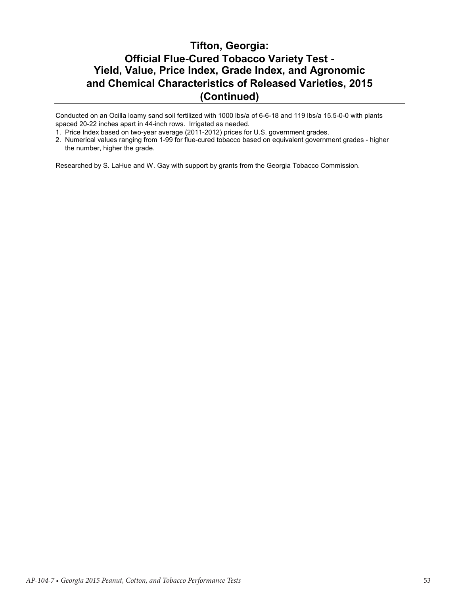#### **Tifton, Georgia: Official Flue-Cured Tobacco Variety Test - Yield, Value, Price Index, Grade Index, and Agronomic and Chemical Characteristics of Released Varieties, 2015 (Continued)**

Conducted on an Ocilla loamy sand soil fertilized with 1000 lbs/a of 6-6-18 and 119 lbs/a 15.5-0-0 with plants spaced 20-22 inches apart in 44-inch rows. Irrigated as needed.

2. Numerical values ranging from 1-99 for flue-cured tobacco based on equivalent government grades - higher the number, higher the grade.

Researched by S. LaHue and W. Gay with support by grants from the Georgia Tobacco Commission.

<sup>1.</sup> Price Index based on two-year average (2011-2012) prices for U.S. government grades.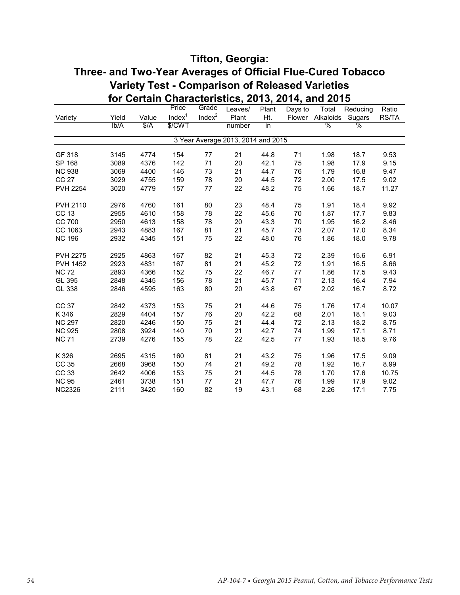#### **Tifton, Georgia: Three- and Two-Year Averages of Official Flue-Cured Tobacco Variety Test - Comparison of Released Varieties for Certain Characteristics, 2013, 2014, and 2015**

|                 |       |             | Price              | Grade     | Leaves/                            | Plant | Days to | Total            | Reducing      | Ratio |
|-----------------|-------|-------------|--------------------|-----------|------------------------------------|-------|---------|------------------|---------------|-------|
| Variety         | Yield | Value       | Index <sup>1</sup> | Index $2$ | Plant                              | Ht.   |         | Flower Alkaloids | Sugars        | RS/TA |
|                 | lb/A  | $\sqrt{$A}$ | \$/CWT             |           | number                             | in    |         | $\frac{0}{0}$    | $\frac{1}{2}$ |       |
|                 |       |             |                    |           | 3 Year Average 2013, 2014 and 2015 |       |         |                  |               |       |
| GF 318          | 3145  | 4774        | 154                | 77        | 21                                 | 44.8  | 71      | 1.98             | 18.7          | 9.53  |
| SP 168          | 3089  | 4376        | 142                | 71        | 20                                 | 42.1  | 75      | 1.98             | 17.9          | 9.15  |
| <b>NC 938</b>   | 3069  | 4400        | 146                | 73        | 21                                 | 44.7  | 76      | 1.79             | 16.8          | 9.47  |
| CC 27           | 3029  | 4755        | 159                | 78        | 20                                 | 44.5  | 72      | 2.00             | 17.5          | 9.02  |
| <b>PVH 2254</b> | 3020  | 4779        | 157                | 77        | 22                                 | 48.2  | 75      | 1.66             | 18.7          | 11.27 |
| PVH 2110        | 2976  | 4760        | 161                | 80        | 23                                 | 48.4  | 75      | 1.91             | 18.4          | 9.92  |
| CC 13           | 2955  | 4610        | 158                | 78        | 22                                 | 45.6  | 70      | 1.87             | 17.7          | 9.83  |
| CC 700          | 2950  | 4613        | 158                | 78        | 20                                 | 43.3  | 70      | 1.95             | 16.2          | 8.46  |
| CC 1063         | 2943  | 4883        | 167                | 81        | 21                                 | 45.7  | 73      | 2.07             | 17.0          | 8.34  |
| <b>NC 196</b>   | 2932  | 4345        | 151                | 75        | 22                                 | 48.0  | 76      | 1.86             | 18.0          | 9.78  |
| <b>PVH 2275</b> | 2925  | 4863        | 167                | 82        | 21                                 | 45.3  | 72      | 2.39             | 15.6          | 6.91  |
| <b>PVH 1452</b> | 2923  | 4831        | 167                | 81        | 21                                 | 45.2  | 72      | 1.91             | 16.5          | 8.66  |
| <b>NC 72</b>    | 2893  | 4366        | 152                | 75        | 22                                 | 46.7  | 77      | 1.86             | 17.5          | 9.43  |
| GL 395          | 2848  | 4345        | 156                | 78        | 21                                 | 45.7  | 71      | 2.13             | 16.4          | 7.94  |
| GL 338          | 2846  | 4595        | 163                | 80        | 20                                 | 43.8  | 67      | 2.02             | 16.7          | 8.72  |
| CC 37           | 2842  | 4373        | 153                | 75        | 21                                 | 44.6  | 75      | 1.76             | 17.4          | 10.07 |
| K 346           | 2829  | 4404        | 157                | 76        | 20                                 | 42.2  | 68      | 2.01             | 18.1          | 9.03  |
| <b>NC 297</b>   | 2820  | 4246        | 150                | 75        | 21                                 | 44.4  | 72      | 2.13             | 18.2          | 8.75  |
| <b>NC 925</b>   | 2808  | 3924        | 140                | 70        | 21                                 | 42.7  | 74      | 1.99             | 17.1          | 8.71  |
| <b>NC 71</b>    | 2739  | 4276        | 155                | 78        | 22                                 | 42.5  | 77      | 1.93             | 18.5          | 9.76  |
| K 326           | 2695  | 4315        | 160                | 81        | 21                                 | 43.2  | 75      | 1.96             | 17.5          | 9.09  |
| CC 35           | 2668  | 3968        | 150                | 74        | 21                                 | 49.2  | 78      | 1.92             | 16.7          | 8.99  |
| CC 33           | 2642  | 4006        | 153                | 75        | 21                                 | 44.5  | 78      | 1.70             | 17.6          | 10.75 |
| <b>NC 95</b>    | 2461  | 3738        | 151                | $77\,$    | 21                                 | 47.7  | 76      | 1.99             | 17.9          | 9.02  |
| <b>NC2326</b>   | 2111  | 3420        | 160                | 82        | 19                                 | 43.1  | 68      | 2.26             | 17.1          | 7.75  |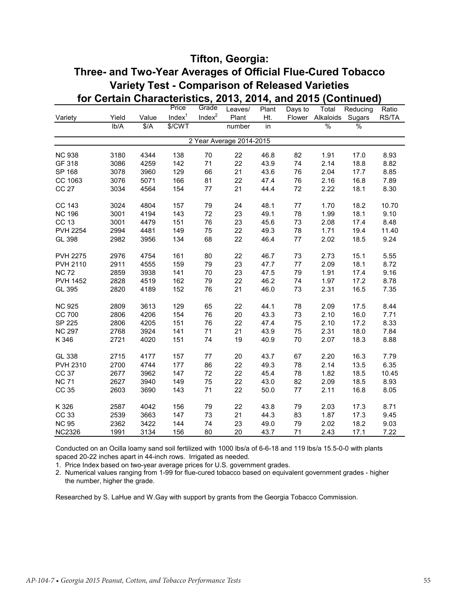#### **Tifton, Georgia: Three- and Two-Year Averages of Official Flue-Cured Tobacco Variety Test - Comparison of Released Varieties for Certain Characteristics, 2013, 2014, and 2015 (Continued)**

|                 |       |               | Price              | Grade              | Leaves/                  | Plant           | Days to | Total         | Reducing        | Ratio |
|-----------------|-------|---------------|--------------------|--------------------|--------------------------|-----------------|---------|---------------|-----------------|-------|
| Variety         | Yield | Value         | Index <sup>1</sup> | Index <sup>2</sup> | Plant                    | Ht.             | Flower  | Alkaloids     | Sugars          | RS/TA |
|                 | Ib/A  | $\frac{4}{3}$ | \$/CWT             |                    | number                   | $\overline{in}$ |         | $\frac{0}{0}$ | $\overline{\%}$ |       |
|                 |       |               |                    |                    | 2 Year Average 2014-2015 |                 |         |               |                 |       |
| <b>NC 938</b>   | 3180  | 4344          | 138                | $70\,$             | 22                       | 46.8            | 82      | 1.91          | 17.0            | 8.93  |
| GF 318          | 3086  | 4259          | 142                | 71                 | 22                       | 43.9            | 74      | 2.14          | 18.8            | 8.82  |
| SP 168          | 3078  | 3960          | 129                | 66                 | 21                       | 43.6            | 76      | 2.04          | 17.7            | 8.85  |
| CC 1063         | 3076  | 5071          | 166                | 81                 | 22                       | 47.4            | 76      | 2.16          | 16.8            | 7.89  |
| <b>CC 27</b>    | 3034  | 4564          | 154                | 77                 | 21                       | 44.4            | 72      | 2.22          | 18.1            | 8.30  |
| CC 143          | 3024  | 4804          | 157                | 79                 | 24                       | 48.1            | 77      | 1.70          | 18.2            | 10.70 |
| <b>NC 196</b>   | 3001  | 4194          | 143                | 72                 | 23                       | 49.1            | 78      | 1.99          | 18.1            | 9.10  |
| <b>CC 13</b>    | 3001  | 4479          | 151                | 76                 | 23                       | 45.6            | 73      | 2.08          | 17.4            | 8.48  |
| <b>PVH 2254</b> | 2994  | 4481          | 149                | 75                 | 22                       | 49.3            | 78      | 1.71          | 19.4            | 11.40 |
| GL 398          | 2982  | 3956          | 134                | 68                 | 22                       | 46.4            | 77      | 2.02          | 18.5            | 9.24  |
| <b>PVH 2275</b> | 2976  | 4754          | 161                | 80                 | 22                       | 46.7            | 73      | 2.73          | 15.1            | 5.55  |
| <b>PVH 2110</b> | 2911  | 4555          | 159                | 79                 | 23                       | 47.7            | $77 \,$ | 2.09          | 18.1            | 8.72  |
| <b>NC 72</b>    | 2859  | 3938          | 141                | 70                 | 23                       | 47.5            | 79      | 1.91          | 17.4            | 9.16  |
| <b>PVH 1452</b> | 2828  | 4519          | 162                | 79                 | 22                       | 46.2            | 74      | 1.97          | 17.2            | 8.78  |
| GL 395          | 2820  | 4189          | 152                | 76                 | 21                       | 46.0            | 73      | 2.31          | 16.5            | 7.35  |
| <b>NC 925</b>   | 2809  | 3613          | 129                | 65                 | 22                       | 44.1            | 78      | 2.09          | 17.5            | 8.44  |
| CC 700          | 2806  | 4206          | 154                | 76                 | 20                       | 43.3            | 73      | 2.10          | 16.0            | 7.71  |
| SP 225          | 2806  | 4205          | 151                | 76                 | 22                       | 47.4            | 75      | 2.10          | 17.2            | 8.33  |
| <b>NC 297</b>   | 2768  | 3924          | 141                | 71                 | 21                       | 43.9            | 75      | 2.31          | 18.0            | 7.84  |
| K 346           | 2721  | 4020          | 151                | 74                 | 19                       | 40.9            | 70      | 2.07          | 18.3            | 8.88  |
| GL 338          | 2715  | 4177          | 157                | $77 \,$            | 20                       | 43.7            | 67      | 2.20          | 16.3            | 7.79  |
| PVH 2310        | 2700  | 4744          | 177                | 86                 | 22                       | 49.3            | 78      | 2.14          | 13.5            | 6.35  |
| CC 37           | 2677  | 3962          | 147                | 72                 | 22                       | 45.4            | 78      | 1.82          | 18.5            | 10.45 |
| <b>NC 71</b>    | 2627  | 3940          | 149                | 75                 | 22                       | 43.0            | 82      | 2.09          | 18.5            | 8.93  |
| CC 35           | 2603  | 3690          | 143                | 71                 | 22                       | 50.0            | $77 \,$ | 2.11          | 16.8            | 8.05  |
| K 326           | 2587  | 4042          | 156                | 79                 | 22                       | 43.8            | 79      | 2.03          | 17.3            | 8.71  |
| CC 33           | 2539  | 3663          | 147                | 73                 | 21                       | 44.3            | 83      | 1.87          | 17.3            | 9.45  |
| <b>NC 95</b>    | 2362  | 3422          | 144                | 74                 | 23                       | 49.0            | 79      | 2.02          | 18.2            | 9.03  |
| <b>NC2326</b>   | 1991  | 3134          | 156                | 80                 | 20                       | 43.7            | 71      | 2.43          | 17.1            | 7.22  |

Conducted on an Ocilla loamy sand soil fertilized with 1000 lbs/a of 6-6-18 and 119 lbs/a 15.5-0-0 with plants spaced 20-22 inches apart in 44-inch rows. Irrigated as needed.

1. Price Index based on two-year average prices for U.S. government grades.

2. Numerical values ranging from 1-99 for flue-cured tobacco based on equivalent government grades - higher the number, higher the grade.

Researched by S. LaHue and W.Gay with support by grants from the Georgia Tobacco Commission.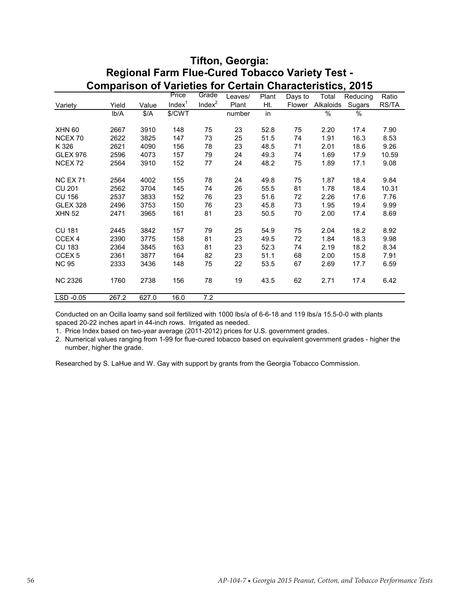|                    | Regional Farm Flue-Cured Tobacco Variety Test -                  |       |                    |                    |         |       |         |           |          |       |  |
|--------------------|------------------------------------------------------------------|-------|--------------------|--------------------|---------|-------|---------|-----------|----------|-------|--|
|                    | <b>Comparison of Varieties for Certain Characteristics, 2015</b> |       |                    |                    |         |       |         |           |          |       |  |
|                    |                                                                  |       | Price              | Grade              | Leaves/ | Plant | Days to | Total     | Reducing | Ratio |  |
| Variety            | Yield                                                            | Value | Index <sup>1</sup> | Index <sup>2</sup> | Plant   | Ht.   | Flower  | Alkaloids | Sugars   | RS/TA |  |
|                    | Ib/A                                                             | \$/A  | \$/CWT             |                    | number  | in    |         | $\%$      | ℅        |       |  |
| <b>XHN 60</b>      | 2667                                                             | 3910  | 148                | 75                 | 23      | 52.8  | 75      | 2.20      | 17.4     | 7.90  |  |
| NCEX 70            | 2622                                                             | 3825  | 147                | 73                 | 25      | 51.5  | 74      | 1.91      | 16.3     | 8.53  |  |
| K 326              | 2621                                                             | 4090  | 156                | 78                 | 23      | 48.5  | 71      | 2.01      | 18.6     | 9.26  |  |
| <b>GLEX 976</b>    | 2596                                                             | 4073  | 157                | 79                 | 24      | 49.3  | 74      | 1.69      | 17.9     | 10.59 |  |
| NCEX <sub>72</sub> | 2564                                                             | 3910  | 152                | 77                 | 24      | 48.2  | 75      | 1.89      | 17.1     | 9.08  |  |
| <b>NC EX 71</b>    | 2564                                                             | 4002  | 155                | 78                 | 24      | 49.8  | 75      | 1.87      | 18.4     | 9.84  |  |
| <b>CU 201</b>      | 2562                                                             | 3704  | 145                | 74                 | 26      | 55.5  | 81      | 1.78      | 18.4     | 10.31 |  |
| <b>CU 156</b>      | 2537                                                             | 3833  | 152                | 76                 | 23      | 51.6  | 72      | 2.26      | 17.6     | 7.76  |  |
| <b>GLEX 328</b>    | 2496                                                             | 3753  | 150                | 76                 | 23      | 45.8  | 73      | 1.95      | 19.4     | 9.99  |  |
| <b>XHN 52</b>      | 2471                                                             | 3965  | 161                | 81                 | 23      | 50.5  | 70      | 2.00      | 17.4     | 8.69  |  |
| <b>CU 181</b>      | 2445                                                             | 3842  | 157                | 79                 | 25      | 54.9  | 75      | 2.04      | 18.2     | 8.92  |  |
| CCEX <sub>4</sub>  | 2390                                                             | 3775  | 158                | 81                 | 23      | 49.5  | 72      | 1.84      | 18.3     | 9.98  |  |
| <b>CU 183</b>      | 2364                                                             | 3845  | 163                | 81                 | 23      | 52.3  | 74      | 2.19      | 18.2     | 8.34  |  |
| CCEX <sub>5</sub>  | 2361                                                             | 3877  | 164                | 82                 | 23      | 51.1  | 68      | 2.00      | 15.8     | 7.91  |  |
| <b>NC 95</b>       | 2333                                                             | 3436  | 148                | 75                 | 22      | 53.5  | 67      | 2.69      | 17.7     | 6.59  |  |
| <b>NC 2326</b>     | 1760                                                             | 2738  | 156                | 78                 | 19      | 43.5  | 62      | 2.71      | 17.4     | 6.42  |  |
| LSD -0.05          | 267.2                                                            | 627.0 | 16.0               | 7.2                |         |       |         |           |          |       |  |

# **Regional Farm Flue-Cured Tobacco Variety Test - Tifton, Georgia:**

Conducted on an Ocilla loamy sand soil fertilized with 1000 lbs/a of 6-6-18 and 119 lbs/a 15.5-0-0 with plants spaced 20-22 inches apart in 44-inch rows. Irrigated as needed.

1. Price Index based on two-year average (2011-2012) prices for U.S. government grades.

2. Numerical values ranging from 1-99 for flue-cured tobacco based on equivalent government grades - higher the number, higher the grade.

Researched by S. LaHue and W. Gay with support by grants from the Georgia Tobacco Commission.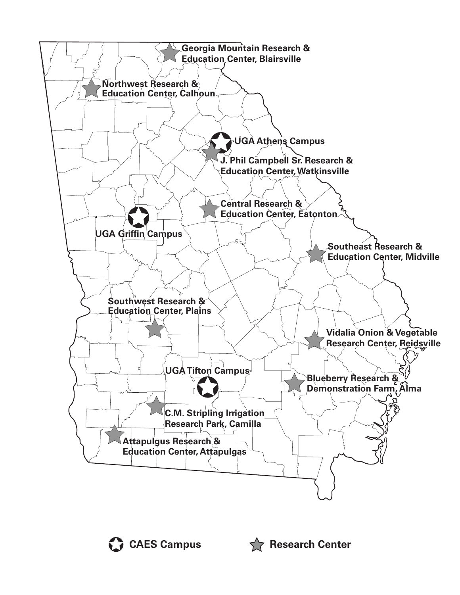